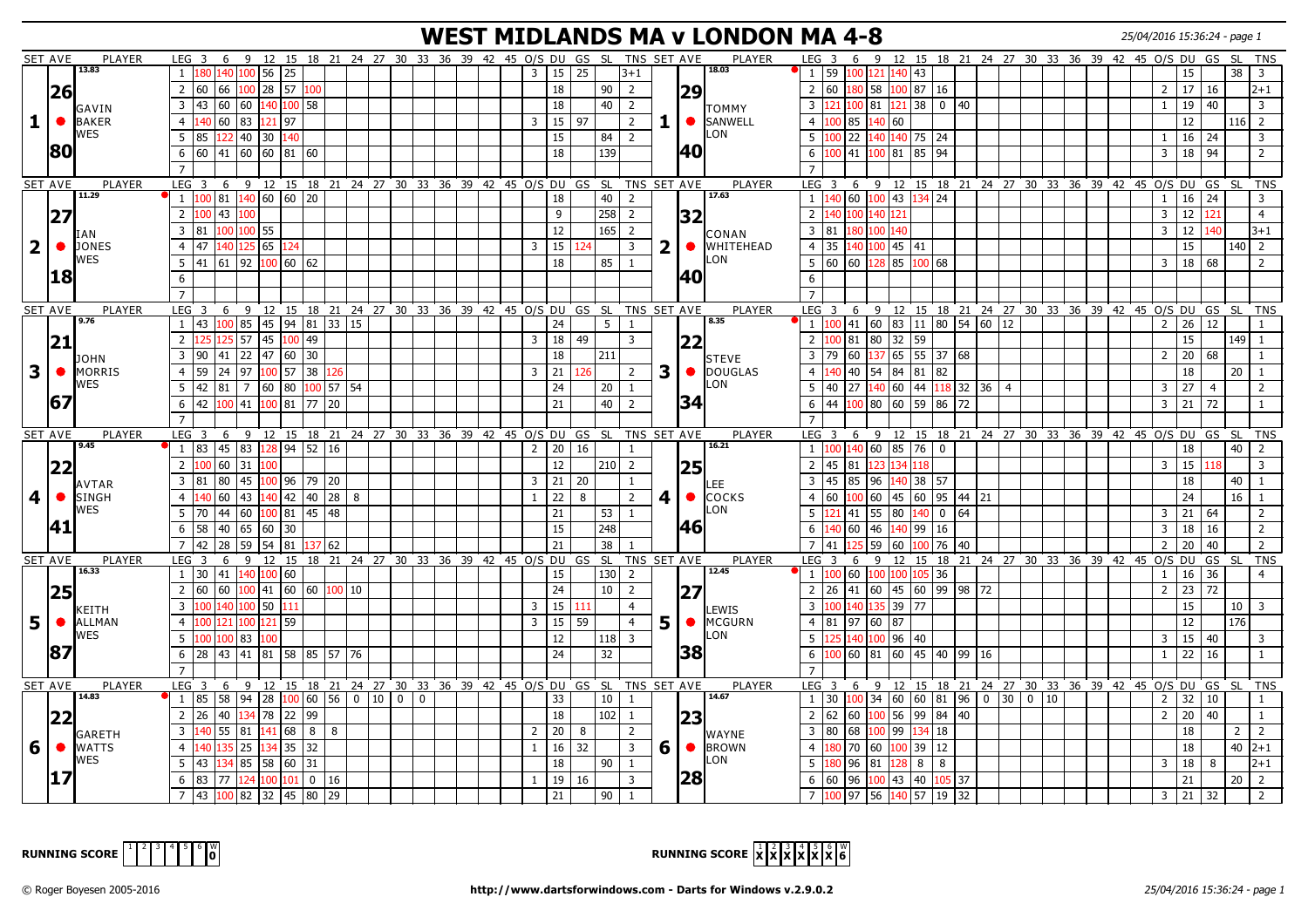#### **WEST MIDLANDS MA v LONDON MA 4-8** 25/04/2016 15:36:24 - page 1

| SET AVE                 |                | <b>PLAYER</b>                | LEG 3            |                                                                                    |     |                       |                               |              |  |              |  | 6 9 12 15 18 21 24 27 30 33 36 39 42 45 0/S DU GS SL TNS SET AVE       |      |                 |                |                | <b>PLAYER</b>                          | LEG <sub>3</sub>           |                       |                                                                              |           |                 |                   | 6 9 12 15 18 21 24 27 30 33 36 39 42 45 0/S DU GS              |             |  |                |                                              | - SL           |                      | <b>TNS</b>     |
|-------------------------|----------------|------------------------------|------------------|------------------------------------------------------------------------------------|-----|-----------------------|-------------------------------|--------------|--|--------------|--|------------------------------------------------------------------------|------|-----------------|----------------|----------------|----------------------------------------|----------------------------|-----------------------|------------------------------------------------------------------------------|-----------|-----------------|-------------------|----------------------------------------------------------------|-------------|--|----------------|----------------------------------------------|----------------|----------------------|----------------|
|                         |                | 13.83                        | $\mathbf{1}$     | 180 140 100 56 25                                                                  |     |                       |                               |              |  |              |  | 15<br>$\overline{3}$                                                   | 25   |                 | $3 + 1$        |                | 18.03                                  |                            |                       | 1 59 100 121 140 43                                                          |           |                 |                   |                                                                |             |  |                | 15                                           |                | 38<br>$\overline{3}$ |                |
|                         | 26             |                              |                  | 2   60   66                                                                        |     |                       | 100 28 57 100                 |              |  |              |  | 18                                                                     |      | 90              | $\overline{2}$ |                | 29                                     |                            |                       | 2 60 180 58 100 87 16                                                        |           |                 |                   |                                                                |             |  | $\overline{2}$ | $17 \mid 16$                                 |                |                      | $ 2+1 $        |
|                         |                |                              | $\overline{3}$   | 43 60                                                                              |     |                       | 60 140 100 58                 |              |  |              |  | 18                                                                     |      | 40              | $\overline{2}$ |                |                                        | $\overline{3}$             | 21                    | 100 81 121 38 0 140                                                          |           |                 |                   |                                                                |             |  | $\mathbf{1}$   | 19                                           | 40             |                      | $\overline{3}$ |
| $\mathbf{1}$            | $\bullet$      | GAVIN<br><b>BAKER</b>        | $\overline{4}$   | 140 60                                                                             | 83  | 121 97                |                               |              |  |              |  | 15 <br>$\overline{3}$                                                  | l 97 |                 | $\overline{2}$ | 1.             | Ітоммʏ<br><b>SANWELL</b><br>$\bullet$  | $\overline{4}$             | 85<br>100             |                                                                              | 140   60  |                 |                   |                                                                |             |  |                | 12                                           |                | $116$   2            |                |
|                         |                | WES                          | 5                | 85<br>122                                                                          |     | 40 30 140             |                               |              |  |              |  |                                                                        |      |                 | 2              |                | LON.                                   | 5                          | 100   22              |                                                                              |           |                 |                   |                                                                |             |  |                |                                              | 24             |                      | $\overline{3}$ |
|                         | 180            |                              |                  |                                                                                    |     |                       |                               |              |  |              |  | 15                                                                     |      | 84              |                |                |                                        |                            |                       |                                                                              |           | 140 140 75 24   |                   |                                                                |             |  |                | 16                                           |                |                      |                |
|                         |                |                              | 6                | 60  41                                                                             |     |                       | 60 60 81 60                   |              |  |              |  | 18                                                                     |      | 139             |                |                | I40                                    | 6                          | 00   41               |                                                                              | 100   81  | 85 94           |                   |                                                                |             |  | 3              | 18 94                                        |                |                      | $\overline{2}$ |
|                         |                |                              | $\overline{7}$   |                                                                                    |     |                       |                               |              |  |              |  |                                                                        |      |                 |                |                |                                        |                            |                       |                                                                              |           |                 |                   |                                                                |             |  |                |                                              |                |                      |                |
|                         | SET AVE        | <b>PLAYER</b><br>11.29       |                  |                                                                                    |     |                       |                               |              |  |              |  | LEG 3 6 9 12 15 18 21 24 27 30 33 36 39 42 45 O/S DU GS SL TNS SET AVE |      |                 |                |                | <b>PLAYER</b><br>17.63                 | LEG <sub>3</sub>           |                       |                                                                              |           |                 |                   | 6 9 12 15 18 21 24 27 30 33 36 39 42 45 0/S DU GS SL           |             |  |                |                                              |                |                      | <b>TNS</b>     |
|                         |                |                              |                  | $1 \vert 100 \vert 81 \vert 140 \vert 60 \vert 60 \vert 20$                        |     |                       |                               |              |  |              |  | 18                                                                     |      | 40              | $\overline{2}$ |                |                                        |                            |                       | $1 \vert 140 \vert 60 \vert 100 \vert 43 \vert 134 \vert 24$                 |           |                 |                   |                                                                |             |  | $\overline{1}$ | $16$ 24                                      |                |                      | $\overline{3}$ |
|                         | 27             |                              | $\overline{2}$   | $100$ 43                                                                           | 100 |                       |                               |              |  |              |  | 9                                                                      |      | 258             | $\overline{2}$ |                | 32                                     | $\overline{2}$             | 40 100                |                                                                              | 140 121   |                 |                   |                                                                |             |  | 3              | 12                                           | 121            |                      | $\overline{4}$ |
|                         |                | IAN                          |                  | 3   81   100   100   55                                                            |     |                       |                               |              |  |              |  | $12 \overline{ }$                                                      |      | 165             | $\overline{2}$ |                | CONAN                                  |                            |                       | 3 81 180 100 140                                                             |           |                 |                   |                                                                |             |  | 3              | 12                                           | 140            |                      | $3+1$          |
| $\overline{2}$          |                | <b>O</b> JONES               | $\overline{4}$   | 47 140 125 65 124                                                                  |     |                       |                               |              |  |              |  | $3 \mid 15$                                                            | 124  |                 | $\overline{3}$ | 2 <sub>1</sub> | <b>WHITEHEAD</b><br>$\bullet$          | 4 <sup>1</sup>             |                       | 35 140 100 45 41                                                             |           |                 |                   |                                                                |             |  |                | 15                                           |                | $140$   2            |                |
|                         |                | WES                          |                  | $5 \mid 41 \mid 61 \mid 92 \mid 100 \mid 60 \mid 62$                               |     |                       |                               |              |  |              |  | 18                                                                     |      | $85$ 1          |                |                | LON                                    |                            |                       | 5 60 60 128 85 100 68                                                        |           |                 |                   |                                                                |             |  | 3              | 18   68                                      |                |                      | $\overline{2}$ |
|                         | 18             |                              | 6                |                                                                                    |     |                       |                               |              |  |              |  |                                                                        |      |                 |                |                | 40                                     | 6                          |                       |                                                                              |           |                 |                   |                                                                |             |  |                |                                              |                |                      |                |
|                         |                |                              |                  |                                                                                    |     |                       |                               |              |  |              |  |                                                                        |      |                 |                |                |                                        |                            |                       |                                                                              |           |                 |                   |                                                                |             |  |                |                                              |                |                      |                |
|                         | <b>SET AVE</b> | PLAYER                       |                  |                                                                                    |     |                       |                               |              |  |              |  | LEG 3 6 9 12 15 18 21 24 27 30 33 36 39 42 45 0/S DU GS SL TNS SET AVE |      |                 |                |                | PLAYER                                 |                            |                       |                                                                              |           |                 |                   | LEG 3 6 9 12 15 18 21 24 27 30 33 36 39 42 45 O/S DU GS SL TNS |             |  |                |                                              |                |                      |                |
|                         |                | 9.76                         |                  | $1 \mid 43 \mid 100 \mid 85 \mid 45 \mid 94 \mid 81 \mid 33 \mid 15$               |     |                       |                               |              |  |              |  | 24                                                                     |      | 5 <sub>1</sub>  | -1             |                | 8.35                                   |                            |                       | $1 \mid 100 \mid 41 \mid 60 \mid 83 \mid 11 \mid 80 \mid 54 \mid 60 \mid 12$ |           |                 |                   |                                                                |             |  |                | $2 \mid 26 \mid 12$                          |                |                      | $\overline{1}$ |
|                         | 21             |                              | 2                | 125<br>125                                                                         |     |                       | 57 45 100 49                  |              |  |              |  | $3 \mid 18$                                                            | 49   |                 | 3              |                | 22                                     | $\overline{2}$             |                       | 100 81 80 32 59                                                              |           |                 |                   |                                                                |             |  |                | 15                                           |                | $149$ 1              |                |
|                         |                |                              | $\overline{3}$   | 90   41                                                                            |     |                       | 22 47 60 30                   |              |  |              |  | 18                                                                     |      | 211             |                |                |                                        | $\overline{3}$             | 79<br>60              |                                                                              |           | 137 65 55 37 68 |                   |                                                                |             |  | $\overline{2}$ | $20 \mid 68$                                 |                |                      | $\overline{1}$ |
| $\overline{\mathbf{3}}$ | $\bullet$      | <b>JOHN</b><br><b>MORRIS</b> | $\overline{4}$   | 59 24                                                                              | 97  | $100$ 57              |                               | 38 126       |  |              |  | $3 \mid 21$                                                            | 126  |                 | $\overline{2}$ | 3 <sup>1</sup> | <b>I</b> STEVE<br>DOUGLAS<br>$\bullet$ | $\overline{4}$             |                       | 40 40 54 84 81 82                                                            |           |                 |                   |                                                                |             |  |                | 18                                           |                | 20<br>-1             |                |
|                         |                | <b>WES</b>                   | 5                | $42 \mid 81$                                                                       |     | 7   60   80           |                               | $100$ 57 54  |  |              |  | 24                                                                     |      | 20              | $\mathbf{1}$   |                | ON.                                    | -5                         | 40<br>27              |                                                                              | 140 60    |                 | 44 118 32 36 4    |                                                                |             |  | 3              | 27                                           | $\overline{4}$ |                      | 2              |
|                         | 167            |                              | 6                | 42 100                                                                             |     |                       | 41 100 81 77 20               |              |  |              |  | 21                                                                     |      | 40              | 2              |                | 34                                     | 6                          |                       | 44  100   80   60   59   86   72                                             |           |                 |                   |                                                                |             |  | 3              | $121$ 72                                     |                |                      | $\overline{1}$ |
|                         |                |                              | $\overline{7}$   |                                                                                    |     |                       |                               |              |  |              |  |                                                                        |      |                 |                |                |                                        | $\overline{7}$             |                       |                                                                              |           |                 |                   |                                                                |             |  |                |                                              |                |                      |                |
|                         | <b>SET AVE</b> | <b>PLAYER</b>                |                  |                                                                                    |     |                       |                               |              |  |              |  | LEG 3 6 9 12 15 18 21 24 27 30 33 36 39 42 45 O/S DU GS SL TNS SET AVE |      |                 |                |                | PLAYER                                 |                            |                       |                                                                              |           |                 |                   | LEG 3 6 9 12 15 18 21 24 27 30 33 36 39 42 45 O/S DU GS        |             |  |                |                                              |                | <b>SL</b>            | <b>TNS</b>     |
|                         |                | 9.45                         |                  | $1 \mid 83 \mid 45 \mid 83 \mid 128 \mid 94 \mid 52 \mid 16$                       |     |                       |                               |              |  |              |  | 20 $ $<br>2                                                            | 16   |                 | 1              |                | 16.21                                  |                            |                       | $1 \vert 100 \vert 140 \vert 60 \vert 85 \vert 76 \vert 0$                   |           |                 |                   |                                                                |             |  |                | 18                                           |                | 40                   | $\overline{2}$ |
|                         |                |                              | $\overline{2}$   | 100 60                                                                             | 31  | 100                   |                               |              |  |              |  | 12                                                                     |      | $210$   2       |                |                |                                        | $\overline{2}$             | $45 \,   \, 81$       |                                                                              | 123 134   | 118             |                   |                                                                |             |  | 3              | 15   118                                     |                | $\overline{3}$       |                |
|                         | 22             |                              | $\overline{3}$   |                                                                                    | 45  |                       | 100 96 79 20                  |              |  |              |  |                                                                        |      |                 |                |                | 25                                     | $\overline{3}$             | 45                    | 96                                                                           |           |                 |                   |                                                                |             |  |                |                                              |                | $\overline{1}$       |                |
|                         |                | AVTAR                        |                  | 181<br>80                                                                          |     | 140 42                |                               |              |  |              |  | $3 \mid 21$                                                            | 20   |                 | $\mathbf{1}$   |                | .EE                                    |                            | 85                    |                                                                              | 140       | 38 57           |                   |                                                                |             |  |                | 18                                           |                | 40                   |                |
| $\overline{\mathbf{4}}$ | $\bullet$      |                              |                  |                                                                                    |     |                       |                               | 40 28 8      |  |              |  | 22<br>$\mathbf{1}$                                                     | 8    |                 | $\overline{2}$ | 4              | <b>COCKS</b><br>$\bullet$<br>LON.      | $\overline{4}$             | 60                    |                                                                              |           |                 | 60 45 60 95 44 21 |                                                                |             |  |                | 24                                           |                | 16                   |                |
|                         |                | <b>SINGH</b>                 | $\overline{4}$   | 60                                                                                 | 43  |                       |                               |              |  |              |  |                                                                        |      |                 |                |                |                                        |                            |                       |                                                                              |           |                 |                   |                                                                |             |  |                | 21 64                                        |                |                      | 2              |
|                         |                | WES                          | 5                | 70 44                                                                              | 60  | 100 81                |                               | $45 \mid 48$ |  |              |  | 21                                                                     |      | 53              | 1              |                |                                        | 5                          | 21 41                 | 55 80                                                                        |           | 140   0         | $ 64\rangle$      |                                                                |             |  | 3              |                                              |                |                      | 2              |
|                         | 41             |                              | 6                | 40<br>58 l                                                                         |     | 65  60  30            |                               |              |  |              |  | 15                                                                     |      | 248             |                |                | <b>46</b>                              | 6                          | .40 60                | 146                                                                          |           | 140 99 16       |                   |                                                                |             |  | 3              | 18                                           | 16             |                      | 2              |
|                         |                |                              | $\overline{7}$   | 42<br>28                                                                           |     | 59   54   81          |                               | 137 62       |  |              |  | 21                                                                     |      | 38              |                |                |                                        | $\overline{7}$             | 41                    |                                                                              | 59   60   |                 | 100   76   40     |                                                                |             |  | $\overline{2}$ | 20                                           | 40             |                      | <b>TNS</b>     |
|                         | SET AVE        | PLAYER                       | LEG <sub>3</sub> |                                                                                    |     |                       |                               |              |  |              |  | 6 9 12 15 18 21 24 27 30 33 36 39 42 45 0/S DU GS SL TNS SET AVE       |      |                 |                |                | PLAYER                                 | LEG <sub>3</sub>           |                       | 6                                                                            |           |                 |                   | 9 12 15 18 21 24 27 30 33 36 39 42 45 0/S DU                   |             |  |                |                                              | GS SL          |                      |                |
|                         |                | 16.33                        |                  | 1 30 41 140 100 60                                                                 |     |                       |                               |              |  |              |  | 15                                                                     |      | $130$ 2         |                |                | 12.45                                  |                            | $1 \quad 100 \mid 60$ |                                                                              |           | 100 100 105 36  |                   |                                                                |             |  | 1              | 16 36                                        |                |                      | $\overline{4}$ |
|                         |                |                              | $\overline{2}$   | 60 60                                                                              |     |                       | 100   41   60   60   100   10 |              |  |              |  | 24                                                                     |      | 10 <sup>1</sup> | 2              |                | 127                                    | 2                          |                       | 26 41 60 45 60 99 98 72                                                      |           |                 |                   |                                                                |             |  | $\overline{2}$ | $\begin{array}{ c c }\n23 & 72\n\end{array}$ |                |                      |                |
|                         | 25             | KEITH                        | $\overline{3}$   | 100 140 100 50 111                                                                 |     |                       |                               |              |  |              |  | $3 \mid 15$                                                            | 111  |                 | $\overline{4}$ |                | LEWIS                                  | $\overline{3}$             |                       | 100 140 135 39 77                                                            |           |                 |                   |                                                                |             |  |                | 15                                           |                | $10 \mid 3$          |                |
| 5 <sup>5</sup>          |                | <b>ALLMAN</b>                | $\overline{4}$   | 100 121                                                                            | 100 | 121   59              |                               |              |  |              |  | $3 \mid 15$                                                            | 59   |                 | $\overline{4}$ | 5              | MCGURN<br>$\bullet$                    | $\overline{4}$             |                       | $81$  97  60  87                                                             |           |                 |                   |                                                                |             |  |                | 12                                           |                | 176                  |                |
|                         |                | WES                          | 5                | 100 l<br>100                                                                       | 83  | 00                    |                               |              |  |              |  | 12                                                                     |      | 118             | $\overline{3}$ |                | LON.                                   | 5                          | 140                   |                                                                              | 100 96 40 |                 |                   |                                                                |             |  | 3              | $15 \mid 40$                                 |                |                      | 3              |
|                         |                |                              | 6                | $28 \mid 43$                                                                       |     |                       | 41  81  58  85  57  76        |              |  |              |  | 24                                                                     |      | 32              |                |                |                                        | 6                          |                       | 00 60 81 60 45 40 99 16                                                      |           |                 |                   |                                                                |             |  | 1              | $22 \mid 16$                                 |                |                      | $\mathbf{1}$   |
|                         | 87             |                              | $\overline{7}$   |                                                                                    |     |                       |                               |              |  |              |  |                                                                        |      |                 |                |                | 38                                     |                            |                       |                                                                              |           |                 |                   |                                                                |             |  |                |                                              |                |                      |                |
|                         |                | <b>PLAYER</b>                | LEG <sub>3</sub> |                                                                                    |     |                       |                               |              |  |              |  |                                                                        |      |                 |                |                | PLAYER                                 | LEG <sub>3</sub>           |                       | 6                                                                            |           |                 |                   | 9 12 15 18 21 24 27 30 33 36 39 42 45 O/S DU GS                |             |  |                |                                              | - SL           |                      | <b>TNS</b>     |
|                         | SET AVE        | 14.83                        |                  | $1 \mid 85 \mid 58 \mid 94 \mid 28 \mid 100 \mid 60 \mid 56 \mid 0 \mid 10 \mid 0$ |     |                       |                               |              |  | $\mathbf{0}$ |  | 6 9 12 15 18 21 24 27 30 33 36 39 42 45 O/S DU GS SL TNS SET AVE<br>33 |      | 10              | -1             |                | 14.67                                  | $1 \overline{30}$          |                       | $100$ 34 60 60 81 96 0 30                                                    |           |                 |                   |                                                                | $0 \mid 10$ |  | $\overline{2}$ | $32 \mid 10$                                 |                |                      |                |
|                         |                |                              | 2                | 26 40                                                                              |     |                       |                               |              |  |              |  |                                                                        |      |                 | -1             |                |                                        |                            | 60                    |                                                                              |           |                 |                   |                                                                |             |  |                |                                              |                |                      | $\mathbf{1}$   |
|                         | 22             |                              | $\overline{3}$   |                                                                                    |     |                       | 134 78 22 99                  |              |  |              |  | 18                                                                     |      | 102             |                |                | 23                                     | $2 \mid 62$<br>$3 \mid 80$ |                       |                                                                              |           |                 | 100 56 99 84 40   |                                                                |             |  | $\overline{2}$ | $\boxed{20}$ 40                              |                |                      |                |
|                         |                | <b>GARETH</b>                |                  | 140 55                                                                             |     | $81 \mid 141 \mid 68$ |                               | $8 \mid 8$   |  |              |  | $2 \mid 20$                                                            | 8    |                 | 2              |                | <b>WAYNE</b>                           |                            | 68                    |                                                                              |           | 100 99 134 18   |                   |                                                                |             |  |                | 18                                           |                | $\overline{2}$       | $\overline{2}$ |
| 6                       |                | ● WATTS<br>WES               | $\overline{4}$   | 135<br>140                                                                         | 25  |                       | 134 35 32                     |              |  |              |  | 16<br>$\mathbf{1}$                                                     | 32   |                 | $\overline{3}$ | 6 <sup>1</sup> | $\bullet$<br><b>BROWN</b><br>LON.      | $\overline{4}$             |                       | 80 70 60 100 39 12                                                           |           |                 |                   |                                                                |             |  |                | 18                                           |                | $40 \;  2+1$         |                |
|                         |                |                              | 5                | 43<br>134                                                                          |     |                       | 85 58 60 31                   |              |  |              |  | 18                                                                     |      | 90              | $\mathbf{1}$   |                |                                        | 5                          | 96<br>80              |                                                                              | 81 128    | 8<br>8          |                   |                                                                |             |  | 3              | 18                                           | 8              |                      | $ 2+1 $        |
|                         |                |                              | 6                | 83<br>77<br>7 43 100 82 32 45 80 29                                                | 124 | 100 101               | 0 <sup>1</sup>                | 16           |  |              |  | 19<br>$\mathbf{1}$<br>21                                               | 16   | 90              | 3              |                | 28                                     | 6                          | 60<br>96              | 100 97 56 140 57 19 32                                                       | $100$ 43  | 40 105 37       |                   |                                                                |             |  |                | 21<br>$3 \mid 21 \mid 32$                    |                | $\overline{2}$<br>20 | 2              |

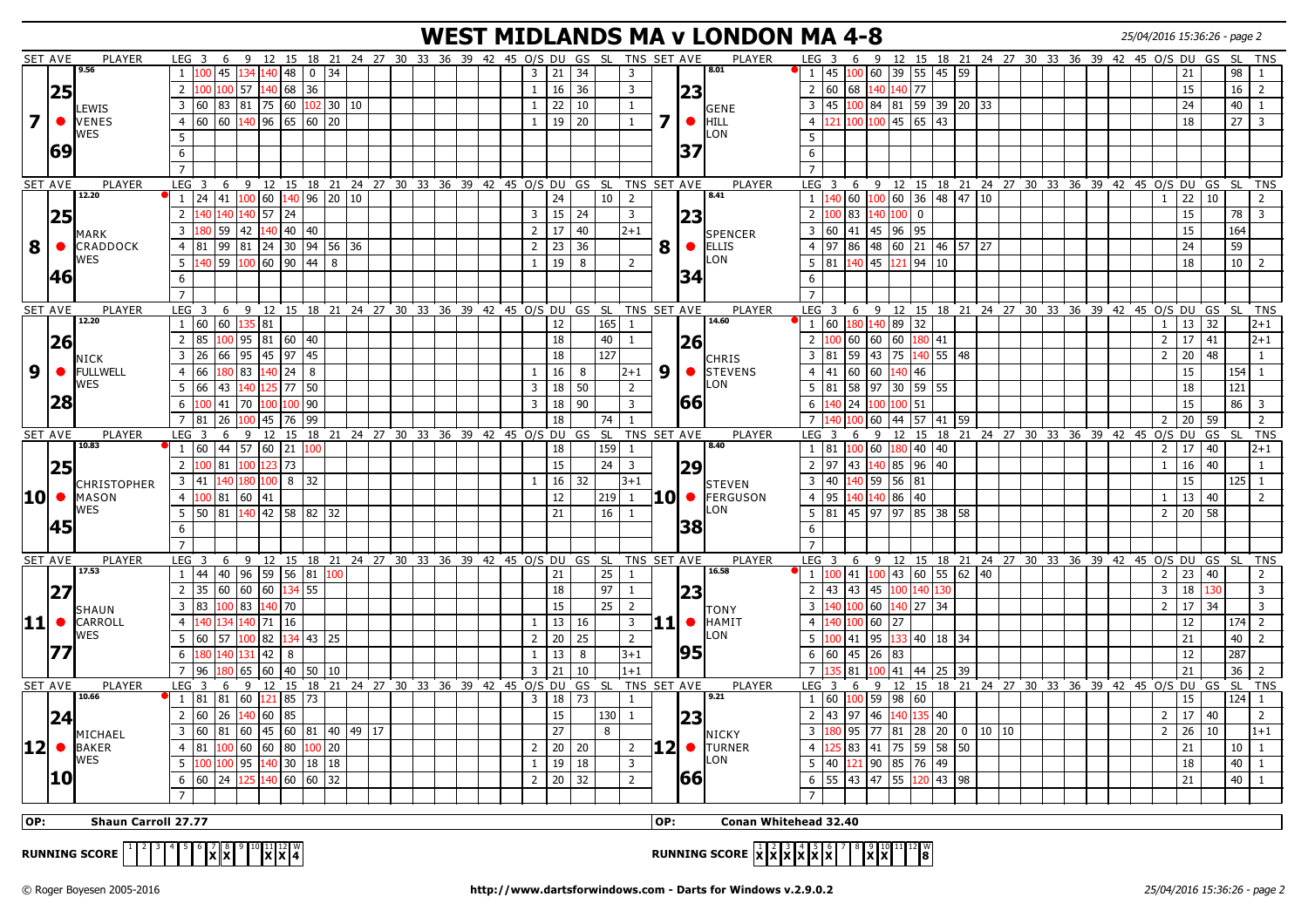## **WEST MIDLANDS MA v LONDON MA 4-8** 25/04/2016 15:36:26 - page 2

| 9 12 15 18 21 24 27 30 33 36 39 42 45 0/S DU<br>9 12 15 18 21 24 27 30 33 36 39 42 45 0/S DU GS<br>9.56<br>8.01<br>45 100 60 39 55 45 59<br>45<br>134 140 48<br>$0 \mid 34$<br>3<br>21<br>34<br>100<br>3<br><sup>1</sup><br>21<br>1<br>16<br>2   60   68<br>140 140 77<br>100 100 57<br>140 68<br>36<br>36<br>3<br>15<br>2<br>$\mathbf{1}$<br> 25<br> 23<br> 60   83   81   75   60<br>22<br>3 45 100 84 81 59 39 20 33<br>24<br>3<br>$102$ 30 10<br>  10<br>$\mathbf{1}$<br>$\mathbf{1}$<br>LEWIS<br>GENE<br>$\overline{\mathbf{z}}$<br>7<br>60 60 $140$ 96 65 60 20<br>$\bullet$<br>121 100 100 45 65 43<br>19<br>20<br>18<br>● VENES<br>$\overline{4}$<br>$\mathbf{1}$<br>$\mathbf{1}$<br>$\overline{4}$<br>HILL<br>WES<br>_ON<br>5<br>-5<br> 69<br> 37<br>6<br>6<br>$\overline{7}$<br>$\overline{7}$<br><b>PLAYER</b><br>6 9 12 15 18 21 24 27 30 33 36 39 42 45 O/S DU GS SL TNS SET AVE<br><b>PLAYER</b><br>6 9 12 15 18 21 24 27 30 33 36 39 42 45 0/S DU GS SL<br>SET AVE<br>LEG <sub>3</sub><br>LEG <sub>3</sub><br>12.20<br>8.41<br>$1 \mid 24 \mid 41 \mid 100 \mid 60 \mid 140 \mid 96 \mid 20 \mid 10$<br>10 <sup>1</sup><br>$\vert 100 \vert 60 \vert 36 \vert 48 \vert 47 \vert 10$<br>$22 \mid 10$<br>24<br>$\overline{2}$<br>$1 \vert 140 \vert 60$<br>$\mathbf{1}$<br>140 140 140 57 24<br>$\mathbf 0$<br>15<br>$\overline{2}$<br>$\vert$ 15<br>24<br>3<br>$\overline{2}$<br>00 83<br>140 100<br>25<br>$\overline{3}$<br> 23<br>180 59<br>42<br>$140$ 40 40<br>17<br>3 60<br>41 45 96 95<br>15<br>3<br>$2^{\circ}$<br>40<br>$2 + 1$<br>SPENCER<br><b>MARK</b><br>8<br> 23 36<br>8<br>$\bullet$ ELLIS<br>24<br>CRADDOCK<br>81  99  81  24  30  94  56  36<br>$2^{\circ}$<br>97<br>86<br> 48  60  21  46  57  27<br>$\bullet$<br>$\overline{4}$<br>$\overline{4}$<br>WES<br>_ON<br>140   59   <mark>100</mark>   60   90   44   8<br>5<br>19<br>8<br>$\overline{2}$<br>5<br>81<br>140 45 121 94 10<br>18<br>1<br> 46<br>34<br>6<br>6<br>$\overline{7}$<br>$\overline{7}$<br>PLAYER<br>TNS SET AVE<br><b>SET AVE</b><br>6 9 12 15 18 21 24 27 30 33 36 39 42 45 0/S DU GS SL<br><b>PLAYER</b><br>LEG <sub>3</sub><br>9 12 15 18 21 24 27 30 33 36 39 42 45 0/S DU<br>LEG <sub>3</sub><br>6<br>GS<br>12.20<br>14.60<br>135 81<br>1   60   60<br>12<br>165<br>1 60<br>180 140 89 32<br>13<br>32<br>-1<br>$\mathbf{1}$<br>$100$ 95 81 60 40<br>$\overline{2}$<br>l 85<br>18<br>40<br>100 60 60 60<br>$\overline{2}$<br>$17$ 41<br>$\overline{2}$<br>180 41<br> 26 <br>1<br> 26<br>95 45 97<br>127<br>43 75 140 55 48<br>20<br>48<br>$\overline{3}$<br>26 66<br>45<br>18<br>$\overline{3}$<br>81<br>l 59<br>$\overline{2}$<br><b>NICK</b><br>CHRIS<br>9<br>180 83<br>140 24<br>16<br>9<br>41<br>60 60 140 46<br>15<br>• FULLWELL<br>66<br>8<br>8<br>$\bullet$<br><b>ISTEVENS</b><br>$\overline{4}$<br>$\mathbf{1}$<br>$2 + 1$<br>$\overline{4}$<br><b>WES</b><br>.ON<br>5<br>66<br>43<br>L25 77<br>50<br>18<br>50<br>$\overline{2}$<br>-5<br>58 97 30 59 55<br>18<br>140<br>$\overline{3}$<br>81<br> 28<br>1661<br>100 41<br>100 100 90<br>90<br>100 100 51<br>15<br>6<br>70<br>18<br>3<br>6<br>140   24<br>3<br>45 76<br>99<br>$\overline{7}$<br>57   41   59<br>20<br>$\overline{7}$<br>26<br>18<br>60  <br> 44<br>59<br>81<br>100<br>74<br>2<br>-1<br>TNS SET AVE<br>SET AVE<br><b>PLAYER</b><br>12<br>15<br>18 21 24 27 30 33 36 39 42 45 0/S DU<br>GS SL<br><b>PLAYER</b><br>9<br><sup>12</sup><br>15 18 21 24 27 30 33 36 39 42 45 0/S DU<br>$\mathsf{GS}$<br>LEG<br>3<br>6<br>9<br>LEG<br>6<br>10.83<br>8.40<br>$1 \mid 60 \mid 44 \mid 57 \mid 60 \mid 21$<br>159<br>$100$ 60 180 40 40<br>$\overline{2}$<br>17<br>18<br>1 81<br>40<br>100<br>1<br>123 73<br>15<br>24<br>$140$ 85 96 40<br>$16 \mid 40$<br>100 81<br>100<br>$\overline{\mathbf{3}}$<br>2 97 43<br> 25<br>$\overline{2}$<br>$\mathbf{1}$<br> 29<br>15<br>16<br>3 40<br>$140$ 59 56 81<br>$\overline{3}$<br> 41 <br>180<br>$100$ 8<br>32<br>32<br>$3 + 1$<br>140<br>$\mathbf{1}$<br>CHRISTOPHER<br><b>STEVEN</b><br>10 • MASON<br>12<br><b>10 •</b><br>4 95<br>140 140 86 40<br>$13 \mid 40$<br>$\overline{4}$<br>100 81<br>60<br> 41<br>219<br>FERGUSON<br>1<br>1<br>WES<br>.ON<br>$140$ 42 58 82 32<br>16<br> 45  97  97  85  38  58<br>$2 \mid 20 \mid 58$<br>5<br>  50   81<br>21<br>$5 \vert 81$<br>$\mathbf{1}$<br> 45<br> 38<br>6<br>6<br>$\overline{7}$<br>$\overline{7}$<br>SET AVE<br>PLAYER<br>LEG <sub>3</sub><br>9<br>12 15 18 21 24 27 30 33 36 39 42 45 0/S DU GS SL<br>TNS SET AVE<br><b>PLAYER</b><br>LEG <sub>3</sub><br>6<br>9 <sub>12</sub><br>15 18 21 24 27 30 33 36 39 42 45 0/S DU GS<br>6<br>17.53<br>16.58<br>$\overline{25}$<br>$60$ 55 62 40<br>$\overline{23}$<br>40<br>96 59 56<br>$\sqrt{81}$<br><sup>1</sup><br>41<br>$100$ 43<br>$\overline{2}$<br>44<br>21<br>100<br>40<br>1<br>-1<br>60 60 134 55<br>$18\,$<br>97<br>43 43<br>45 100 140<br>$\overline{3}$<br>18 130<br> 27<br>2<br>35 60<br>2 <sup>1</sup><br>L30<br>-1<br> 23<br>25<br>15<br>17<br>34<br>$\overline{3}$<br>83<br>100 <sub>1</sub><br>83<br>140   70<br>$\overline{2}$<br>$\overline{3}$<br>40 100 60 140 27 34<br>$\overline{2}$<br><b>SHAUN</b><br><b>TONY</b><br> 11 <br>13 16<br><b>11 •</b><br>140 100 60 27<br>12<br>CARROLL<br>$140$ 71 16<br>3<br>$\overline{4}$<br>140 134<br>HAMIT<br>$\overline{4}$<br>$\mathbf{1}$<br>WES<br>LON<br>  82   134   43   25<br>20<br>25<br>$\overline{2}$<br> 95  133  40   18   34<br>21<br>5<br>60 57<br>100<br>$\overline{2}$<br>5<br> 41<br>00 <sup>1</sup><br> 77<br>95<br>180 140 131 42 8<br>13<br>60 45 26 83<br>6<br>8<br>$3 + 1$<br>6<br>12<br>$\mathbf{1}$<br>$\overline{7}$<br>160<br>40<br>21<br>10<br>$1 + 1$<br>$\overline{7}$<br>100 41<br>21<br>96<br>65<br>50 10<br>$\overline{3}$<br>81<br>44 25 39<br><b>SET AVE</b><br><b>PLAYER</b><br>LEG <sub>3</sub><br>9<br>12 15 18 21 24 27 30 33 36 39 42 45 0/S DU<br><b>GS</b><br><b>SL</b><br>TNS SET AVE<br><b>PLAYER</b><br>6<br>9<br>12 15 18 21 24 27 30 33 36 39 42 45 O/S DU GS<br>6<br>LEG <sub>3</sub><br>10.66<br>9.21<br>60<br>121   85<br>3   18   73<br>$100$ 59 98 60<br>15<br>$1 \mid 81 \mid 81$<br>73<br>1 60<br>1<br>60 26<br>$140$ 60 85<br>15<br>$\overline{2}$<br>43 97<br>46 140<br>$17 \mid 40$<br>$\overline{2}$<br>130 <br>$\mathbf{1}$<br>135 40<br>$\overline{2}$<br> 24<br> 23<br>27<br>26<br> 60   81<br> 60  45  60  81  40  49  17<br>8<br> 77  81  28  20   0  10  10<br>$\overline{2}$<br>10<br>$\overline{3}$<br>$\overline{\mathbf{3}}$<br>80 95<br>MICHAEL<br>NICKY<br>$ 12 $ $\bullet$ BAKER<br>12I ●<br>60 60 80<br>$100$ 20<br>  20   20<br> 41  75  59  58  50<br>21<br>$\overline{4}$<br>81<br>100<br>$2^{\circ}$<br><b>TURNER</b><br>25 83<br>$\overline{2}$<br>$\overline{4}$<br>WES<br>LON<br>19<br>$\overline{3}$<br>76 49<br>5<br>95<br>140 30<br>18 18<br>18<br>5<br>40<br> 90  85<br>18<br>100 l<br>121<br>100<br>$\mathbf{1}$<br> 10<br><b>66</b><br>$\boxed{47}$ 55 120 43 98<br>  60   24   125   140   60   60   32<br>$2^{\circ}$<br> 20 <br>32<br>$\overline{2}$<br>$6$ 55 43<br>21<br>6 | SET AVE | PLAYER |                | LEG <sub>3</sub> | 6 |  |  |  |  |  |  |  | GS SL | TNS SET AVE |  | PLAYER | LEG <sub>3</sub> | 6 |  |  |  |  |  |  |           | <b>SL</b>       | <b>TNS</b>              |
|---------------------------------------------------------------------------------------------------------------------------------------------------------------------------------------------------------------------------------------------------------------------------------------------------------------------------------------------------------------------------------------------------------------------------------------------------------------------------------------------------------------------------------------------------------------------------------------------------------------------------------------------------------------------------------------------------------------------------------------------------------------------------------------------------------------------------------------------------------------------------------------------------------------------------------------------------------------------------------------------------------------------------------------------------------------------------------------------------------------------------------------------------------------------------------------------------------------------------------------------------------------------------------------------------------------------------------------------------------------------------------------------------------------------------------------------------------------------------------------------------------------------------------------------------------------------------------------------------------------------------------------------------------------------------------------------------------------------------------------------------------------------------------------------------------------------------------------------------------------------------------------------------------------------------------------------------------------------------------------------------------------------------------------------------------------------------------------------------------------------------------------------------------------------------------------------------------------------------------------------------------------------------------------------------------------------------------------------------------------------------------------------------------------------------------------------------------------------------------------------------------------------------------------------------------------------------------------------------------------------------------------------------------------------------------------------------------------------------------------------------------------------------------------------------------------------------------------------------------------------------------------------------------------------------------------------------------------------------------------------------------------------------------------------------------------------------------------------------------------------------------------------------------------------------------------------------------------------------------------------------------------------------------------------------------------------------------------------------------------------------------------------------------------------------------------------------------------------------------------------------------------------------------------------------------------------------------------------------------------------------------------------------------------------------------------------------------------------------------------------------------------------------------------------------------------------------------------------------------------------------------------------------------------------------------------------------------------------------------------------------------------------------------------------------------------------------------------------------------------------------------------------------------------------------------------------------------------------------------------------------------------------------------------------------------------------------------------------------------------------------------------------------------------------------------------------------------------------------------------------------------------------------------------------------------------------------------------------------------------------------------------------------------------------------------------------------------------------------------------------------------------------------------------------------------------------------------------------------------------------------------------------------------------------------------------------------------------------------------------------------------------------------------------------------------------------------------------------------------------------------------------------------------------------------------------------------------------------------------------------------------------------------------------------------------------------------------------------------------------------------------------------------------------------------------------------------------------------------------------------------------------------------------------------------------------------------------------------------------------------------------------------------------------------------------------------------------------------------------------------------------------------------------------------------------------------------------------------------------------------------------------------------------------------------------------------------------------------------------------------------------------------------------------------------------------------------------------------------------------------------------------------------------------------------------------------------------------------------------------------------------------------------------------------------------------------------------------------------------------------------------------------------------------------------------------------------------------------------------------------------------------------------------------------------------------------------------------------------------------------------------------------------------------------------------------------------------------------------------------------------------------------------------------------------------------------------------------------------------------------------------------------------------------------------------------------------------------------------------------------------------------------------------------------|---------|--------|----------------|------------------|---|--|--|--|--|--|--|--|-------|-------------|--|--------|------------------|---|--|--|--|--|--|--|-----------|-----------------|-------------------------|
|                                                                                                                                                                                                                                                                                                                                                                                                                                                                                                                                                                                                                                                                                                                                                                                                                                                                                                                                                                                                                                                                                                                                                                                                                                                                                                                                                                                                                                                                                                                                                                                                                                                                                                                                                                                                                                                                                                                                                                                                                                                                                                                                                                                                                                                                                                                                                                                                                                                                                                                                                                                                                                                                                                                                                                                                                                                                                                                                                                                                                                                                                                                                                                                                                                                                                                                                                                                                                                                                                                                                                                                                                                                                                                                                                                                                                                                                                                                                                                                                                                                                                                                                                                                                                                                                                                                                                                                                                                                                                                                                                                                                                                                                                                                                                                                                                                                                                                                                                                                                                                                                                                                                                                                                                                                                                                                                                                                                                                                                                                                                                                                                                                                                                                                                                                                                                                                                                                                                                                                                                                                                                                                                                                                                                                                                                                                                                                                                                                                                                                                                                                                                                                                                                                                                                                                                                                                                                                                                                                                                                                             |         |        |                |                  |   |  |  |  |  |  |  |  |       |             |  |        |                  |   |  |  |  |  |  |  |           | 98              | $\overline{1}$          |
|                                                                                                                                                                                                                                                                                                                                                                                                                                                                                                                                                                                                                                                                                                                                                                                                                                                                                                                                                                                                                                                                                                                                                                                                                                                                                                                                                                                                                                                                                                                                                                                                                                                                                                                                                                                                                                                                                                                                                                                                                                                                                                                                                                                                                                                                                                                                                                                                                                                                                                                                                                                                                                                                                                                                                                                                                                                                                                                                                                                                                                                                                                                                                                                                                                                                                                                                                                                                                                                                                                                                                                                                                                                                                                                                                                                                                                                                                                                                                                                                                                                                                                                                                                                                                                                                                                                                                                                                                                                                                                                                                                                                                                                                                                                                                                                                                                                                                                                                                                                                                                                                                                                                                                                                                                                                                                                                                                                                                                                                                                                                                                                                                                                                                                                                                                                                                                                                                                                                                                                                                                                                                                                                                                                                                                                                                                                                                                                                                                                                                                                                                                                                                                                                                                                                                                                                                                                                                                                                                                                                                                             |         |        |                |                  |   |  |  |  |  |  |  |  |       |             |  |        |                  |   |  |  |  |  |  |  |           | 16              | $\overline{2}$          |
|                                                                                                                                                                                                                                                                                                                                                                                                                                                                                                                                                                                                                                                                                                                                                                                                                                                                                                                                                                                                                                                                                                                                                                                                                                                                                                                                                                                                                                                                                                                                                                                                                                                                                                                                                                                                                                                                                                                                                                                                                                                                                                                                                                                                                                                                                                                                                                                                                                                                                                                                                                                                                                                                                                                                                                                                                                                                                                                                                                                                                                                                                                                                                                                                                                                                                                                                                                                                                                                                                                                                                                                                                                                                                                                                                                                                                                                                                                                                                                                                                                                                                                                                                                                                                                                                                                                                                                                                                                                                                                                                                                                                                                                                                                                                                                                                                                                                                                                                                                                                                                                                                                                                                                                                                                                                                                                                                                                                                                                                                                                                                                                                                                                                                                                                                                                                                                                                                                                                                                                                                                                                                                                                                                                                                                                                                                                                                                                                                                                                                                                                                                                                                                                                                                                                                                                                                                                                                                                                                                                                                                             |         |        |                |                  |   |  |  |  |  |  |  |  |       |             |  |        |                  |   |  |  |  |  |  |  |           | 40              | $\mathbf{1}$            |
|                                                                                                                                                                                                                                                                                                                                                                                                                                                                                                                                                                                                                                                                                                                                                                                                                                                                                                                                                                                                                                                                                                                                                                                                                                                                                                                                                                                                                                                                                                                                                                                                                                                                                                                                                                                                                                                                                                                                                                                                                                                                                                                                                                                                                                                                                                                                                                                                                                                                                                                                                                                                                                                                                                                                                                                                                                                                                                                                                                                                                                                                                                                                                                                                                                                                                                                                                                                                                                                                                                                                                                                                                                                                                                                                                                                                                                                                                                                                                                                                                                                                                                                                                                                                                                                                                                                                                                                                                                                                                                                                                                                                                                                                                                                                                                                                                                                                                                                                                                                                                                                                                                                                                                                                                                                                                                                                                                                                                                                                                                                                                                                                                                                                                                                                                                                                                                                                                                                                                                                                                                                                                                                                                                                                                                                                                                                                                                                                                                                                                                                                                                                                                                                                                                                                                                                                                                                                                                                                                                                                                                             |         |        |                |                  |   |  |  |  |  |  |  |  |       |             |  |        |                  |   |  |  |  |  |  |  |           |                 |                         |
|                                                                                                                                                                                                                                                                                                                                                                                                                                                                                                                                                                                                                                                                                                                                                                                                                                                                                                                                                                                                                                                                                                                                                                                                                                                                                                                                                                                                                                                                                                                                                                                                                                                                                                                                                                                                                                                                                                                                                                                                                                                                                                                                                                                                                                                                                                                                                                                                                                                                                                                                                                                                                                                                                                                                                                                                                                                                                                                                                                                                                                                                                                                                                                                                                                                                                                                                                                                                                                                                                                                                                                                                                                                                                                                                                                                                                                                                                                                                                                                                                                                                                                                                                                                                                                                                                                                                                                                                                                                                                                                                                                                                                                                                                                                                                                                                                                                                                                                                                                                                                                                                                                                                                                                                                                                                                                                                                                                                                                                                                                                                                                                                                                                                                                                                                                                                                                                                                                                                                                                                                                                                                                                                                                                                                                                                                                                                                                                                                                                                                                                                                                                                                                                                                                                                                                                                                                                                                                                                                                                                                                             |         |        |                |                  |   |  |  |  |  |  |  |  |       |             |  |        |                  |   |  |  |  |  |  |  |           | $\overline{27}$ | $\overline{\mathbf{3}}$ |
|                                                                                                                                                                                                                                                                                                                                                                                                                                                                                                                                                                                                                                                                                                                                                                                                                                                                                                                                                                                                                                                                                                                                                                                                                                                                                                                                                                                                                                                                                                                                                                                                                                                                                                                                                                                                                                                                                                                                                                                                                                                                                                                                                                                                                                                                                                                                                                                                                                                                                                                                                                                                                                                                                                                                                                                                                                                                                                                                                                                                                                                                                                                                                                                                                                                                                                                                                                                                                                                                                                                                                                                                                                                                                                                                                                                                                                                                                                                                                                                                                                                                                                                                                                                                                                                                                                                                                                                                                                                                                                                                                                                                                                                                                                                                                                                                                                                                                                                                                                                                                                                                                                                                                                                                                                                                                                                                                                                                                                                                                                                                                                                                                                                                                                                                                                                                                                                                                                                                                                                                                                                                                                                                                                                                                                                                                                                                                                                                                                                                                                                                                                                                                                                                                                                                                                                                                                                                                                                                                                                                                                             |         |        |                |                  |   |  |  |  |  |  |  |  |       |             |  |        |                  |   |  |  |  |  |  |  |           |                 |                         |
|                                                                                                                                                                                                                                                                                                                                                                                                                                                                                                                                                                                                                                                                                                                                                                                                                                                                                                                                                                                                                                                                                                                                                                                                                                                                                                                                                                                                                                                                                                                                                                                                                                                                                                                                                                                                                                                                                                                                                                                                                                                                                                                                                                                                                                                                                                                                                                                                                                                                                                                                                                                                                                                                                                                                                                                                                                                                                                                                                                                                                                                                                                                                                                                                                                                                                                                                                                                                                                                                                                                                                                                                                                                                                                                                                                                                                                                                                                                                                                                                                                                                                                                                                                                                                                                                                                                                                                                                                                                                                                                                                                                                                                                                                                                                                                                                                                                                                                                                                                                                                                                                                                                                                                                                                                                                                                                                                                                                                                                                                                                                                                                                                                                                                                                                                                                                                                                                                                                                                                                                                                                                                                                                                                                                                                                                                                                                                                                                                                                                                                                                                                                                                                                                                                                                                                                                                                                                                                                                                                                                                                             |         |        |                |                  |   |  |  |  |  |  |  |  |       |             |  |        |                  |   |  |  |  |  |  |  |           |                 |                         |
|                                                                                                                                                                                                                                                                                                                                                                                                                                                                                                                                                                                                                                                                                                                                                                                                                                                                                                                                                                                                                                                                                                                                                                                                                                                                                                                                                                                                                                                                                                                                                                                                                                                                                                                                                                                                                                                                                                                                                                                                                                                                                                                                                                                                                                                                                                                                                                                                                                                                                                                                                                                                                                                                                                                                                                                                                                                                                                                                                                                                                                                                                                                                                                                                                                                                                                                                                                                                                                                                                                                                                                                                                                                                                                                                                                                                                                                                                                                                                                                                                                                                                                                                                                                                                                                                                                                                                                                                                                                                                                                                                                                                                                                                                                                                                                                                                                                                                                                                                                                                                                                                                                                                                                                                                                                                                                                                                                                                                                                                                                                                                                                                                                                                                                                                                                                                                                                                                                                                                                                                                                                                                                                                                                                                                                                                                                                                                                                                                                                                                                                                                                                                                                                                                                                                                                                                                                                                                                                                                                                                                                             |         |        |                |                  |   |  |  |  |  |  |  |  |       |             |  |        |                  |   |  |  |  |  |  |  |           |                 |                         |
|                                                                                                                                                                                                                                                                                                                                                                                                                                                                                                                                                                                                                                                                                                                                                                                                                                                                                                                                                                                                                                                                                                                                                                                                                                                                                                                                                                                                                                                                                                                                                                                                                                                                                                                                                                                                                                                                                                                                                                                                                                                                                                                                                                                                                                                                                                                                                                                                                                                                                                                                                                                                                                                                                                                                                                                                                                                                                                                                                                                                                                                                                                                                                                                                                                                                                                                                                                                                                                                                                                                                                                                                                                                                                                                                                                                                                                                                                                                                                                                                                                                                                                                                                                                                                                                                                                                                                                                                                                                                                                                                                                                                                                                                                                                                                                                                                                                                                                                                                                                                                                                                                                                                                                                                                                                                                                                                                                                                                                                                                                                                                                                                                                                                                                                                                                                                                                                                                                                                                                                                                                                                                                                                                                                                                                                                                                                                                                                                                                                                                                                                                                                                                                                                                                                                                                                                                                                                                                                                                                                                                                             |         |        |                |                  |   |  |  |  |  |  |  |  |       |             |  |        |                  |   |  |  |  |  |  |  |           |                 | <b>TNS</b>              |
|                                                                                                                                                                                                                                                                                                                                                                                                                                                                                                                                                                                                                                                                                                                                                                                                                                                                                                                                                                                                                                                                                                                                                                                                                                                                                                                                                                                                                                                                                                                                                                                                                                                                                                                                                                                                                                                                                                                                                                                                                                                                                                                                                                                                                                                                                                                                                                                                                                                                                                                                                                                                                                                                                                                                                                                                                                                                                                                                                                                                                                                                                                                                                                                                                                                                                                                                                                                                                                                                                                                                                                                                                                                                                                                                                                                                                                                                                                                                                                                                                                                                                                                                                                                                                                                                                                                                                                                                                                                                                                                                                                                                                                                                                                                                                                                                                                                                                                                                                                                                                                                                                                                                                                                                                                                                                                                                                                                                                                                                                                                                                                                                                                                                                                                                                                                                                                                                                                                                                                                                                                                                                                                                                                                                                                                                                                                                                                                                                                                                                                                                                                                                                                                                                                                                                                                                                                                                                                                                                                                                                                             |         |        |                |                  |   |  |  |  |  |  |  |  |       |             |  |        |                  |   |  |  |  |  |  |  |           |                 | 2                       |
|                                                                                                                                                                                                                                                                                                                                                                                                                                                                                                                                                                                                                                                                                                                                                                                                                                                                                                                                                                                                                                                                                                                                                                                                                                                                                                                                                                                                                                                                                                                                                                                                                                                                                                                                                                                                                                                                                                                                                                                                                                                                                                                                                                                                                                                                                                                                                                                                                                                                                                                                                                                                                                                                                                                                                                                                                                                                                                                                                                                                                                                                                                                                                                                                                                                                                                                                                                                                                                                                                                                                                                                                                                                                                                                                                                                                                                                                                                                                                                                                                                                                                                                                                                                                                                                                                                                                                                                                                                                                                                                                                                                                                                                                                                                                                                                                                                                                                                                                                                                                                                                                                                                                                                                                                                                                                                                                                                                                                                                                                                                                                                                                                                                                                                                                                                                                                                                                                                                                                                                                                                                                                                                                                                                                                                                                                                                                                                                                                                                                                                                                                                                                                                                                                                                                                                                                                                                                                                                                                                                                                                             |         |        |                |                  |   |  |  |  |  |  |  |  |       |             |  |        |                  |   |  |  |  |  |  |  |           | 78              | $\overline{3}$          |
|                                                                                                                                                                                                                                                                                                                                                                                                                                                                                                                                                                                                                                                                                                                                                                                                                                                                                                                                                                                                                                                                                                                                                                                                                                                                                                                                                                                                                                                                                                                                                                                                                                                                                                                                                                                                                                                                                                                                                                                                                                                                                                                                                                                                                                                                                                                                                                                                                                                                                                                                                                                                                                                                                                                                                                                                                                                                                                                                                                                                                                                                                                                                                                                                                                                                                                                                                                                                                                                                                                                                                                                                                                                                                                                                                                                                                                                                                                                                                                                                                                                                                                                                                                                                                                                                                                                                                                                                                                                                                                                                                                                                                                                                                                                                                                                                                                                                                                                                                                                                                                                                                                                                                                                                                                                                                                                                                                                                                                                                                                                                                                                                                                                                                                                                                                                                                                                                                                                                                                                                                                                                                                                                                                                                                                                                                                                                                                                                                                                                                                                                                                                                                                                                                                                                                                                                                                                                                                                                                                                                                                             |         |        |                |                  |   |  |  |  |  |  |  |  |       |             |  |        |                  |   |  |  |  |  |  |  |           | 164             |                         |
|                                                                                                                                                                                                                                                                                                                                                                                                                                                                                                                                                                                                                                                                                                                                                                                                                                                                                                                                                                                                                                                                                                                                                                                                                                                                                                                                                                                                                                                                                                                                                                                                                                                                                                                                                                                                                                                                                                                                                                                                                                                                                                                                                                                                                                                                                                                                                                                                                                                                                                                                                                                                                                                                                                                                                                                                                                                                                                                                                                                                                                                                                                                                                                                                                                                                                                                                                                                                                                                                                                                                                                                                                                                                                                                                                                                                                                                                                                                                                                                                                                                                                                                                                                                                                                                                                                                                                                                                                                                                                                                                                                                                                                                                                                                                                                                                                                                                                                                                                                                                                                                                                                                                                                                                                                                                                                                                                                                                                                                                                                                                                                                                                                                                                                                                                                                                                                                                                                                                                                                                                                                                                                                                                                                                                                                                                                                                                                                                                                                                                                                                                                                                                                                                                                                                                                                                                                                                                                                                                                                                                                             |         |        |                |                  |   |  |  |  |  |  |  |  |       |             |  |        |                  |   |  |  |  |  |  |  |           | 59              |                         |
|                                                                                                                                                                                                                                                                                                                                                                                                                                                                                                                                                                                                                                                                                                                                                                                                                                                                                                                                                                                                                                                                                                                                                                                                                                                                                                                                                                                                                                                                                                                                                                                                                                                                                                                                                                                                                                                                                                                                                                                                                                                                                                                                                                                                                                                                                                                                                                                                                                                                                                                                                                                                                                                                                                                                                                                                                                                                                                                                                                                                                                                                                                                                                                                                                                                                                                                                                                                                                                                                                                                                                                                                                                                                                                                                                                                                                                                                                                                                                                                                                                                                                                                                                                                                                                                                                                                                                                                                                                                                                                                                                                                                                                                                                                                                                                                                                                                                                                                                                                                                                                                                                                                                                                                                                                                                                                                                                                                                                                                                                                                                                                                                                                                                                                                                                                                                                                                                                                                                                                                                                                                                                                                                                                                                                                                                                                                                                                                                                                                                                                                                                                                                                                                                                                                                                                                                                                                                                                                                                                                                                                             |         |        |                |                  |   |  |  |  |  |  |  |  |       |             |  |        |                  |   |  |  |  |  |  |  |           | 10              | $\sqrt{2}$              |
|                                                                                                                                                                                                                                                                                                                                                                                                                                                                                                                                                                                                                                                                                                                                                                                                                                                                                                                                                                                                                                                                                                                                                                                                                                                                                                                                                                                                                                                                                                                                                                                                                                                                                                                                                                                                                                                                                                                                                                                                                                                                                                                                                                                                                                                                                                                                                                                                                                                                                                                                                                                                                                                                                                                                                                                                                                                                                                                                                                                                                                                                                                                                                                                                                                                                                                                                                                                                                                                                                                                                                                                                                                                                                                                                                                                                                                                                                                                                                                                                                                                                                                                                                                                                                                                                                                                                                                                                                                                                                                                                                                                                                                                                                                                                                                                                                                                                                                                                                                                                                                                                                                                                                                                                                                                                                                                                                                                                                                                                                                                                                                                                                                                                                                                                                                                                                                                                                                                                                                                                                                                                                                                                                                                                                                                                                                                                                                                                                                                                                                                                                                                                                                                                                                                                                                                                                                                                                                                                                                                                                                             |         |        |                |                  |   |  |  |  |  |  |  |  |       |             |  |        |                  |   |  |  |  |  |  |  |           |                 |                         |
|                                                                                                                                                                                                                                                                                                                                                                                                                                                                                                                                                                                                                                                                                                                                                                                                                                                                                                                                                                                                                                                                                                                                                                                                                                                                                                                                                                                                                                                                                                                                                                                                                                                                                                                                                                                                                                                                                                                                                                                                                                                                                                                                                                                                                                                                                                                                                                                                                                                                                                                                                                                                                                                                                                                                                                                                                                                                                                                                                                                                                                                                                                                                                                                                                                                                                                                                                                                                                                                                                                                                                                                                                                                                                                                                                                                                                                                                                                                                                                                                                                                                                                                                                                                                                                                                                                                                                                                                                                                                                                                                                                                                                                                                                                                                                                                                                                                                                                                                                                                                                                                                                                                                                                                                                                                                                                                                                                                                                                                                                                                                                                                                                                                                                                                                                                                                                                                                                                                                                                                                                                                                                                                                                                                                                                                                                                                                                                                                                                                                                                                                                                                                                                                                                                                                                                                                                                                                                                                                                                                                                                             |         |        |                |                  |   |  |  |  |  |  |  |  |       |             |  |        |                  |   |  |  |  |  |  |  |           |                 |                         |
|                                                                                                                                                                                                                                                                                                                                                                                                                                                                                                                                                                                                                                                                                                                                                                                                                                                                                                                                                                                                                                                                                                                                                                                                                                                                                                                                                                                                                                                                                                                                                                                                                                                                                                                                                                                                                                                                                                                                                                                                                                                                                                                                                                                                                                                                                                                                                                                                                                                                                                                                                                                                                                                                                                                                                                                                                                                                                                                                                                                                                                                                                                                                                                                                                                                                                                                                                                                                                                                                                                                                                                                                                                                                                                                                                                                                                                                                                                                                                                                                                                                                                                                                                                                                                                                                                                                                                                                                                                                                                                                                                                                                                                                                                                                                                                                                                                                                                                                                                                                                                                                                                                                                                                                                                                                                                                                                                                                                                                                                                                                                                                                                                                                                                                                                                                                                                                                                                                                                                                                                                                                                                                                                                                                                                                                                                                                                                                                                                                                                                                                                                                                                                                                                                                                                                                                                                                                                                                                                                                                                                                             |         |        |                |                  |   |  |  |  |  |  |  |  |       |             |  |        |                  |   |  |  |  |  |  |  |           |                 |                         |
|                                                                                                                                                                                                                                                                                                                                                                                                                                                                                                                                                                                                                                                                                                                                                                                                                                                                                                                                                                                                                                                                                                                                                                                                                                                                                                                                                                                                                                                                                                                                                                                                                                                                                                                                                                                                                                                                                                                                                                                                                                                                                                                                                                                                                                                                                                                                                                                                                                                                                                                                                                                                                                                                                                                                                                                                                                                                                                                                                                                                                                                                                                                                                                                                                                                                                                                                                                                                                                                                                                                                                                                                                                                                                                                                                                                                                                                                                                                                                                                                                                                                                                                                                                                                                                                                                                                                                                                                                                                                                                                                                                                                                                                                                                                                                                                                                                                                                                                                                                                                                                                                                                                                                                                                                                                                                                                                                                                                                                                                                                                                                                                                                                                                                                                                                                                                                                                                                                                                                                                                                                                                                                                                                                                                                                                                                                                                                                                                                                                                                                                                                                                                                                                                                                                                                                                                                                                                                                                                                                                                                                             |         |        |                |                  |   |  |  |  |  |  |  |  |       |             |  |        |                  |   |  |  |  |  |  |  | <b>SL</b> |                 | <b>TNS</b>              |
|                                                                                                                                                                                                                                                                                                                                                                                                                                                                                                                                                                                                                                                                                                                                                                                                                                                                                                                                                                                                                                                                                                                                                                                                                                                                                                                                                                                                                                                                                                                                                                                                                                                                                                                                                                                                                                                                                                                                                                                                                                                                                                                                                                                                                                                                                                                                                                                                                                                                                                                                                                                                                                                                                                                                                                                                                                                                                                                                                                                                                                                                                                                                                                                                                                                                                                                                                                                                                                                                                                                                                                                                                                                                                                                                                                                                                                                                                                                                                                                                                                                                                                                                                                                                                                                                                                                                                                                                                                                                                                                                                                                                                                                                                                                                                                                                                                                                                                                                                                                                                                                                                                                                                                                                                                                                                                                                                                                                                                                                                                                                                                                                                                                                                                                                                                                                                                                                                                                                                                                                                                                                                                                                                                                                                                                                                                                                                                                                                                                                                                                                                                                                                                                                                                                                                                                                                                                                                                                                                                                                                                             |         |        |                |                  |   |  |  |  |  |  |  |  |       |             |  |        |                  |   |  |  |  |  |  |  |           |                 | $2 + 1$                 |
|                                                                                                                                                                                                                                                                                                                                                                                                                                                                                                                                                                                                                                                                                                                                                                                                                                                                                                                                                                                                                                                                                                                                                                                                                                                                                                                                                                                                                                                                                                                                                                                                                                                                                                                                                                                                                                                                                                                                                                                                                                                                                                                                                                                                                                                                                                                                                                                                                                                                                                                                                                                                                                                                                                                                                                                                                                                                                                                                                                                                                                                                                                                                                                                                                                                                                                                                                                                                                                                                                                                                                                                                                                                                                                                                                                                                                                                                                                                                                                                                                                                                                                                                                                                                                                                                                                                                                                                                                                                                                                                                                                                                                                                                                                                                                                                                                                                                                                                                                                                                                                                                                                                                                                                                                                                                                                                                                                                                                                                                                                                                                                                                                                                                                                                                                                                                                                                                                                                                                                                                                                                                                                                                                                                                                                                                                                                                                                                                                                                                                                                                                                                                                                                                                                                                                                                                                                                                                                                                                                                                                                             |         |        |                |                  |   |  |  |  |  |  |  |  |       |             |  |        |                  |   |  |  |  |  |  |  |           |                 | $ 2+1 $                 |
|                                                                                                                                                                                                                                                                                                                                                                                                                                                                                                                                                                                                                                                                                                                                                                                                                                                                                                                                                                                                                                                                                                                                                                                                                                                                                                                                                                                                                                                                                                                                                                                                                                                                                                                                                                                                                                                                                                                                                                                                                                                                                                                                                                                                                                                                                                                                                                                                                                                                                                                                                                                                                                                                                                                                                                                                                                                                                                                                                                                                                                                                                                                                                                                                                                                                                                                                                                                                                                                                                                                                                                                                                                                                                                                                                                                                                                                                                                                                                                                                                                                                                                                                                                                                                                                                                                                                                                                                                                                                                                                                                                                                                                                                                                                                                                                                                                                                                                                                                                                                                                                                                                                                                                                                                                                                                                                                                                                                                                                                                                                                                                                                                                                                                                                                                                                                                                                                                                                                                                                                                                                                                                                                                                                                                                                                                                                                                                                                                                                                                                                                                                                                                                                                                                                                                                                                                                                                                                                                                                                                                                             |         |        |                |                  |   |  |  |  |  |  |  |  |       |             |  |        |                  |   |  |  |  |  |  |  |           |                 | $\mathbf{1}$            |
|                                                                                                                                                                                                                                                                                                                                                                                                                                                                                                                                                                                                                                                                                                                                                                                                                                                                                                                                                                                                                                                                                                                                                                                                                                                                                                                                                                                                                                                                                                                                                                                                                                                                                                                                                                                                                                                                                                                                                                                                                                                                                                                                                                                                                                                                                                                                                                                                                                                                                                                                                                                                                                                                                                                                                                                                                                                                                                                                                                                                                                                                                                                                                                                                                                                                                                                                                                                                                                                                                                                                                                                                                                                                                                                                                                                                                                                                                                                                                                                                                                                                                                                                                                                                                                                                                                                                                                                                                                                                                                                                                                                                                                                                                                                                                                                                                                                                                                                                                                                                                                                                                                                                                                                                                                                                                                                                                                                                                                                                                                                                                                                                                                                                                                                                                                                                                                                                                                                                                                                                                                                                                                                                                                                                                                                                                                                                                                                                                                                                                                                                                                                                                                                                                                                                                                                                                                                                                                                                                                                                                                             |         |        |                |                  |   |  |  |  |  |  |  |  |       |             |  |        |                  |   |  |  |  |  |  |  |           | $154$ 1         |                         |
|                                                                                                                                                                                                                                                                                                                                                                                                                                                                                                                                                                                                                                                                                                                                                                                                                                                                                                                                                                                                                                                                                                                                                                                                                                                                                                                                                                                                                                                                                                                                                                                                                                                                                                                                                                                                                                                                                                                                                                                                                                                                                                                                                                                                                                                                                                                                                                                                                                                                                                                                                                                                                                                                                                                                                                                                                                                                                                                                                                                                                                                                                                                                                                                                                                                                                                                                                                                                                                                                                                                                                                                                                                                                                                                                                                                                                                                                                                                                                                                                                                                                                                                                                                                                                                                                                                                                                                                                                                                                                                                                                                                                                                                                                                                                                                                                                                                                                                                                                                                                                                                                                                                                                                                                                                                                                                                                                                                                                                                                                                                                                                                                                                                                                                                                                                                                                                                                                                                                                                                                                                                                                                                                                                                                                                                                                                                                                                                                                                                                                                                                                                                                                                                                                                                                                                                                                                                                                                                                                                                                                                             |         |        |                |                  |   |  |  |  |  |  |  |  |       |             |  |        |                  |   |  |  |  |  |  |  |           | 121             |                         |
|                                                                                                                                                                                                                                                                                                                                                                                                                                                                                                                                                                                                                                                                                                                                                                                                                                                                                                                                                                                                                                                                                                                                                                                                                                                                                                                                                                                                                                                                                                                                                                                                                                                                                                                                                                                                                                                                                                                                                                                                                                                                                                                                                                                                                                                                                                                                                                                                                                                                                                                                                                                                                                                                                                                                                                                                                                                                                                                                                                                                                                                                                                                                                                                                                                                                                                                                                                                                                                                                                                                                                                                                                                                                                                                                                                                                                                                                                                                                                                                                                                                                                                                                                                                                                                                                                                                                                                                                                                                                                                                                                                                                                                                                                                                                                                                                                                                                                                                                                                                                                                                                                                                                                                                                                                                                                                                                                                                                                                                                                                                                                                                                                                                                                                                                                                                                                                                                                                                                                                                                                                                                                                                                                                                                                                                                                                                                                                                                                                                                                                                                                                                                                                                                                                                                                                                                                                                                                                                                                                                                                                             |         |        |                |                  |   |  |  |  |  |  |  |  |       |             |  |        |                  |   |  |  |  |  |  |  |           | 86              | $\overline{\mathbf{3}}$ |
|                                                                                                                                                                                                                                                                                                                                                                                                                                                                                                                                                                                                                                                                                                                                                                                                                                                                                                                                                                                                                                                                                                                                                                                                                                                                                                                                                                                                                                                                                                                                                                                                                                                                                                                                                                                                                                                                                                                                                                                                                                                                                                                                                                                                                                                                                                                                                                                                                                                                                                                                                                                                                                                                                                                                                                                                                                                                                                                                                                                                                                                                                                                                                                                                                                                                                                                                                                                                                                                                                                                                                                                                                                                                                                                                                                                                                                                                                                                                                                                                                                                                                                                                                                                                                                                                                                                                                                                                                                                                                                                                                                                                                                                                                                                                                                                                                                                                                                                                                                                                                                                                                                                                                                                                                                                                                                                                                                                                                                                                                                                                                                                                                                                                                                                                                                                                                                                                                                                                                                                                                                                                                                                                                                                                                                                                                                                                                                                                                                                                                                                                                                                                                                                                                                                                                                                                                                                                                                                                                                                                                                             |         |        |                |                  |   |  |  |  |  |  |  |  |       |             |  |        |                  |   |  |  |  |  |  |  |           |                 | 2                       |
|                                                                                                                                                                                                                                                                                                                                                                                                                                                                                                                                                                                                                                                                                                                                                                                                                                                                                                                                                                                                                                                                                                                                                                                                                                                                                                                                                                                                                                                                                                                                                                                                                                                                                                                                                                                                                                                                                                                                                                                                                                                                                                                                                                                                                                                                                                                                                                                                                                                                                                                                                                                                                                                                                                                                                                                                                                                                                                                                                                                                                                                                                                                                                                                                                                                                                                                                                                                                                                                                                                                                                                                                                                                                                                                                                                                                                                                                                                                                                                                                                                                                                                                                                                                                                                                                                                                                                                                                                                                                                                                                                                                                                                                                                                                                                                                                                                                                                                                                                                                                                                                                                                                                                                                                                                                                                                                                                                                                                                                                                                                                                                                                                                                                                                                                                                                                                                                                                                                                                                                                                                                                                                                                                                                                                                                                                                                                                                                                                                                                                                                                                                                                                                                                                                                                                                                                                                                                                                                                                                                                                                             |         |        |                |                  |   |  |  |  |  |  |  |  |       |             |  |        |                  |   |  |  |  |  |  |  | SL.       |                 | <b>TNS</b>              |
|                                                                                                                                                                                                                                                                                                                                                                                                                                                                                                                                                                                                                                                                                                                                                                                                                                                                                                                                                                                                                                                                                                                                                                                                                                                                                                                                                                                                                                                                                                                                                                                                                                                                                                                                                                                                                                                                                                                                                                                                                                                                                                                                                                                                                                                                                                                                                                                                                                                                                                                                                                                                                                                                                                                                                                                                                                                                                                                                                                                                                                                                                                                                                                                                                                                                                                                                                                                                                                                                                                                                                                                                                                                                                                                                                                                                                                                                                                                                                                                                                                                                                                                                                                                                                                                                                                                                                                                                                                                                                                                                                                                                                                                                                                                                                                                                                                                                                                                                                                                                                                                                                                                                                                                                                                                                                                                                                                                                                                                                                                                                                                                                                                                                                                                                                                                                                                                                                                                                                                                                                                                                                                                                                                                                                                                                                                                                                                                                                                                                                                                                                                                                                                                                                                                                                                                                                                                                                                                                                                                                                                             |         |        |                |                  |   |  |  |  |  |  |  |  |       |             |  |        |                  |   |  |  |  |  |  |  |           |                 | $2 + 1$                 |
|                                                                                                                                                                                                                                                                                                                                                                                                                                                                                                                                                                                                                                                                                                                                                                                                                                                                                                                                                                                                                                                                                                                                                                                                                                                                                                                                                                                                                                                                                                                                                                                                                                                                                                                                                                                                                                                                                                                                                                                                                                                                                                                                                                                                                                                                                                                                                                                                                                                                                                                                                                                                                                                                                                                                                                                                                                                                                                                                                                                                                                                                                                                                                                                                                                                                                                                                                                                                                                                                                                                                                                                                                                                                                                                                                                                                                                                                                                                                                                                                                                                                                                                                                                                                                                                                                                                                                                                                                                                                                                                                                                                                                                                                                                                                                                                                                                                                                                                                                                                                                                                                                                                                                                                                                                                                                                                                                                                                                                                                                                                                                                                                                                                                                                                                                                                                                                                                                                                                                                                                                                                                                                                                                                                                                                                                                                                                                                                                                                                                                                                                                                                                                                                                                                                                                                                                                                                                                                                                                                                                                                             |         |        |                |                  |   |  |  |  |  |  |  |  |       |             |  |        |                  |   |  |  |  |  |  |  |           |                 | $\mathbf{1}$            |
|                                                                                                                                                                                                                                                                                                                                                                                                                                                                                                                                                                                                                                                                                                                                                                                                                                                                                                                                                                                                                                                                                                                                                                                                                                                                                                                                                                                                                                                                                                                                                                                                                                                                                                                                                                                                                                                                                                                                                                                                                                                                                                                                                                                                                                                                                                                                                                                                                                                                                                                                                                                                                                                                                                                                                                                                                                                                                                                                                                                                                                                                                                                                                                                                                                                                                                                                                                                                                                                                                                                                                                                                                                                                                                                                                                                                                                                                                                                                                                                                                                                                                                                                                                                                                                                                                                                                                                                                                                                                                                                                                                                                                                                                                                                                                                                                                                                                                                                                                                                                                                                                                                                                                                                                                                                                                                                                                                                                                                                                                                                                                                                                                                                                                                                                                                                                                                                                                                                                                                                                                                                                                                                                                                                                                                                                                                                                                                                                                                                                                                                                                                                                                                                                                                                                                                                                                                                                                                                                                                                                                                             |         |        |                |                  |   |  |  |  |  |  |  |  |       |             |  |        |                  |   |  |  |  |  |  |  |           | 125   1         |                         |
|                                                                                                                                                                                                                                                                                                                                                                                                                                                                                                                                                                                                                                                                                                                                                                                                                                                                                                                                                                                                                                                                                                                                                                                                                                                                                                                                                                                                                                                                                                                                                                                                                                                                                                                                                                                                                                                                                                                                                                                                                                                                                                                                                                                                                                                                                                                                                                                                                                                                                                                                                                                                                                                                                                                                                                                                                                                                                                                                                                                                                                                                                                                                                                                                                                                                                                                                                                                                                                                                                                                                                                                                                                                                                                                                                                                                                                                                                                                                                                                                                                                                                                                                                                                                                                                                                                                                                                                                                                                                                                                                                                                                                                                                                                                                                                                                                                                                                                                                                                                                                                                                                                                                                                                                                                                                                                                                                                                                                                                                                                                                                                                                                                                                                                                                                                                                                                                                                                                                                                                                                                                                                                                                                                                                                                                                                                                                                                                                                                                                                                                                                                                                                                                                                                                                                                                                                                                                                                                                                                                                                                             |         |        |                |                  |   |  |  |  |  |  |  |  |       |             |  |        |                  |   |  |  |  |  |  |  |           |                 | 2                       |
|                                                                                                                                                                                                                                                                                                                                                                                                                                                                                                                                                                                                                                                                                                                                                                                                                                                                                                                                                                                                                                                                                                                                                                                                                                                                                                                                                                                                                                                                                                                                                                                                                                                                                                                                                                                                                                                                                                                                                                                                                                                                                                                                                                                                                                                                                                                                                                                                                                                                                                                                                                                                                                                                                                                                                                                                                                                                                                                                                                                                                                                                                                                                                                                                                                                                                                                                                                                                                                                                                                                                                                                                                                                                                                                                                                                                                                                                                                                                                                                                                                                                                                                                                                                                                                                                                                                                                                                                                                                                                                                                                                                                                                                                                                                                                                                                                                                                                                                                                                                                                                                                                                                                                                                                                                                                                                                                                                                                                                                                                                                                                                                                                                                                                                                                                                                                                                                                                                                                                                                                                                                                                                                                                                                                                                                                                                                                                                                                                                                                                                                                                                                                                                                                                                                                                                                                                                                                                                                                                                                                                                             |         |        |                |                  |   |  |  |  |  |  |  |  |       |             |  |        |                  |   |  |  |  |  |  |  |           |                 |                         |
|                                                                                                                                                                                                                                                                                                                                                                                                                                                                                                                                                                                                                                                                                                                                                                                                                                                                                                                                                                                                                                                                                                                                                                                                                                                                                                                                                                                                                                                                                                                                                                                                                                                                                                                                                                                                                                                                                                                                                                                                                                                                                                                                                                                                                                                                                                                                                                                                                                                                                                                                                                                                                                                                                                                                                                                                                                                                                                                                                                                                                                                                                                                                                                                                                                                                                                                                                                                                                                                                                                                                                                                                                                                                                                                                                                                                                                                                                                                                                                                                                                                                                                                                                                                                                                                                                                                                                                                                                                                                                                                                                                                                                                                                                                                                                                                                                                                                                                                                                                                                                                                                                                                                                                                                                                                                                                                                                                                                                                                                                                                                                                                                                                                                                                                                                                                                                                                                                                                                                                                                                                                                                                                                                                                                                                                                                                                                                                                                                                                                                                                                                                                                                                                                                                                                                                                                                                                                                                                                                                                                                                             |         |        |                |                  |   |  |  |  |  |  |  |  |       |             |  |        |                  |   |  |  |  |  |  |  |           |                 |                         |
|                                                                                                                                                                                                                                                                                                                                                                                                                                                                                                                                                                                                                                                                                                                                                                                                                                                                                                                                                                                                                                                                                                                                                                                                                                                                                                                                                                                                                                                                                                                                                                                                                                                                                                                                                                                                                                                                                                                                                                                                                                                                                                                                                                                                                                                                                                                                                                                                                                                                                                                                                                                                                                                                                                                                                                                                                                                                                                                                                                                                                                                                                                                                                                                                                                                                                                                                                                                                                                                                                                                                                                                                                                                                                                                                                                                                                                                                                                                                                                                                                                                                                                                                                                                                                                                                                                                                                                                                                                                                                                                                                                                                                                                                                                                                                                                                                                                                                                                                                                                                                                                                                                                                                                                                                                                                                                                                                                                                                                                                                                                                                                                                                                                                                                                                                                                                                                                                                                                                                                                                                                                                                                                                                                                                                                                                                                                                                                                                                                                                                                                                                                                                                                                                                                                                                                                                                                                                                                                                                                                                                                             |         |        |                |                  |   |  |  |  |  |  |  |  |       |             |  |        |                  |   |  |  |  |  |  |  |           |                 |                         |
|                                                                                                                                                                                                                                                                                                                                                                                                                                                                                                                                                                                                                                                                                                                                                                                                                                                                                                                                                                                                                                                                                                                                                                                                                                                                                                                                                                                                                                                                                                                                                                                                                                                                                                                                                                                                                                                                                                                                                                                                                                                                                                                                                                                                                                                                                                                                                                                                                                                                                                                                                                                                                                                                                                                                                                                                                                                                                                                                                                                                                                                                                                                                                                                                                                                                                                                                                                                                                                                                                                                                                                                                                                                                                                                                                                                                                                                                                                                                                                                                                                                                                                                                                                                                                                                                                                                                                                                                                                                                                                                                                                                                                                                                                                                                                                                                                                                                                                                                                                                                                                                                                                                                                                                                                                                                                                                                                                                                                                                                                                                                                                                                                                                                                                                                                                                                                                                                                                                                                                                                                                                                                                                                                                                                                                                                                                                                                                                                                                                                                                                                                                                                                                                                                                                                                                                                                                                                                                                                                                                                                                             |         |        |                |                  |   |  |  |  |  |  |  |  |       |             |  |        |                  |   |  |  |  |  |  |  |           |                 |                         |
|                                                                                                                                                                                                                                                                                                                                                                                                                                                                                                                                                                                                                                                                                                                                                                                                                                                                                                                                                                                                                                                                                                                                                                                                                                                                                                                                                                                                                                                                                                                                                                                                                                                                                                                                                                                                                                                                                                                                                                                                                                                                                                                                                                                                                                                                                                                                                                                                                                                                                                                                                                                                                                                                                                                                                                                                                                                                                                                                                                                                                                                                                                                                                                                                                                                                                                                                                                                                                                                                                                                                                                                                                                                                                                                                                                                                                                                                                                                                                                                                                                                                                                                                                                                                                                                                                                                                                                                                                                                                                                                                                                                                                                                                                                                                                                                                                                                                                                                                                                                                                                                                                                                                                                                                                                                                                                                                                                                                                                                                                                                                                                                                                                                                                                                                                                                                                                                                                                                                                                                                                                                                                                                                                                                                                                                                                                                                                                                                                                                                                                                                                                                                                                                                                                                                                                                                                                                                                                                                                                                                                                             |         |        |                |                  |   |  |  |  |  |  |  |  |       |             |  |        |                  |   |  |  |  |  |  |  |           | <b>SL</b>       | <b>TNS</b>              |
|                                                                                                                                                                                                                                                                                                                                                                                                                                                                                                                                                                                                                                                                                                                                                                                                                                                                                                                                                                                                                                                                                                                                                                                                                                                                                                                                                                                                                                                                                                                                                                                                                                                                                                                                                                                                                                                                                                                                                                                                                                                                                                                                                                                                                                                                                                                                                                                                                                                                                                                                                                                                                                                                                                                                                                                                                                                                                                                                                                                                                                                                                                                                                                                                                                                                                                                                                                                                                                                                                                                                                                                                                                                                                                                                                                                                                                                                                                                                                                                                                                                                                                                                                                                                                                                                                                                                                                                                                                                                                                                                                                                                                                                                                                                                                                                                                                                                                                                                                                                                                                                                                                                                                                                                                                                                                                                                                                                                                                                                                                                                                                                                                                                                                                                                                                                                                                                                                                                                                                                                                                                                                                                                                                                                                                                                                                                                                                                                                                                                                                                                                                                                                                                                                                                                                                                                                                                                                                                                                                                                                                             |         |        |                |                  |   |  |  |  |  |  |  |  |       |             |  |        |                  |   |  |  |  |  |  |  |           |                 | 2                       |
|                                                                                                                                                                                                                                                                                                                                                                                                                                                                                                                                                                                                                                                                                                                                                                                                                                                                                                                                                                                                                                                                                                                                                                                                                                                                                                                                                                                                                                                                                                                                                                                                                                                                                                                                                                                                                                                                                                                                                                                                                                                                                                                                                                                                                                                                                                                                                                                                                                                                                                                                                                                                                                                                                                                                                                                                                                                                                                                                                                                                                                                                                                                                                                                                                                                                                                                                                                                                                                                                                                                                                                                                                                                                                                                                                                                                                                                                                                                                                                                                                                                                                                                                                                                                                                                                                                                                                                                                                                                                                                                                                                                                                                                                                                                                                                                                                                                                                                                                                                                                                                                                                                                                                                                                                                                                                                                                                                                                                                                                                                                                                                                                                                                                                                                                                                                                                                                                                                                                                                                                                                                                                                                                                                                                                                                                                                                                                                                                                                                                                                                                                                                                                                                                                                                                                                                                                                                                                                                                                                                                                                             |         |        |                |                  |   |  |  |  |  |  |  |  |       |             |  |        |                  |   |  |  |  |  |  |  |           |                 | $\overline{3}$          |
|                                                                                                                                                                                                                                                                                                                                                                                                                                                                                                                                                                                                                                                                                                                                                                                                                                                                                                                                                                                                                                                                                                                                                                                                                                                                                                                                                                                                                                                                                                                                                                                                                                                                                                                                                                                                                                                                                                                                                                                                                                                                                                                                                                                                                                                                                                                                                                                                                                                                                                                                                                                                                                                                                                                                                                                                                                                                                                                                                                                                                                                                                                                                                                                                                                                                                                                                                                                                                                                                                                                                                                                                                                                                                                                                                                                                                                                                                                                                                                                                                                                                                                                                                                                                                                                                                                                                                                                                                                                                                                                                                                                                                                                                                                                                                                                                                                                                                                                                                                                                                                                                                                                                                                                                                                                                                                                                                                                                                                                                                                                                                                                                                                                                                                                                                                                                                                                                                                                                                                                                                                                                                                                                                                                                                                                                                                                                                                                                                                                                                                                                                                                                                                                                                                                                                                                                                                                                                                                                                                                                                                             |         |        |                |                  |   |  |  |  |  |  |  |  |       |             |  |        |                  |   |  |  |  |  |  |  |           |                 | $\overline{3}$          |
|                                                                                                                                                                                                                                                                                                                                                                                                                                                                                                                                                                                                                                                                                                                                                                                                                                                                                                                                                                                                                                                                                                                                                                                                                                                                                                                                                                                                                                                                                                                                                                                                                                                                                                                                                                                                                                                                                                                                                                                                                                                                                                                                                                                                                                                                                                                                                                                                                                                                                                                                                                                                                                                                                                                                                                                                                                                                                                                                                                                                                                                                                                                                                                                                                                                                                                                                                                                                                                                                                                                                                                                                                                                                                                                                                                                                                                                                                                                                                                                                                                                                                                                                                                                                                                                                                                                                                                                                                                                                                                                                                                                                                                                                                                                                                                                                                                                                                                                                                                                                                                                                                                                                                                                                                                                                                                                                                                                                                                                                                                                                                                                                                                                                                                                                                                                                                                                                                                                                                                                                                                                                                                                                                                                                                                                                                                                                                                                                                                                                                                                                                                                                                                                                                                                                                                                                                                                                                                                                                                                                                                             |         |        |                |                  |   |  |  |  |  |  |  |  |       |             |  |        |                  |   |  |  |  |  |  |  |           | $174$ 2         |                         |
|                                                                                                                                                                                                                                                                                                                                                                                                                                                                                                                                                                                                                                                                                                                                                                                                                                                                                                                                                                                                                                                                                                                                                                                                                                                                                                                                                                                                                                                                                                                                                                                                                                                                                                                                                                                                                                                                                                                                                                                                                                                                                                                                                                                                                                                                                                                                                                                                                                                                                                                                                                                                                                                                                                                                                                                                                                                                                                                                                                                                                                                                                                                                                                                                                                                                                                                                                                                                                                                                                                                                                                                                                                                                                                                                                                                                                                                                                                                                                                                                                                                                                                                                                                                                                                                                                                                                                                                                                                                                                                                                                                                                                                                                                                                                                                                                                                                                                                                                                                                                                                                                                                                                                                                                                                                                                                                                                                                                                                                                                                                                                                                                                                                                                                                                                                                                                                                                                                                                                                                                                                                                                                                                                                                                                                                                                                                                                                                                                                                                                                                                                                                                                                                                                                                                                                                                                                                                                                                                                                                                                                             |         |        |                |                  |   |  |  |  |  |  |  |  |       |             |  |        |                  |   |  |  |  |  |  |  |           | 40              | 2                       |
|                                                                                                                                                                                                                                                                                                                                                                                                                                                                                                                                                                                                                                                                                                                                                                                                                                                                                                                                                                                                                                                                                                                                                                                                                                                                                                                                                                                                                                                                                                                                                                                                                                                                                                                                                                                                                                                                                                                                                                                                                                                                                                                                                                                                                                                                                                                                                                                                                                                                                                                                                                                                                                                                                                                                                                                                                                                                                                                                                                                                                                                                                                                                                                                                                                                                                                                                                                                                                                                                                                                                                                                                                                                                                                                                                                                                                                                                                                                                                                                                                                                                                                                                                                                                                                                                                                                                                                                                                                                                                                                                                                                                                                                                                                                                                                                                                                                                                                                                                                                                                                                                                                                                                                                                                                                                                                                                                                                                                                                                                                                                                                                                                                                                                                                                                                                                                                                                                                                                                                                                                                                                                                                                                                                                                                                                                                                                                                                                                                                                                                                                                                                                                                                                                                                                                                                                                                                                                                                                                                                                                                             |         |        |                |                  |   |  |  |  |  |  |  |  |       |             |  |        |                  |   |  |  |  |  |  |  |           | 287             |                         |
|                                                                                                                                                                                                                                                                                                                                                                                                                                                                                                                                                                                                                                                                                                                                                                                                                                                                                                                                                                                                                                                                                                                                                                                                                                                                                                                                                                                                                                                                                                                                                                                                                                                                                                                                                                                                                                                                                                                                                                                                                                                                                                                                                                                                                                                                                                                                                                                                                                                                                                                                                                                                                                                                                                                                                                                                                                                                                                                                                                                                                                                                                                                                                                                                                                                                                                                                                                                                                                                                                                                                                                                                                                                                                                                                                                                                                                                                                                                                                                                                                                                                                                                                                                                                                                                                                                                                                                                                                                                                                                                                                                                                                                                                                                                                                                                                                                                                                                                                                                                                                                                                                                                                                                                                                                                                                                                                                                                                                                                                                                                                                                                                                                                                                                                                                                                                                                                                                                                                                                                                                                                                                                                                                                                                                                                                                                                                                                                                                                                                                                                                                                                                                                                                                                                                                                                                                                                                                                                                                                                                                                             |         |        |                |                  |   |  |  |  |  |  |  |  |       |             |  |        |                  |   |  |  |  |  |  |  |           | 36              | $\overline{2}$          |
|                                                                                                                                                                                                                                                                                                                                                                                                                                                                                                                                                                                                                                                                                                                                                                                                                                                                                                                                                                                                                                                                                                                                                                                                                                                                                                                                                                                                                                                                                                                                                                                                                                                                                                                                                                                                                                                                                                                                                                                                                                                                                                                                                                                                                                                                                                                                                                                                                                                                                                                                                                                                                                                                                                                                                                                                                                                                                                                                                                                                                                                                                                                                                                                                                                                                                                                                                                                                                                                                                                                                                                                                                                                                                                                                                                                                                                                                                                                                                                                                                                                                                                                                                                                                                                                                                                                                                                                                                                                                                                                                                                                                                                                                                                                                                                                                                                                                                                                                                                                                                                                                                                                                                                                                                                                                                                                                                                                                                                                                                                                                                                                                                                                                                                                                                                                                                                                                                                                                                                                                                                                                                                                                                                                                                                                                                                                                                                                                                                                                                                                                                                                                                                                                                                                                                                                                                                                                                                                                                                                                                                             |         |        |                |                  |   |  |  |  |  |  |  |  |       |             |  |        |                  |   |  |  |  |  |  |  |           | <b>SL</b>       | <b>TNS</b>              |
|                                                                                                                                                                                                                                                                                                                                                                                                                                                                                                                                                                                                                                                                                                                                                                                                                                                                                                                                                                                                                                                                                                                                                                                                                                                                                                                                                                                                                                                                                                                                                                                                                                                                                                                                                                                                                                                                                                                                                                                                                                                                                                                                                                                                                                                                                                                                                                                                                                                                                                                                                                                                                                                                                                                                                                                                                                                                                                                                                                                                                                                                                                                                                                                                                                                                                                                                                                                                                                                                                                                                                                                                                                                                                                                                                                                                                                                                                                                                                                                                                                                                                                                                                                                                                                                                                                                                                                                                                                                                                                                                                                                                                                                                                                                                                                                                                                                                                                                                                                                                                                                                                                                                                                                                                                                                                                                                                                                                                                                                                                                                                                                                                                                                                                                                                                                                                                                                                                                                                                                                                                                                                                                                                                                                                                                                                                                                                                                                                                                                                                                                                                                                                                                                                                                                                                                                                                                                                                                                                                                                                                             |         |        |                |                  |   |  |  |  |  |  |  |  |       |             |  |        |                  |   |  |  |  |  |  |  |           | $124$ 1         |                         |
|                                                                                                                                                                                                                                                                                                                                                                                                                                                                                                                                                                                                                                                                                                                                                                                                                                                                                                                                                                                                                                                                                                                                                                                                                                                                                                                                                                                                                                                                                                                                                                                                                                                                                                                                                                                                                                                                                                                                                                                                                                                                                                                                                                                                                                                                                                                                                                                                                                                                                                                                                                                                                                                                                                                                                                                                                                                                                                                                                                                                                                                                                                                                                                                                                                                                                                                                                                                                                                                                                                                                                                                                                                                                                                                                                                                                                                                                                                                                                                                                                                                                                                                                                                                                                                                                                                                                                                                                                                                                                                                                                                                                                                                                                                                                                                                                                                                                                                                                                                                                                                                                                                                                                                                                                                                                                                                                                                                                                                                                                                                                                                                                                                                                                                                                                                                                                                                                                                                                                                                                                                                                                                                                                                                                                                                                                                                                                                                                                                                                                                                                                                                                                                                                                                                                                                                                                                                                                                                                                                                                                                             |         |        |                |                  |   |  |  |  |  |  |  |  |       |             |  |        |                  |   |  |  |  |  |  |  |           |                 | $\overline{2}$          |
|                                                                                                                                                                                                                                                                                                                                                                                                                                                                                                                                                                                                                                                                                                                                                                                                                                                                                                                                                                                                                                                                                                                                                                                                                                                                                                                                                                                                                                                                                                                                                                                                                                                                                                                                                                                                                                                                                                                                                                                                                                                                                                                                                                                                                                                                                                                                                                                                                                                                                                                                                                                                                                                                                                                                                                                                                                                                                                                                                                                                                                                                                                                                                                                                                                                                                                                                                                                                                                                                                                                                                                                                                                                                                                                                                                                                                                                                                                                                                                                                                                                                                                                                                                                                                                                                                                                                                                                                                                                                                                                                                                                                                                                                                                                                                                                                                                                                                                                                                                                                                                                                                                                                                                                                                                                                                                                                                                                                                                                                                                                                                                                                                                                                                                                                                                                                                                                                                                                                                                                                                                                                                                                                                                                                                                                                                                                                                                                                                                                                                                                                                                                                                                                                                                                                                                                                                                                                                                                                                                                                                                             |         |        |                |                  |   |  |  |  |  |  |  |  |       |             |  |        |                  |   |  |  |  |  |  |  |           |                 | $1+1$                   |
|                                                                                                                                                                                                                                                                                                                                                                                                                                                                                                                                                                                                                                                                                                                                                                                                                                                                                                                                                                                                                                                                                                                                                                                                                                                                                                                                                                                                                                                                                                                                                                                                                                                                                                                                                                                                                                                                                                                                                                                                                                                                                                                                                                                                                                                                                                                                                                                                                                                                                                                                                                                                                                                                                                                                                                                                                                                                                                                                                                                                                                                                                                                                                                                                                                                                                                                                                                                                                                                                                                                                                                                                                                                                                                                                                                                                                                                                                                                                                                                                                                                                                                                                                                                                                                                                                                                                                                                                                                                                                                                                                                                                                                                                                                                                                                                                                                                                                                                                                                                                                                                                                                                                                                                                                                                                                                                                                                                                                                                                                                                                                                                                                                                                                                                                                                                                                                                                                                                                                                                                                                                                                                                                                                                                                                                                                                                                                                                                                                                                                                                                                                                                                                                                                                                                                                                                                                                                                                                                                                                                                                             |         |        |                |                  |   |  |  |  |  |  |  |  |       |             |  |        |                  |   |  |  |  |  |  |  |           | 10              | $\overline{1}$          |
|                                                                                                                                                                                                                                                                                                                                                                                                                                                                                                                                                                                                                                                                                                                                                                                                                                                                                                                                                                                                                                                                                                                                                                                                                                                                                                                                                                                                                                                                                                                                                                                                                                                                                                                                                                                                                                                                                                                                                                                                                                                                                                                                                                                                                                                                                                                                                                                                                                                                                                                                                                                                                                                                                                                                                                                                                                                                                                                                                                                                                                                                                                                                                                                                                                                                                                                                                                                                                                                                                                                                                                                                                                                                                                                                                                                                                                                                                                                                                                                                                                                                                                                                                                                                                                                                                                                                                                                                                                                                                                                                                                                                                                                                                                                                                                                                                                                                                                                                                                                                                                                                                                                                                                                                                                                                                                                                                                                                                                                                                                                                                                                                                                                                                                                                                                                                                                                                                                                                                                                                                                                                                                                                                                                                                                                                                                                                                                                                                                                                                                                                                                                                                                                                                                                                                                                                                                                                                                                                                                                                                                             |         |        |                |                  |   |  |  |  |  |  |  |  |       |             |  |        |                  |   |  |  |  |  |  |  |           | 40              | $\mathbf{1}$            |
|                                                                                                                                                                                                                                                                                                                                                                                                                                                                                                                                                                                                                                                                                                                                                                                                                                                                                                                                                                                                                                                                                                                                                                                                                                                                                                                                                                                                                                                                                                                                                                                                                                                                                                                                                                                                                                                                                                                                                                                                                                                                                                                                                                                                                                                                                                                                                                                                                                                                                                                                                                                                                                                                                                                                                                                                                                                                                                                                                                                                                                                                                                                                                                                                                                                                                                                                                                                                                                                                                                                                                                                                                                                                                                                                                                                                                                                                                                                                                                                                                                                                                                                                                                                                                                                                                                                                                                                                                                                                                                                                                                                                                                                                                                                                                                                                                                                                                                                                                                                                                                                                                                                                                                                                                                                                                                                                                                                                                                                                                                                                                                                                                                                                                                                                                                                                                                                                                                                                                                                                                                                                                                                                                                                                                                                                                                                                                                                                                                                                                                                                                                                                                                                                                                                                                                                                                                                                                                                                                                                                                                             |         |        |                |                  |   |  |  |  |  |  |  |  |       |             |  |        |                  |   |  |  |  |  |  |  |           |                 |                         |
|                                                                                                                                                                                                                                                                                                                                                                                                                                                                                                                                                                                                                                                                                                                                                                                                                                                                                                                                                                                                                                                                                                                                                                                                                                                                                                                                                                                                                                                                                                                                                                                                                                                                                                                                                                                                                                                                                                                                                                                                                                                                                                                                                                                                                                                                                                                                                                                                                                                                                                                                                                                                                                                                                                                                                                                                                                                                                                                                                                                                                                                                                                                                                                                                                                                                                                                                                                                                                                                                                                                                                                                                                                                                                                                                                                                                                                                                                                                                                                                                                                                                                                                                                                                                                                                                                                                                                                                                                                                                                                                                                                                                                                                                                                                                                                                                                                                                                                                                                                                                                                                                                                                                                                                                                                                                                                                                                                                                                                                                                                                                                                                                                                                                                                                                                                                                                                                                                                                                                                                                                                                                                                                                                                                                                                                                                                                                                                                                                                                                                                                                                                                                                                                                                                                                                                                                                                                                                                                                                                                                                                             |         |        |                |                  |   |  |  |  |  |  |  |  |       |             |  |        |                  |   |  |  |  |  |  |  |           | 40              | $\overline{1}$          |
|                                                                                                                                                                                                                                                                                                                                                                                                                                                                                                                                                                                                                                                                                                                                                                                                                                                                                                                                                                                                                                                                                                                                                                                                                                                                                                                                                                                                                                                                                                                                                                                                                                                                                                                                                                                                                                                                                                                                                                                                                                                                                                                                                                                                                                                                                                                                                                                                                                                                                                                                                                                                                                                                                                                                                                                                                                                                                                                                                                                                                                                                                                                                                                                                                                                                                                                                                                                                                                                                                                                                                                                                                                                                                                                                                                                                                                                                                                                                                                                                                                                                                                                                                                                                                                                                                                                                                                                                                                                                                                                                                                                                                                                                                                                                                                                                                                                                                                                                                                                                                                                                                                                                                                                                                                                                                                                                                                                                                                                                                                                                                                                                                                                                                                                                                                                                                                                                                                                                                                                                                                                                                                                                                                                                                                                                                                                                                                                                                                                                                                                                                                                                                                                                                                                                                                                                                                                                                                                                                                                                                                             |         |        | $\overline{7}$ |                  |   |  |  |  |  |  |  |  |       |             |  |        |                  |   |  |  |  |  |  |  |           |                 |                         |
| OP:<br>lop:<br><b>Shaun Carroll 27.77</b><br>Conan Whitehead 32.40                                                                                                                                                                                                                                                                                                                                                                                                                                                                                                                                                                                                                                                                                                                                                                                                                                                                                                                                                                                                                                                                                                                                                                                                                                                                                                                                                                                                                                                                                                                                                                                                                                                                                                                                                                                                                                                                                                                                                                                                                                                                                                                                                                                                                                                                                                                                                                                                                                                                                                                                                                                                                                                                                                                                                                                                                                                                                                                                                                                                                                                                                                                                                                                                                                                                                                                                                                                                                                                                                                                                                                                                                                                                                                                                                                                                                                                                                                                                                                                                                                                                                                                                                                                                                                                                                                                                                                                                                                                                                                                                                                                                                                                                                                                                                                                                                                                                                                                                                                                                                                                                                                                                                                                                                                                                                                                                                                                                                                                                                                                                                                                                                                                                                                                                                                                                                                                                                                                                                                                                                                                                                                                                                                                                                                                                                                                                                                                                                                                                                                                                                                                                                                                                                                                                                                                                                                                                                                                                                                          |         |        |                |                  |   |  |  |  |  |  |  |  |       |             |  |        |                  |   |  |  |  |  |  |  |           |                 |                         |

**RUNNING SCORE**  $\begin{bmatrix} 1 & 2 & 3 & 4 & 5 & 6 & 7 & 8 & 9 & 10 & 11 & 12 \\ 1 & 2 & 3 & 4 & 5 & 6 & 8 & 8 \end{bmatrix}$ 

**RUNNING SCORE**  $\frac{1}{2} \begin{bmatrix} 2 & 3 & 4 \\ 2 & 1 & 2 \end{bmatrix} \begin{bmatrix} 2 & 3 & 4 \\ 2 & 1 & 2 \end{bmatrix} \begin{bmatrix} 8 & 10 & 11 & 12 \\ 8 & 1 & 2 \end{bmatrix} \begin{bmatrix} 8 & 10 & 11 & 12 \\ 8 & 1 & 2 \end{bmatrix}$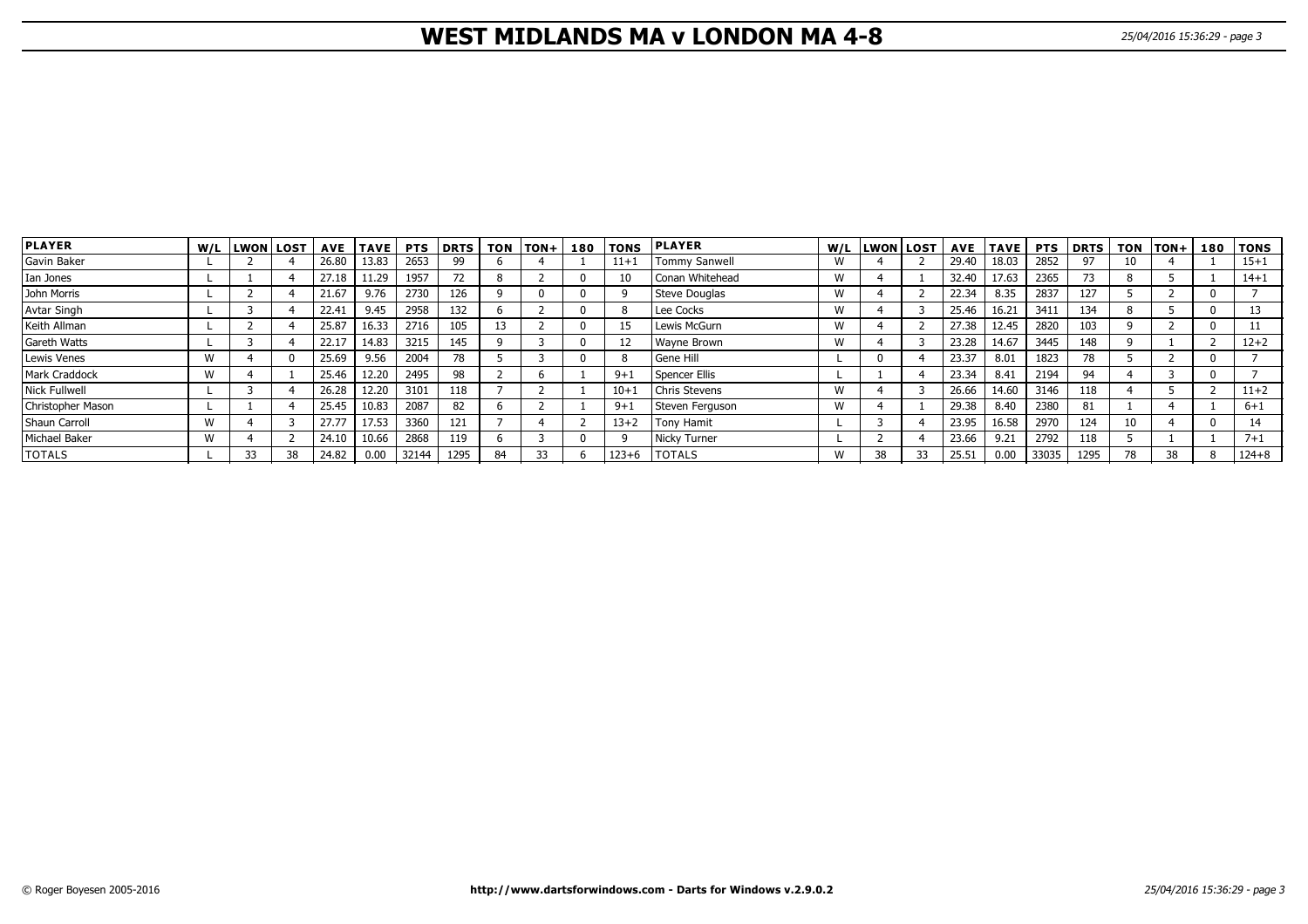# **WEST MIDLANDS MA v LONDON MA 4-8** 25/04/2016 15:36:29 - page 3

| <b>PLAYER</b>        |              | W/L LWON LOST |    | <b>AVE</b> | <b>TAVE</b> | <b>PTS</b> | <b>DRTS</b> | <b>TON</b> | $TON +$ | 180 | <b>TONS</b> | <b>IPLAYER</b>       |   | W/L LWON LOST |    |       | AVE   TAVE | <b>PTS</b> | <b>DRTS</b> |    | TON TON+ | 180 | <b>TONS</b> |
|----------------------|--------------|---------------|----|------------|-------------|------------|-------------|------------|---------|-----|-------------|----------------------|---|---------------|----|-------|------------|------------|-------------|----|----------|-----|-------------|
| Gavin Baker          |              |               |    | 26.80      | 13.83       | 2653       | 99          |            |         |     | $11+$       | <b>Tommy Sanwell</b> | w |               |    | 29.40 | 18.03      | 2852       | 97          |    |          |     | $15 + 1$    |
| Ian Jones            |              |               |    | 27.18      | 11.29       | 1957       |             |            |         |     | 10          | Conan Whitehead      | W |               |    | 32.40 | 17.63      | 2365       | 73          |    |          |     | $14 + 1$    |
| John Morris          |              |               |    | 21.67      | 9.76        | 2730       | 126         |            |         |     |             | Steve Douglas        | W |               |    | 22.34 | 8.35       | 2837       | 127         |    |          |     |             |
| Avtar Singh          |              |               |    | 22.41      | 9.45        | 2958       | 132         |            |         |     |             | Lee Cocks            | W |               |    | 25.46 | 16.21      | 3411       | 134         |    |          |     | 13          |
| Keith Allman         |              |               |    | 25.87      | 16.33       | 2716       | 105         |            |         |     |             | Lewis McGurn         | W |               |    | 27.38 | 12.45      | 2820       | 103         |    |          |     |             |
| Gareth Watts         |              |               |    | 22.17      | 14.83       | 3215       | 145         |            |         |     | -12         | <b>Wayne Brown</b>   | W |               |    | 23.28 | 14.67      | 3445       | 148         |    |          |     | $12 + 2$    |
| Lewis Venes          | W            |               |    | 25.69      | 9.56        | 2004       | 78          |            |         |     |             | Gene Hill            |   |               |    | 23.37 | 8.01       | 1823       | 78          |    |          |     |             |
| <b>Mark Craddock</b> | $\mathbf{M}$ |               |    | 25.46      | 12.20       | 2495       | 98          |            |         |     | $9 + 1$     | Spencer Ellis        |   |               |    | 23.34 | 8.41       | 2194       | 94          |    |          |     |             |
| <b>Nick Fullwell</b> |              |               |    | 26.28      | 12.20       | 3101       | 118         |            |         |     | $10 + 1$    | <b>Chris Stevens</b> | W |               |    | 26.66 | 14.60      | 3146       | 118         |    |          |     | $11+2$      |
| Christopher Mason    |              |               |    | 25.45      | 10.83       | 2087       | 82          |            |         |     | $9+$        | Steven Ferguson      | W |               |    | 29.38 | 8.40       | 2380       | 81          |    |          |     | $6 + 1$     |
| Shaun Carroll        | W            |               |    | 27.77      | 17.53       | 3360       | 121         |            |         |     | $13 + 2$    | <b>Tony Hamit</b>    |   |               |    | 23.95 | 16.58      | 2970       | 124         |    |          |     | 14          |
| Michael Baker        | M            |               |    | 24.10      | 10.66       | 2868       | 119         |            |         |     |             | Nicky Turner         |   |               |    | 23.66 | 9.21       | 2792       | 118         |    |          |     | $7 + 1$     |
| <b>TOTALS</b>        |              | 33            | 38 | 24.82      | 0.00        | 32144      | 1295        | 84         | 33      |     | $123 + 6$   | <b>I</b> TOTALS      | W | 38            | 33 | 25.51 | 0.00       | 33035      | 1295        | 78 | 38       |     | $124 + 8$   |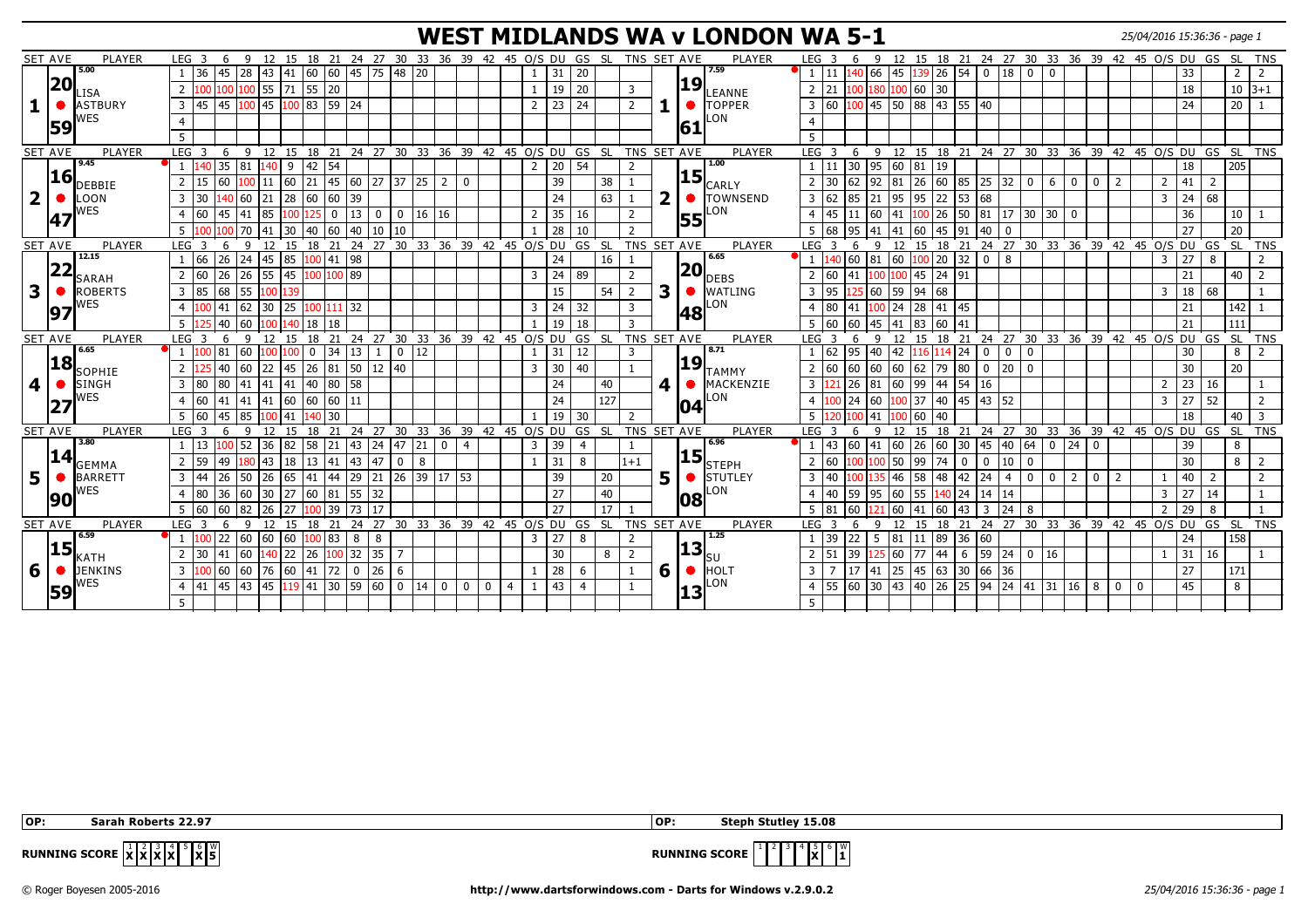# **WEST MIDLANDS WA v LONDON WA 5-1** 25/04/2016 15:36:36 - page 1

|                         | <b>SET AVE</b> | <b>PLAYER</b>                 | LEG <sub>3</sub>                                       | 6           | 9            |                                |              |         |             |              |                    | 12 15 18 21 24 27 30 33 36 39 42 45 O/S DU GS SL |             |                |             |                |                       |                 |                |       | TNS SET AVE    |                         |             | PLAYER           | LEG <sub>3</sub> |                                      |                   |                  |               | 9 12 15 18 21 24 27 30 33 36 39 42 45 0/S DU GS                   |                |                                             |                                                        |                |             |                |                |                |       |                 | SL TNS         |                |
|-------------------------|----------------|-------------------------------|--------------------------------------------------------|-------------|--------------|--------------------------------|--------------|---------|-------------|--------------|--------------------|--------------------------------------------------|-------------|----------------|-------------|----------------|-----------------------|-----------------|----------------|-------|----------------|-------------------------|-------------|------------------|------------------|--------------------------------------|-------------------|------------------|---------------|-------------------------------------------------------------------|----------------|---------------------------------------------|--------------------------------------------------------|----------------|-------------|----------------|----------------|----------------|-------|-----------------|----------------|----------------|
|                         |                | 5.00                          | $\overline{1}$                                         | 45<br>36    | 28           | 43                             | $ 41\rangle$ |         |             |              |                    | 60 60 45 75 48 20                                |             |                |             |                | $\mathbf{1}$          | 31              | 20             |       |                |                         |             | 7.59             |                  |                                      | 140 66            | 145              |               | $139$ 26 54 0 18 0 0                                              |                |                                             |                                                        |                |             |                |                |                | 33    |                 | $\overline{2}$ | $\overline{2}$ |
|                         | 20             | LISA                          | 2<br>1100                                              |             |              | 100 100 55 71 55 20            |              |         |             |              |                    |                                                  |             |                |             |                | $\mathbf{1}$          | 19              | 20             |       | 3              |                         | 19          | LEANNE           | 2                | 21<br>100                            |                   |                  | 180 100 60 30 |                                                                   |                |                                             |                                                        |                |             |                |                |                | 18    |                 | $10 3+1$       |                |
| 1                       | $\bullet$      | <b>ASTBURY</b>                | $3 \mid 45$                                            |             |              | 45 100 45 100 83 59 24         |              |         |             |              |                    |                                                  |             |                |             |                | 2                     | 23              | 24             |       | $\overline{2}$ |                         |             | TOPPER           | 3 60             |                                      |                   |                  |               | $\vert 100 \vert 45 \vert 50 \vert 88 \vert 43 \vert 55 \vert 40$ |                |                                             |                                                        |                |             |                |                |                | 24    |                 | 20             | $\mathbf{1}$   |
|                         |                | WES                           |                                                        |             |              |                                |              |         |             |              |                    |                                                  |             |                |             |                |                       |                 |                |       |                |                         |             | LON              |                  |                                      |                   |                  |               |                                                                   |                |                                             |                                                        |                |             |                |                |                |       |                 |                |                |
|                         | 59             |                               |                                                        |             |              |                                |              |         |             |              |                    |                                                  |             |                |             |                |                       |                 |                |       |                |                         | 161         |                  |                  |                                      |                   |                  |               |                                                                   |                |                                             |                                                        |                |             |                |                |                |       |                 |                |                |
|                         |                |                               | 5                                                      |             |              |                                |              |         |             |              |                    |                                                  |             |                |             |                |                       |                 |                |       |                |                         |             |                  |                  |                                      |                   |                  |               |                                                                   |                |                                             |                                                        |                |             |                |                |                |       |                 |                |                |
|                         | <b>SET AVE</b> | <b>PLAYER</b><br>9.45         | LEG <sup>3</sup>                                       | 6           | -9           | 12 15                          |              | 18 21   |             |              | $24$ 27 30         |                                                  | 33 36       |                |             |                | 39 42 45 O/S DU       |                 |                | GS SL | TNS SET AVE    |                         |             | PLAYER<br>1.00   | LEG <sup>3</sup> |                                      | 6<br>9            |                  | 12 15 18      |                                                                   |                | 21 24 27 30 33 36 39 42 45 O/S DU GS SL TNS |                                                        |                |             |                |                |                |       |                 |                |                |
|                         | <b>16</b>      |                               | $\overline{1}$                                         | 35          | 81           | $140 \mid 9$                   |              | 42   54 |             |              |                    |                                                  |             |                |             |                | 2                     | 20              | 54             |       | $\overline{2}$ |                         | 15          |                  |                  | 30 <sup>°</sup><br>11                | $\sqrt{95}$       | 60               | $81 \mid 19$  |                                                                   |                |                                             |                                                        |                |             |                |                |                | 18    |                 | 205            |                |
|                         |                | <b>DEBBIE</b>                 | 2                                                      | 60<br>15    |              | $.00 \,   11 \,   60 \,  $     |              |         |             |              | 21 45 60 27 37     |                                                  | 25 2        | l 0            |             |                |                       | 39              |                | 38    |                |                         |             | CARLY            | $\overline{2}$   | 30<br>62                             |                   | 92 81            |               | $26 \mid 60 \mid 85$                                              |                | $25 \mid 32$                                | $\mathbf 0$<br>6                                       | $\mathbf{0}$   | 0           | 2              |                | 2              | 41    | $\overline{2}$  |                |                |
| $\overline{\mathbf{2}}$ | $\bullet$      | <b>LOON</b>                   | $\overline{3}$<br>l 30                                 |             | 60           | 21                             | 28           | 60      | 60          | 39           |                    |                                                  |             |                |             |                |                       | 24              |                | 63    |                | $\overline{\mathbf{2}}$ | $\bullet$   | <b>TOWNSEND</b>  | $\overline{3}$   | 62<br>85                             | 21                | 195              | 95            | 22<br>53                                                          | 68             |                                             |                                                        |                |             |                |                | 3              | 24    | $\overline{68}$ |                |                |
|                         | 147            | WES                           | l 60                                                   | 45          | 41           | 85                             | 100          |         | $\mathbf 0$ | 13           | $\mathbf 0$        | $\mathbf 0$                                      | 16 16       |                |             |                | $\overline{2}$        | 35              | 16             |       | $\overline{2}$ |                         | 55          | _ON              | $\overline{4}$   | 45<br>11                             | 60                | 41               | 100 26        | 50                                                                |                | 81 17 30 30                                 |                                                        | 0 I            |             |                |                |                | 36    |                 | 10             |                |
|                         |                |                               |                                                        |             | 70           | 41                             | $ 30\rangle$ | 40 60   |             | $ 40\rangle$ | 110<br>10          |                                                  |             |                |             |                | $\mathbf{1}$          | 28              | 10             |       | $\overline{2}$ |                         |             |                  |                  | 68<br>95                             | 41                | $\overline{141}$ |               | $60$ 45 91                                                        | 40             |                                             |                                                        |                |             |                |                |                | 27    |                 | 20             |                |
|                         | <b>SET AVE</b> | <b>PLAYER</b>                 | LEG <sub>3</sub>                                       | -6          | -9           |                                |              |         |             |              |                    | 12 15 18 21 24 27 30 33 36 39 42 45 0/S DU       |             |                |             |                |                       |                 | GS SL          |       | TNS SET AVE    |                         |             | PLAYER           | LEG <sub>3</sub> |                                      | $\mathbf{q}$      |                  |               | 12 15 18 21 24 27 30 33 36 39 42 45 0/S DU GS                     |                |                                             |                                                        |                |             |                |                |                |       |                 | SL TNS         |                |
|                         |                | 12.15                         | 166<br>-1                                              |             |              | 26 24 45 85 100 41 98          |              |         |             |              |                    |                                                  |             |                |             |                |                       | 24              |                | 16    |                |                         |             | 6.65             |                  | 140 60 81 60                         |                   |                  |               | 100 20 32                                                         | $0$   8        |                                             |                                                        |                |             |                |                | 3              | 27    | 8               |                | $\overline{2}$ |
|                         | 22             | <b>SARAH</b>                  | 60<br>$\overline{2}$                                   | 26          | 26           | 55 45                          |              |         | 100 100 89  |              |                    |                                                  |             |                |             |                | $\overline{3}$        | 24              | 89             |       | $\overline{2}$ |                         | 20          | DEBS             | $\overline{2}$   | 60<br>41                             | $100 -$           |                  |               | 100 45 24 91                                                      |                |                                             |                                                        |                |             |                |                |                | 21    |                 | 40             | $\overline{2}$ |
| 3                       | $\bullet$      | <b>ROBERTS</b>                | 3 85                                                   | 68          | 55           | 100 139                        |              |         |             |              |                    |                                                  |             |                |             |                |                       | 15              |                | 54    | $\overline{2}$ | 3                       | $\bullet$   | <b>WATLING</b>   | $\overline{3}$   | 95                                   |                   | 60 59            | 94 68         |                                                                   |                |                                             |                                                        |                |             |                |                | 3              | 18 68 |                 |                |                |
|                         |                | <b>NES</b>                    | 4 100                                                  | 41          | 62           | $30 \mid 25$                   |              |         | 100 111 32  |              |                    |                                                  |             |                |             |                | $\mathbf{3}$          | 24              | 32             |       | 3              |                         |             | _ON              | 4 80             | 141                                  |                   | $100$ 24         |               | 28 41 45                                                          |                |                                             |                                                        |                |             |                |                |                | 21    |                 | 142            | $\overline{1}$ |
|                         | 97             |                               | 5 <sup>1</sup>                                         | 40 60       |              |                                | 100 140      | 18      | l 18        |              |                    |                                                  |             |                |             |                | $\mathbf{1}$          | $\overline{19}$ | 18             |       | $\overline{3}$ |                         | 48          |                  | 5                | 60<br>60                             |                   | 45  41           | 83 60         | 41                                                                |                |                                             |                                                        |                |             |                |                |                | 21    |                 | 111            |                |
|                         | <b>SET AVE</b> | PLAYER                        | LEG <sub>3</sub>                                       | -6          | $\mathsf{q}$ | 12 15                          |              |         |             |              |                    | 18 21 24 27 30 33 36 39 42 45 0/S DU             |             |                |             |                |                       |                 | GS SL          |       | TNS SET AVE    |                         |             | PLAYER           | LEG <sub>3</sub> |                                      | $\mathsf{q}$<br>6 | 12               |               | 15 18 21 24 27 30 33 36 39 42 45 0/S DU GS                        |                |                                             |                                                        |                |             |                |                |                |       |                 | SL TNS         |                |
|                         |                | 6.65                          | $\sqrt{1}$  100                                        | 81          | 60           |                                | 100          | 0       | 34 13       |              | -1                 | $\bf{0}$<br>12                                   |             |                |             |                | 1                     | 31              | 12             |       | 3              |                         |             | 8.71             |                  | 62<br>95                             | 40                | 42               |               | 116 114 24                                                        | $\mathbf 0$    | 0                                           | $\overline{\mathbf{0}}$                                |                |             |                |                |                | 30    |                 | 8              | 2              |
|                         | 18             |                               |                                                        |             |              |                                |              |         |             |              |                    |                                                  |             |                |             |                |                       |                 |                |       |                |                         | 19          |                  |                  |                                      |                   |                  |               |                                                                   |                |                                             |                                                        |                |             |                |                |                |       |                 |                |                |
|                         |                | SOPHIE                        | 2 125                                                  | 40          | 60           | 22 45                          |              | 26 81   |             | 50           | $12 \mid 40$       |                                                  |             |                |             |                | $\overline{3}$        | 30              | 40             |       |                |                         |             | TAMMY            | $2 \mid 60$      | 60                                   |                   | 60 60            |               | 62 79 80                                                          | $\overline{0}$ | 20                                          | $\overline{\mathbf{0}}$                                |                |             |                |                |                | 30    |                 | 20             |                |
| 4                       | ●              | <b>SINGH</b>                  | $\overline{\mathbf{3}}$<br>$ 80\rangle$                | 80          | 41           | 41 41                          |              | 40 80   |             | 58           |                    |                                                  |             |                |             |                |                       | 24              |                | 40    |                | 4                       |             | MACKENZIE        | 3 <sup>1</sup>   | 26                                   | 81                | $ 60\rangle$     | 99   44       | 54                                                                | 16             |                                             |                                                        |                |             |                |                | $\overline{2}$ | 23 16 |                 |                |                |
|                         | 27             | WES                           | 160<br>$\overline{4}$                                  | 41          | 41  41       |                                | 60           |         |             |              |                    |                                                  |             |                |             |                |                       | 24              |                | 127   |                |                         | 104         | _ON              | $\overline{4}$   | 24                                   | 160               | $00 \,$          |               | 37 40 45                                                          | 43 52          |                                             |                                                        |                |             |                |                | 3              | 27    | 52              |                | 2              |
|                         |                |                               | 160                                                    | 45          | 85           |                                | 41           |         | 30          |              |                    |                                                  |             |                |             |                | $\mathbf{1}$          | 19              | 30             |       | $\overline{2}$ |                         |             |                  | -5               |                                      | 41                |                  | 60            | $ 40\rangle$                                                      |                |                                             |                                                        |                |             |                |                |                | 18    |                 | 40             | $\overline{3}$ |
|                         | <b>SET AVE</b> | PLAYER                        | LEG <sub>3</sub>                                       | 6           | 9            | 12                             | 15           |         |             |              | 18 21 24 27 30     |                                                  |             |                |             |                | 33 36 39 42 45 O/S DU |                 |                | GS SL | TNS SET AVE    |                         |             | <b>PLAYER</b>    | LEG <sub>3</sub> |                                      | 9<br>6            | 12               |               | 15 18 21 24 27 30 33 36 39 42 45 0/S DU GS                        |                |                                             |                                                        |                |             |                |                |                |       |                 | ์ SL           | <b>TNS</b>     |
|                         |                | 3.80                          | -1                                                     | 13          | 52           | 36                             | 82           | $58$ 21 |             | 43           | $\boxed{24}$       |                                                  | $21$ 0      | $\overline{4}$ |             |                | $\overline{3}$        | 39              | $\overline{4}$ |       |                |                         |             | 6.96             |                  | 43<br>60                             | 41                | 60               | 26 60         | $ 30\rangle$                                                      | 45             | $ 40\rangle$                                | 64 <br>$\overline{0}$                                  | 24             | $\mathbf 0$ |                |                |                | 39    |                 | 8              |                |
|                         | 14             | <b>GEMMA</b>                  | 2 59                                                   | 49          | 80           | $\begin{array}{c} \end{array}$ | 18           | 13 41   |             | $ 43\rangle$ | 47                 | $\mathbf 0$<br>8                                 |             |                |             |                | $\mathbf{1}$          | 31              | 8              |       | $1 + 1$        |                         | 15          | 'lsteph          | 2                | 60                                   | 100               | 50               | 99            | 74<br>0                                                           | $\mathbf 0$    | 10                                          | 0                                                      |                |             |                |                |                | 30    |                 | 8              | 2              |
| 5                       | $\bullet$      | <b>BARRETT</b>                | $\overline{3}$<br> 44                                  | 26          | 50           | 26                             | 65           | 41      | 44          |              | 29 21 26           |                                                  | 39 17 53    |                |             |                |                       | 39              |                | 20    |                | 5                       |             | <b>I</b> STUTLEY | $\overline{3}$   | 40                                   |                   | 146              | 58            | 48<br>142                                                         | 24             | $\overline{4}$                              | $\overline{0}$<br>$\mathbf 0$                          | 2 <sup>1</sup> | $\mathbf 0$ | 2              |                |                | 40    | $\overline{2}$  |                | 2              |
|                         |                | WES                           | $ 80\rangle$<br>$\overline{4}$                         | 36          | 60           | 30                             | 27           | $60$ 81 |             | 55 32        |                    |                                                  |             |                |             |                |                       | 27              |                | 40    |                |                         | 108         | _ON              | $\overline{4}$   | 59<br>40                             |                   | 95  60           |               | 55 140 24 14 14                                                   |                |                                             |                                                        |                |             |                |                | 3              | 27    | 14              |                |                |
|                         | 90             |                               | 5 60                                                   | 60          | 82           | 26                             | 27           |         | 39          | 73           | 17                 |                                                  |             |                |             |                |                       | 27              |                | 17    |                |                         |             |                  | -5               | 60<br>81                             |                   | 60               | 41            | 60<br> 43                                                         | 3              | 24                                          | 8                                                      |                |             |                |                | $\overline{2}$ | 29    | 8               |                |                |
|                         | <b>SET AVE</b> | <b>PLAYER</b>                 | LEG <sub>3</sub>                                       | 6           | $\mathsf{q}$ | 12                             | 15           | 18      | 21          | 24           |                    | 27 30 33 36 39 42 45 0/S DU GS SL                |             |                |             |                |                       |                 |                |       | TNS SET AVE    |                         |             | <b>PLAYER</b>    | LEG <sub>3</sub> |                                      | 6<br>9            | 12               | 15            | 18<br>21                                                          |                | 24 27 30 33 36 39 42 45 O/S DU GS SL        |                                                        |                |             |                |                |                |       |                 |                | TNS            |
|                         |                | 6.59                          |                                                        | $22   60$   |              | 60 60                          |              | 100 83  |             | 8            | 8                  |                                                  |             |                |             |                | 3 <sup>1</sup>        | 27              | 8              |       | $\overline{2}$ |                         |             | 1.25             |                  | 39<br>22                             | 5                 | 81               | 11 89         | 36                                                                | 60             |                                             |                                                        |                |             |                |                |                | 24    |                 | 158            |                |
|                         | 15             |                               | $\begin{array}{c} 30 \\ \end{array}$<br>$\overline{2}$ | 41          | 60           | 140 22                         |              | 26      | $100$ 32    |              | $35 \mid 7$        |                                                  |             |                |             |                |                       | 30              |                | 8     | $\overline{2}$ |                         | <u> 13 </u> |                  | 2                | $\begin{array}{c} \end{array}$<br>51 |                   | 125 60           | 77 44         | 6                                                                 |                | 59 24                                       | $\begin{array}{ c c c c c } \hline 0 & 16 \end{array}$ |                |             |                |                |                | 31    | 16              |                |                |
|                         | 6 0            | <b>KATH</b><br><b>JENKINS</b> |                                                        | 3 100 60 60 |              |                                |              |         |             |              | 76 60 41 72 0 26 6 |                                                  |             |                |             |                | 1                     | 28              | 6              |       |                | 6                       | $\bullet$   | HOLT             | $\overline{3}$   | <b>17</b>                            |                   |                  |               | 41 25 45 63 30                                                    |                | 66 36                                       |                                                        |                |             |                |                |                | 27    |                 | 171            |                |
|                         |                | WES                           |                                                        |             |              |                                |              |         |             |              |                    |                                                  |             |                |             |                |                       |                 |                |       |                |                         |             | _ON              |                  |                                      |                   |                  |               |                                                                   |                |                                             |                                                        |                |             |                |                |                |       |                 |                |                |
|                         | 59             |                               | $\overline{4}$<br>141                                  | 45          | 43           |                                |              |         |             |              |                    |                                                  | $14 \mid 0$ | $\overline{0}$ | $\mathbf 0$ | $\overline{4}$ | $\mathbf{1}$          | 43              | $\overline{4}$ |       |                |                         | 13          |                  |                  | $4 \mid 55 \mid 60$                  | 30                |                  |               |                                                                   |                |                                             |                                                        |                | $16 \mid 8$ | $\overline{0}$ | $\overline{0}$ |                | 45    |                 | 8              |                |
|                         |                |                               | -5                                                     |             |              |                                |              |         |             |              |                    |                                                  |             |                |             |                |                       |                 |                |       |                |                         |             |                  |                  |                                      |                   |                  |               |                                                                   |                |                                             |                                                        |                |             |                |                |                |       |                 |                |                |

 **OP: Sarah Roberts 22.97 OP: Steph Stutley 15.08**

 $\mathbf{x}$ <sup>6</sup> $\mathbf{x}$ 

**RUNNING SCORE**  $\begin{bmatrix} 1 & 2 \\ 1 & 3 \end{bmatrix}$   $\begin{bmatrix} 4 & 3 \\ 1 & 2 \end{bmatrix}$ 

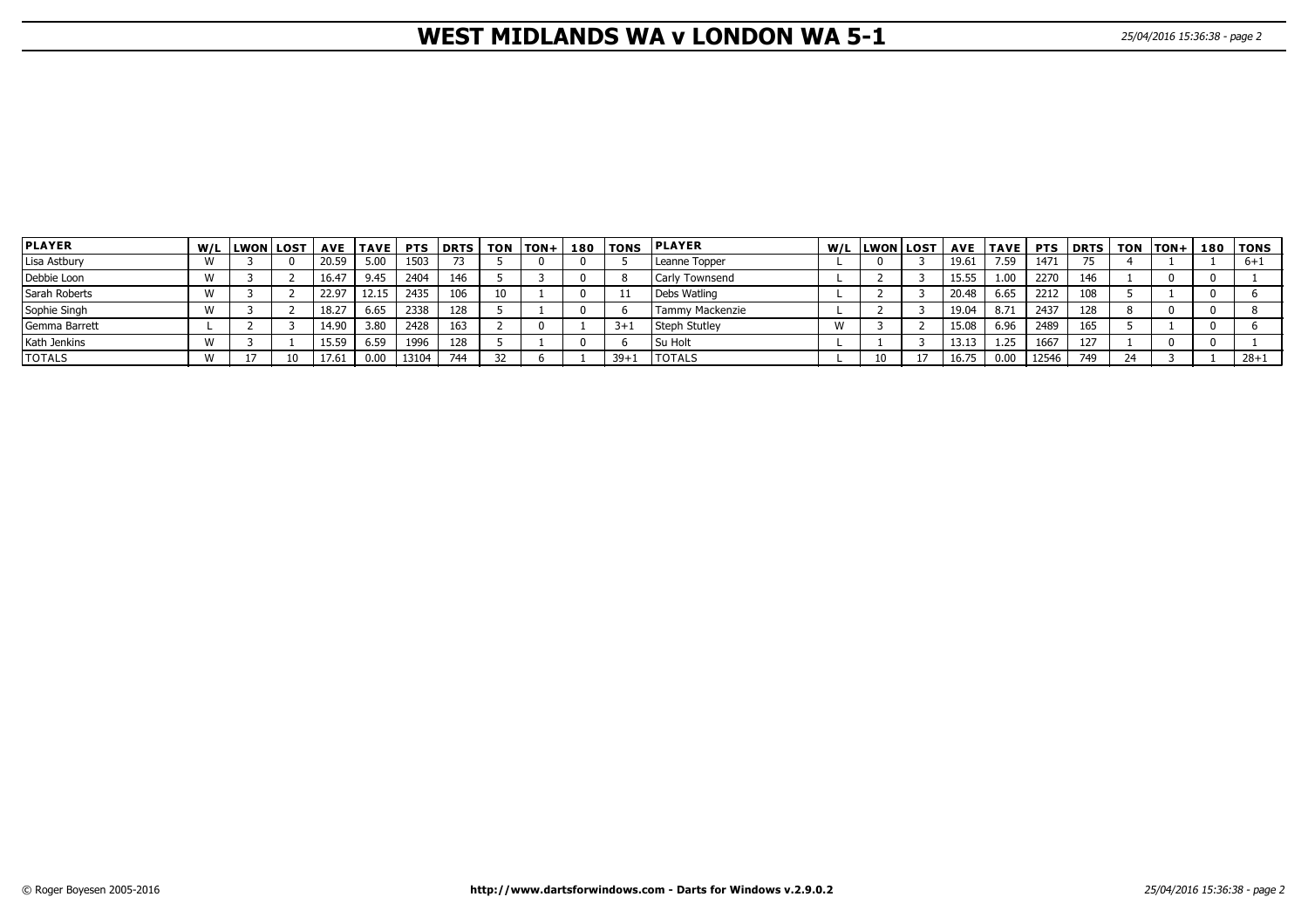# **WEST MIDLANDS WA v LONDON WA 5-1** 25/04/2016 15:36:38 - page 2

| <b>PLAYER</b> | W/L  LWON LOST | <b>AVE</b> | <b>TAVE</b> | <b>PTS</b> | l DRTS | <b>TON</b> | $ITON+$ | 180 | <b>TONS</b> | <b>PLAYER</b>         | W/L  LWON LOST | <b>AVE</b> | <b>TAVE</b> |       | <b>PTS DRTS</b> | TON | $ TON+$ | 180   TONS |
|---------------|----------------|------------|-------------|------------|--------|------------|---------|-----|-------------|-----------------------|----------------|------------|-------------|-------|-----------------|-----|---------|------------|
| Lisa Astbury  |                | 20.59      | 5.00        | 1503       | 73     |            |         |     |             | Leanne Topper         |                | 19.61      | 7.59        | 1471  |                 |     |         | $6 + 1$    |
| Debbie Loon   |                | 16.47      | 9.45        | 2404       | 146    |            |         |     |             | <b>Carly Townsend</b> |                | 15.55      | 1.00        | 2270  | 146             |     |         |            |
| Sarah Roberts |                | 22.97      | 12.15       | 2435       | 106    | 10         |         |     |             | Debs Watling          |                | 20.48      | 6.65        | 2212  | 108             |     |         |            |
| Sophie Singh  |                | 18.27      | 6.65        | 2338       | 128    |            |         |     |             | Tammy Mackenzie       |                | 19.04      | 8.71        | 2437  | 128             |     |         |            |
| Gemma Barrett |                | 14.90      | 3.80        | 2428       | 163    |            |         |     | $3+1$       | Steph Stutley         |                | 15.08      | 6.96        | 2489  | 165             |     |         |            |
| Kath Jenkins  |                | 15.59      | 6.59        | 1996       | 128    |            |         |     |             | <b>Su Holt</b>        |                | 13.13      | 1.25        | 1667  | 127             |     |         |            |
| <b>TOTALS</b> |                | 17.61      | 0.00        | 13104      | 744    | 32         |         |     | $39 + i$    | <b>TOTALS</b>         |                | 16.75      | 0.00        | 12546 | 749             |     |         | $28 + 1$   |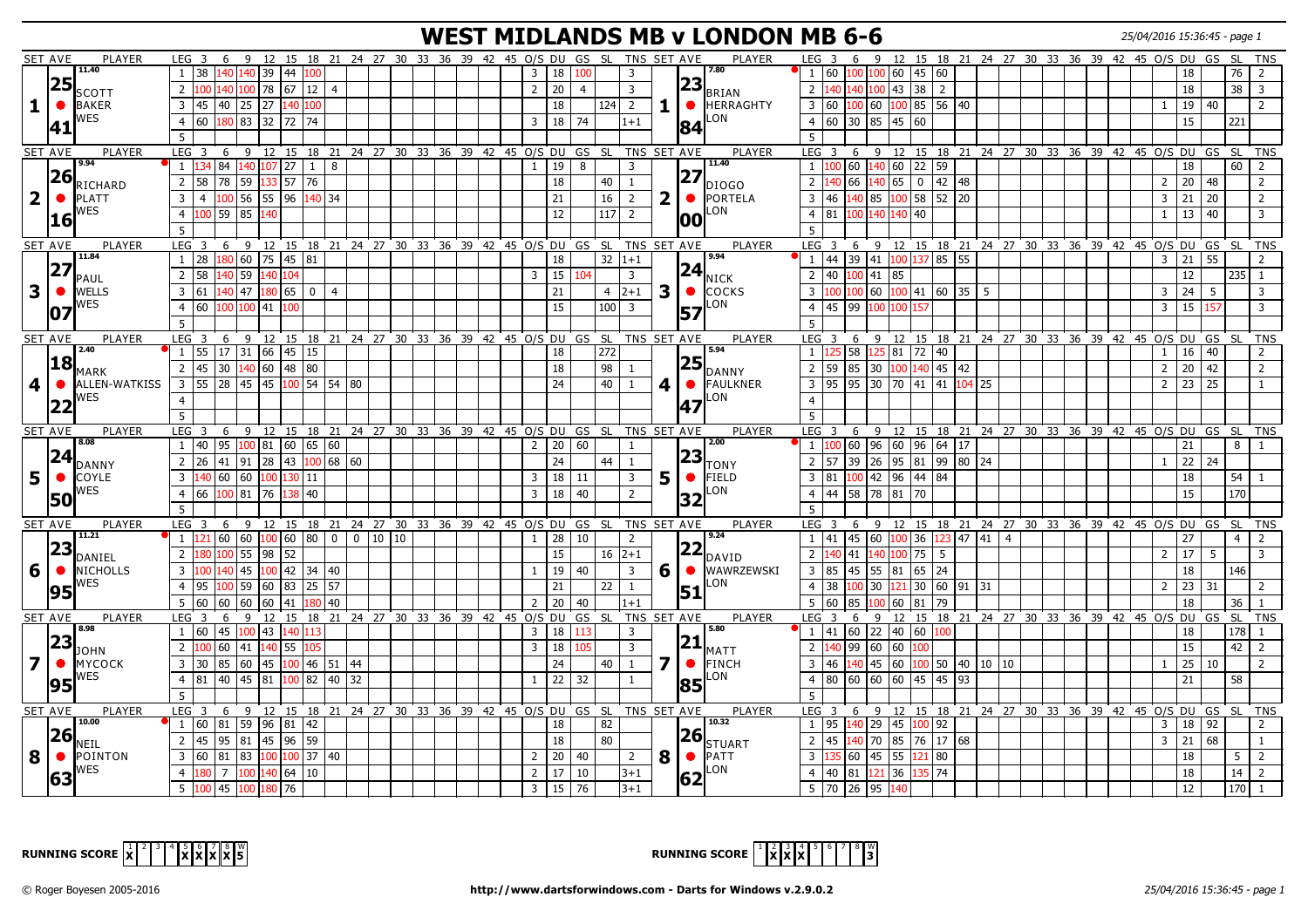# **WEST MIDLANDS MB v LONDON MB 6-6** 25/04/2016 15:36:45 - page 1

|                         | <b>SET AVE</b> | <b>PLAYER</b>                  | LEG <sub>3</sub>                                                                              |          |                                                                                   |     |                |  |  |  |                |                 | 6 9 12 15 18 21 24 27 30 33 36 39 42 45 O/S DU GS SL TNS SET AVE |                         |              |           | <b>PLAYER</b>                                       | LEG <sub>3</sub> |                                                                              |                |                |                   |                                                                              | 6 9 12 15 18 21 24 27 30 33 36 39 42 45 0/S DU GS SL TNS |  |  |  |                               |                       |                  |                |
|-------------------------|----------------|--------------------------------|-----------------------------------------------------------------------------------------------|----------|-----------------------------------------------------------------------------------|-----|----------------|--|--|--|----------------|-----------------|------------------------------------------------------------------|-------------------------|--------------|-----------|-----------------------------------------------------|------------------|------------------------------------------------------------------------------|----------------|----------------|-------------------|------------------------------------------------------------------------------|----------------------------------------------------------|--|--|--|-------------------------------|-----------------------|------------------|----------------|
|                         |                | 11.40                          |                                                                                               |          |                                                                                   |     |                |  |  |  |                |                 |                                                                  |                         |              |           | 7.80                                                |                  |                                                                              |                |                |                   |                                                                              |                                                          |  |  |  |                               |                       |                  |                |
|                         |                |                                | $1 \mid 38$                                                                                   |          | 140 140 39 44                                                                     | 100 |                |  |  |  | 3              | 18              | 100                                                              | 3                       |              |           |                                                     |                  | 1   60   100   100   60   45   60                                            |                |                |                   |                                                                              |                                                          |  |  |  | 18                            |                       | 76   2           |                |
|                         | 25             | <b>SCOTT</b>                   | $100$ 140 100 78 67 12 4<br>$2^{\circ}$                                                       |          |                                                                                   |     |                |  |  |  | $\overline{2}$ | 20              | $\overline{4}$                                                   | $\overline{3}$          |              |           | $\left 23\right _{\rm BRIAN}$                       |                  | $2 \left  \frac{140}{140} \right  100 \left  43 \right  38 \left  2 \right $ |                |                |                   |                                                                              |                                                          |  |  |  | 18                            |                       | $38 \mid 3$      |                |
| 1                       | $\bullet$      | <b>BAKER</b>                   | $45 \ 40 \ 25$<br>$\overline{3}$                                                              |          | 27 140 100                                                                        |     |                |  |  |  |                | 18              | 124                                                              | $\overline{2}$          | 1.           |           | $\bullet$ <b>HERRAGHTY</b>                          |                  | 3 60 100 60                                                                  |                |                |                   | 100 85 56 40                                                                 |                                                          |  |  |  | 19                            | 40                    |                  | $\overline{2}$ |
|                         |                | WES                            | $\overline{4}$<br>60                                                                          | 180 83   | 32 72 74                                                                          |     |                |  |  |  | $\overline{3}$ | 18              | 74                                                               | $1+1$                   |              |           | LON                                                 |                  | $4 \ 60 \ 30 \ 85$                                                           |                |                | $145$ 60          |                                                                              |                                                          |  |  |  | 15                            |                       | 221              |                |
|                         | 41             |                                |                                                                                               |          |                                                                                   |     |                |  |  |  |                |                 |                                                                  |                         |              | 84        |                                                     |                  |                                                                              |                |                |                   |                                                                              |                                                          |  |  |  |                               |                       |                  |                |
|                         |                |                                | 5                                                                                             |          |                                                                                   |     |                |  |  |  |                |                 |                                                                  |                         |              |           |                                                     | 5                |                                                                              |                |                |                   |                                                                              |                                                          |  |  |  |                               |                       |                  |                |
|                         | <b>SET AVE</b> | PLAYER                         | LEG 3 6 9 12 15 18 21 24 27 30 33 36 39 42 45 O/S DU GS SL TNS SET AVE                        |          |                                                                                   |     |                |  |  |  |                |                 |                                                                  |                         |              |           | <b>PLAYER</b>                                       | $LEG$ 3          |                                                                              |                |                |                   |                                                                              | 6 9 12 15 18 21 24 27 30 33 36 39 42 45 O/S DU GS SL TNS |  |  |  |                               |                       |                  |                |
|                         |                | 9.94                           | $1 \vert 134 \vert 84 \vert 140 \vert 107 \vert 27 \vert 1 \vert 8$                           |          |                                                                                   |     |                |  |  |  | 1              | 19              | 8                                                                | $\overline{3}$          |              |           | 11.40                                               |                  | $1 \vert 100 \vert 60 \vert 140 \vert 60 \vert 22 \vert 59$                  |                |                |                   |                                                                              |                                                          |  |  |  | 18                            |                       | $60$   2         |                |
|                         | 26             | RICHARD                        | $\overline{2}$<br>l 58                                                                        | 78 59    | 133 57 76                                                                         |     |                |  |  |  |                | 18              | 40                                                               | 1                       |              | 27        | IDIOGO                                              | $2^{\circ}$      |                                                                              | 66 140         | 65             |                   | $0 \mid 42 \mid 48$                                                          |                                                          |  |  |  | 20<br>2                       | 48                    |                  | $\overline{2}$ |
| $\overline{\mathbf{2}}$ | $\bullet$      | <b>PLATT</b>                   | 3<br>$\overline{4}$                                                                           |          | 100 56 55 96 140 34                                                               |     |                |  |  |  |                | 21              | 16                                                               | 2                       | $\mathbf{2}$ |           | <b>O</b> PORTELA                                    | $3 \mid 46$      |                                                                              | 140   85       |                |                   | $100$ 58 52 20                                                               |                                                          |  |  |  | 3                             | $21 \mid 20$          |                  | $\overline{2}$ |
|                         |                | WES                            |                                                                                               |          |                                                                                   |     |                |  |  |  |                |                 |                                                                  |                         |              |           | LON                                                 |                  |                                                                              |                |                |                   |                                                                              |                                                          |  |  |  |                               |                       |                  |                |
|                         | 16             |                                | 100 59 85<br>$\overline{4}$                                                                   |          | 140                                                                               |     |                |  |  |  |                | 12              | 117                                                              | $\overline{2}$          |              | loo       |                                                     | $4 \mid 81$      |                                                                              |                | 100 140 140 40 |                   |                                                                              |                                                          |  |  |  | $\mathbf{1}$                  | $13 \mid 40$          |                  | $\overline{3}$ |
|                         |                |                                | $\overline{5}$                                                                                |          |                                                                                   |     |                |  |  |  |                |                 |                                                                  |                         |              |           |                                                     | $5^{\circ}$      |                                                                              |                |                |                   |                                                                              |                                                          |  |  |  |                               |                       |                  |                |
|                         | <b>SET AVE</b> | PLAYER                         | LEG <sub>3</sub>                                                                              |          |                                                                                   |     |                |  |  |  |                |                 | 6 9 12 15 18 21 24 27 30 33 36 39 42 45 O/S DU GS SL TNS SET AVE |                         |              |           | PLAYER                                              | LEG <sub>3</sub> |                                                                              |                |                |                   |                                                                              | 6 9 12 15 18 21 24 27 30 33 36 39 42 45 O/S DU GS SL TNS |  |  |  |                               |                       |                  |                |
|                         |                | 11.84                          | $1 \mid 28$                                                                                   |          | 180 60 75 45 81                                                                   |     |                |  |  |  |                | 18              |                                                                  | $32 1+1$                |              |           | 9.94                                                |                  |                                                                              |                |                |                   | 1 44 39 41 100 137 85 55                                                     |                                                          |  |  |  | 21  <br>$\mathbf{3}$          | 55                    |                  | $\overline{2}$ |
|                         | 27             |                                | $\overline{2}$<br>58                                                                          | $140$ 59 | 140 104                                                                           |     |                |  |  |  | $\overline{3}$ | 15              | 104                                                              | $\overline{3}$          |              | 24        |                                                     |                  | 2   40   100   41   85                                                       |                |                |                   |                                                                              |                                                          |  |  |  | 12                            |                       | $235$   1        |                |
|                         |                | PAUL                           |                                                                                               | $140$ 47 |                                                                                   |     |                |  |  |  |                |                 |                                                                  |                         |              |           | <b>I</b> NICK                                       |                  |                                                                              |                |                |                   | $100\,60\,100\,41\,60\,35\,5$                                                |                                                          |  |  |  |                               |                       |                  |                |
| 3                       | $\bullet$      | <b>WELLS</b>                   | $\overline{3}$<br>$\sqrt{61}$                                                                 |          | 180650                                                                            |     | $\overline{4}$ |  |  |  |                | 21              | $\overline{4}$                                                   | $2+1$                   | 3            |           | <b>COCKS</b>                                        | $\overline{3}$   |                                                                              |                |                |                   |                                                                              |                                                          |  |  |  | 24 <br>3                      | 5                     |                  | 3              |
|                         | 107            | WES                            | 60 100 100 41 100<br>$\overline{4}$                                                           |          |                                                                                   |     |                |  |  |  |                | 15              | 100                                                              | $\overline{3}$          |              | 57        | LON                                                 |                  | 4 45 99 100 100 157                                                          |                |                |                   |                                                                              |                                                          |  |  |  | 15<br>$\overline{\mathbf{3}}$ | 157                   |                  | $\overline{3}$ |
|                         |                |                                | 5                                                                                             |          |                                                                                   |     |                |  |  |  |                |                 |                                                                  |                         |              |           |                                                     | 5                |                                                                              |                |                |                   |                                                                              |                                                          |  |  |  |                               |                       |                  |                |
|                         | <b>SET AVE</b> | PLAYER                         | LEG <sub>3</sub>                                                                              |          |                                                                                   |     |                |  |  |  |                |                 | 6 9 12 15 18 21 24 27 30 33 36 39 42 45 O/S DU GS SL TNS SET AVE |                         |              |           | <b>PLAYER</b>                                       | LEG <sub>3</sub> |                                                                              |                |                |                   |                                                                              | 6 9 12 15 18 21 24 27 30 33 36 39 42 45 O/S DU GS SL     |  |  |  |                               |                       |                  | <b>TNS</b>     |
|                         |                | 2.40                           | $1 \mid 55$                                                                                   |          | $17$ 31 66 45 15                                                                  |     |                |  |  |  |                | 18              | 272                                                              |                         |              |           | 5.94                                                |                  | $1 \vert 125 \vert 58 \vert 125 \vert 81 \vert 72 \vert 40$                  |                |                |                   |                                                                              |                                                          |  |  |  | 16<br>1 <sup>1</sup>          | 40                    |                  | $\overline{2}$ |
|                         | 18             |                                | 2 45 30 140 60 48 80                                                                          |          |                                                                                   |     |                |  |  |  |                | 18              | 98                                                               | -1                      |              | 25        |                                                     |                  |                                                                              |                |                |                   | $2$ 59 85 30 100 140 45 42                                                   |                                                          |  |  |  | $2^{\circ}$                   | $\vert$ 20 $\vert$ 42 |                  | $\overline{2}$ |
|                         |                | MARK                           |                                                                                               |          |                                                                                   |     |                |  |  |  |                |                 |                                                                  |                         |              |           | <b>DANNY</b>                                        |                  |                                                                              |                |                |                   |                                                                              |                                                          |  |  |  |                               |                       |                  |                |
| $\overline{\mathbf{4}}$ | $\bullet$      | <b>ALLEN-WATKISS</b>           | $3$ 55 28 45 45 100 54 54 80                                                                  |          |                                                                                   |     |                |  |  |  |                | 24              | 40                                                               | $\mathbf{1}$            | 4            |           | <b>•</b> FAULKNER                                   |                  |                                                                              |                |                |                   | $3$ 95 95 30 70 41 41 104 25                                                 |                                                          |  |  |  | $2 \mid 23 \mid 25$           |                       |                  |                |
|                         | 22             | WES                            | $\overline{4}$                                                                                |          |                                                                                   |     |                |  |  |  |                |                 |                                                                  |                         |              | 47        | LON                                                 | $\overline{4}$   |                                                                              |                |                |                   |                                                                              |                                                          |  |  |  |                               |                       |                  |                |
|                         |                |                                | $\overline{5}$                                                                                |          |                                                                                   |     |                |  |  |  |                |                 |                                                                  |                         |              |           |                                                     | 5 <sup>5</sup>   |                                                                              |                |                |                   |                                                                              |                                                          |  |  |  |                               |                       |                  |                |
| <b>SET AVE</b>          |                | PLAYER                         | LEG <sub>3</sub>                                                                              |          |                                                                                   |     |                |  |  |  |                |                 | 6 9 12 15 18 21 24 27 30 33 36 39 42 45 O/S DU GS SL TNS SET AVE |                         |              |           | PLAYER                                              | LEG <sub>3</sub> |                                                                              |                |                |                   |                                                                              | 6 9 12 15 18 21 24 27 30 33 36 39 42 45 O/S DU GS SL TNS |  |  |  |                               |                       |                  |                |
|                         |                |                                |                                                                                               |          |                                                                                   |     |                |  |  |  |                |                 |                                                                  |                         |              |           |                                                     |                  |                                                                              |                |                |                   |                                                                              |                                                          |  |  |  |                               |                       |                  |                |
|                         |                | 8.08                           |                                                                                               |          |                                                                                   |     |                |  |  |  |                |                 |                                                                  | 1                       |              |           | 2.00                                                |                  |                                                                              |                |                |                   |                                                                              |                                                          |  |  |  |                               |                       |                  |                |
|                         |                |                                | $\begin{bmatrix} 40 & 95 & 100 & 81 & 60 & 65 & 60 \end{bmatrix}$<br>-1                       |          |                                                                                   |     |                |  |  |  | $\overline{2}$ | 20              | 60                                                               |                         |              |           |                                                     |                  |                                                                              |                |                |                   | $1 \vert 100 \vert 60 \vert 96 \vert 60 \vert 96 \vert 64 \vert 17$          |                                                          |  |  |  | 21                            |                       | 8   1            |                |
|                         |                |                                | $\overline{2}$<br>26                                                                          |          | $\boxed{41}$ $\boxed{91}$ $\boxed{28}$ $\boxed{43}$ $\boxed{100}$ 68 $\boxed{60}$ |     |                |  |  |  |                | 24              | 44                                                               | 1                       |              | 23        | Ιτονγ                                               | $2 \mid 57$      |                                                                              |                |                |                   | 39 26 95 81 99 80 24                                                         |                                                          |  |  |  |                               | 22 24                 |                  |                |
| 5 <sup>1</sup>          | $\bullet$      | $ 24 _{\text{DANNY}}$<br>COYLE | 140 60 60 100 130 11<br>$\overline{3}$                                                        |          |                                                                                   |     |                |  |  |  | $\overline{3}$ | 18              | 11                                                               | $\overline{\mathbf{3}}$ | 5            |           | $\bullet$ FIELD                                     | $\overline{3}$   | 81                                                                           |                |                | $100$ 42 96 44 84 |                                                                              |                                                          |  |  |  | 18                            |                       | $54$   1         |                |
|                         |                | WES                            | 66<br>$\overline{4}$                                                                          | 100 81   | 76  <br>138                                                                       | 40  |                |  |  |  | $\overline{3}$ | 18              | 40                                                               | $\overline{2}$          |              |           | LON                                                 |                  | 4 4 58 78 81 70                                                              |                |                |                   |                                                                              |                                                          |  |  |  | 15                            |                       | 170              |                |
|                         | 50             |                                | 5                                                                                             |          |                                                                                   |     |                |  |  |  |                |                 |                                                                  |                         |              | 32        |                                                     | 5                |                                                                              |                |                |                   |                                                                              |                                                          |  |  |  |                               |                       |                  |                |
|                         |                | PLAYER                         | LEG <sub>3</sub>                                                                              |          |                                                                                   |     |                |  |  |  |                |                 |                                                                  | TNS SET AVE             |              |           | PLAYER                                              | LEG <sub>3</sub> |                                                                              |                |                |                   |                                                                              |                                                          |  |  |  |                               |                       |                  |                |
|                         | <b>SET AVE</b> | 11.21                          |                                                                                               |          |                                                                                   |     |                |  |  |  |                |                 | 6 9 12 15 18 21 24 27 30 33 36 39 42 45 O/S DU GS SL             |                         |              |           | 19.24                                               |                  |                                                                              |                |                |                   |                                                                              | 6 9 12 15 18 21 24 27 30 33 36 39 42 45 O/S DU GS SL TNS |  |  |  |                               |                       |                  |                |
|                         |                |                                | $1 \vert 121 \vert 60 \vert 60 \vert 100 \vert 60 \vert 80 \vert 0 \vert 0 \vert 10 \vert 10$ |          |                                                                                   |     |                |  |  |  | 1              | $\boxed{28}$    | 10                                                               | $\overline{2}$          |              |           |                                                     |                  |                                                                              |                |                |                   | $1 \mid 41 \mid 45 \mid 60 \mid 100 \mid 36 \mid 123 \mid 47 \mid 41 \mid 4$ |                                                          |  |  |  | 27                            |                       | $4 \mid 2$       |                |
|                         | 23             | DANIEL                         | 180 100 55 98 52<br>$\overline{2}$                                                            |          |                                                                                   |     |                |  |  |  |                | 15              | 16                                                               | $12+1$                  |              | 22        | DAVID                                               | $\overline{2}$   | $\overline{41}$                                                              |                |                | 140 100 75        | 5 <sup>5</sup>                                                               |                                                          |  |  |  | 17<br>$\overline{2}$          | -5                    |                  | 3              |
| 6                       | $\bullet$      | <b>NICHOLLS</b>                | $\overline{3}$                                                                                |          |                                                                                   |     |                |  |  |  | -1             | 19              | 40                                                               | $\overline{3}$          | 6            |           | <b>WAWRZEWSKI</b>                                   |                  | 3 85 45 55 81 65 24                                                          |                |                |                   |                                                                              |                                                          |  |  |  | 18                            |                       | 146              |                |
|                         |                | WES                            | $\overline{4}$<br>195                                                                         | 100 59   |                                                                                   |     |                |  |  |  |                | 21              | 22                                                               | -1                      |              |           | LON                                                 | $\overline{4}$   | 38                                                                           |                |                |                   | $100$ 30 $121$ 30 60 91 31                                                   |                                                          |  |  |  | l 23<br>$2^{\circ}$           | 31                    |                  | 2              |
|                         | 95             |                                | 5 60 60 60 60 41 180 40                                                                       |          |                                                                                   |     |                |  |  |  | $\overline{2}$ | 20              | 40                                                               | $1 + 1$                 |              | 51        |                                                     | $5 \mid 60$      | 85                                                                           |                |                | $100$ 60 81 79    |                                                                              |                                                          |  |  |  | 18                            |                       | 36               |                |
|                         |                | PLAYER                         | LEG <sub>3</sub>                                                                              |          |                                                                                   |     |                |  |  |  |                |                 |                                                                  |                         |              |           | <b>PLAYER</b>                                       | $LEG$ 3          |                                                                              | 6              |                |                   |                                                                              |                                                          |  |  |  |                               |                       |                  |                |
|                         | <b>SET AVE</b> | 8.98                           |                                                                                               |          |                                                                                   |     |                |  |  |  |                |                 | 6 9 12 15 18 21 24 27 30 33 36 39 42 45 O/S DU GS SL             | TNS SET AVE             |              |           | 5.80                                                |                  |                                                                              | $\overline{9}$ |                |                   | 100                                                                          | 12 15 18 21 24 27 30 33 36 39 42 45 0/S DU GS SL TNS     |  |  |  |                               |                       |                  |                |
|                         |                |                                | 1 60                                                                                          |          | 45 100 43 140 113                                                                 |     |                |  |  |  | $\overline{3}$ | 18              | 113                                                              | $\overline{3}$          |              |           |                                                     |                  | $1 \mid 41 \mid 60 \mid 22 \mid 40 \mid 60$                                  |                |                |                   |                                                                              |                                                          |  |  |  | 18                            |                       | $178$   1        |                |
|                         | 23             | JOHN                           | $\overline{2}$<br>100 60 41                                                                   |          | 140 55 105                                                                        |     |                |  |  |  | $\overline{3}$ | 18              | 105                                                              | $\overline{3}$          |              | 21        | <b>I</b> MATT                                       | 2 <sup>1</sup>   | 140 99                                                                       | $\sqrt{60}$    |                | 60 100            |                                                                              |                                                          |  |  |  | 15                            |                       | $42 \mid 2$      |                |
| $\overline{\mathbf{z}}$ | $\bullet$      | <b>MYCOCK</b>                  | $\overline{3}$<br>30                                                                          |          | 85 60 45 100 46 51 44                                                             |     |                |  |  |  |                | 24              | 40                                                               | $\mathbf{1}$            | 7            | $\bullet$ | FINCH                                               | $3 \mid 46$      |                                                                              |                |                |                   | $140$ 45 60 100 50 40 10 10                                                  |                                                          |  |  |  | $\overline{25}$               | 10                    |                  | $\overline{2}$ |
|                         |                | WES                            | 4 81 40 45 81 100 82 40 32                                                                    |          |                                                                                   |     |                |  |  |  | $\mathbf{1}$   | 22              | 32                                                               | $\mathbf{1}$            |              |           | LON                                                 |                  |                                                                              |                |                |                   | $4 \ 80 \ 60 \ 60 \ 60 \ 45 \ 45 \ 93$                                       |                                                          |  |  |  | 21                            |                       | 58               |                |
|                         | 95             |                                | 5                                                                                             |          |                                                                                   |     |                |  |  |  |                |                 |                                                                  |                         |              | 85        |                                                     | 5                |                                                                              |                |                |                   |                                                                              |                                                          |  |  |  |                               |                       |                  |                |
|                         |                |                                |                                                                                               |          |                                                                                   |     |                |  |  |  |                |                 |                                                                  |                         |              |           |                                                     |                  |                                                                              |                |                |                   |                                                                              |                                                          |  |  |  |                               |                       |                  |                |
|                         | <b>SET AVE</b> | PLAYER<br>10.00                | LEG 3 6 9 12 15 18 21 24 27 30 33 36 39 42 45 O/S DU GS SL TNS SET AVE                        |          |                                                                                   |     |                |  |  |  |                |                 |                                                                  |                         |              |           | PLAYER<br>10.32                                     | LEG <sub>3</sub> |                                                                              |                |                |                   |                                                                              | 6 9 12 15 18 21 24 27 30 33 36 39 42 45 O/S DU GS SL TNS |  |  |  |                               |                       |                  |                |
|                         |                |                                | $1 \mid 60 \mid 81 \mid 59 \mid 96 \mid 81 \mid 42$                                           |          |                                                                                   |     |                |  |  |  |                | 18              | 82                                                               |                         |              |           |                                                     |                  | $1 \mid 95 \mid 140 \mid 29 \mid 45 \mid 100 \mid 92$                        |                |                |                   |                                                                              |                                                          |  |  |  | $\overline{3}$                | 18 92                 |                  | 2              |
|                         | <b>26</b>      | NEIL                           | 2 45 95 81 45 96 59                                                                           |          |                                                                                   |     |                |  |  |  |                | 18              | 80                                                               |                         |              |           |                                                     | $2 \mid 45$      |                                                                              |                |                |                   | 140 70 85 76 17 68                                                           |                                                          |  |  |  | 21<br>$\overline{3}$          | 68                    |                  | -1             |
| 8                       | $\bullet$      | <b>POINTON</b>                 | $3   60   81   83   100   100   37   40$                                                      |          |                                                                                   |     |                |  |  |  | $\overline{2}$ | 20              | 40                                                               | $\overline{2}$          | 8            |           | $\left 26\right _{\text{STUART}}$<br>$\bullet$ PATT | $\overline{3}$   | $135\,60\,45\,55\,121\,80$                                                   |                |                |                   |                                                                              |                                                          |  |  |  | 18                            |                       | $5 \mid 2$       |                |
|                         |                | WES                            | $\overline{7}$<br>$\overline{4}$                                                              |          | 100 140 64 10                                                                     |     |                |  |  |  | $\overline{2}$ | 17              | 10                                                               | $3 + 1$                 |              |           | LON                                                 | 4 <sup>1</sup>   | 40                                                                           |                | 81 121 36 1    |                   | 35   74                                                                      |                                                          |  |  |  | 18                            |                       | $14 \mid 2$      |                |
|                         | 63             |                                | 5 <sup>5</sup><br>$100$ 45                                                                    |          | 100 180 76                                                                        |     |                |  |  |  | $\overline{3}$ | $\overline{15}$ | $\sqrt{76}$                                                      | $3+1$                   |              | 62        |                                                     |                  | $5 \mid 70 \mid 26 \mid 95$                                                  |                | 140            |                   |                                                                              |                                                          |  |  |  | 12                            |                       | 170 <sup>1</sup> |                |



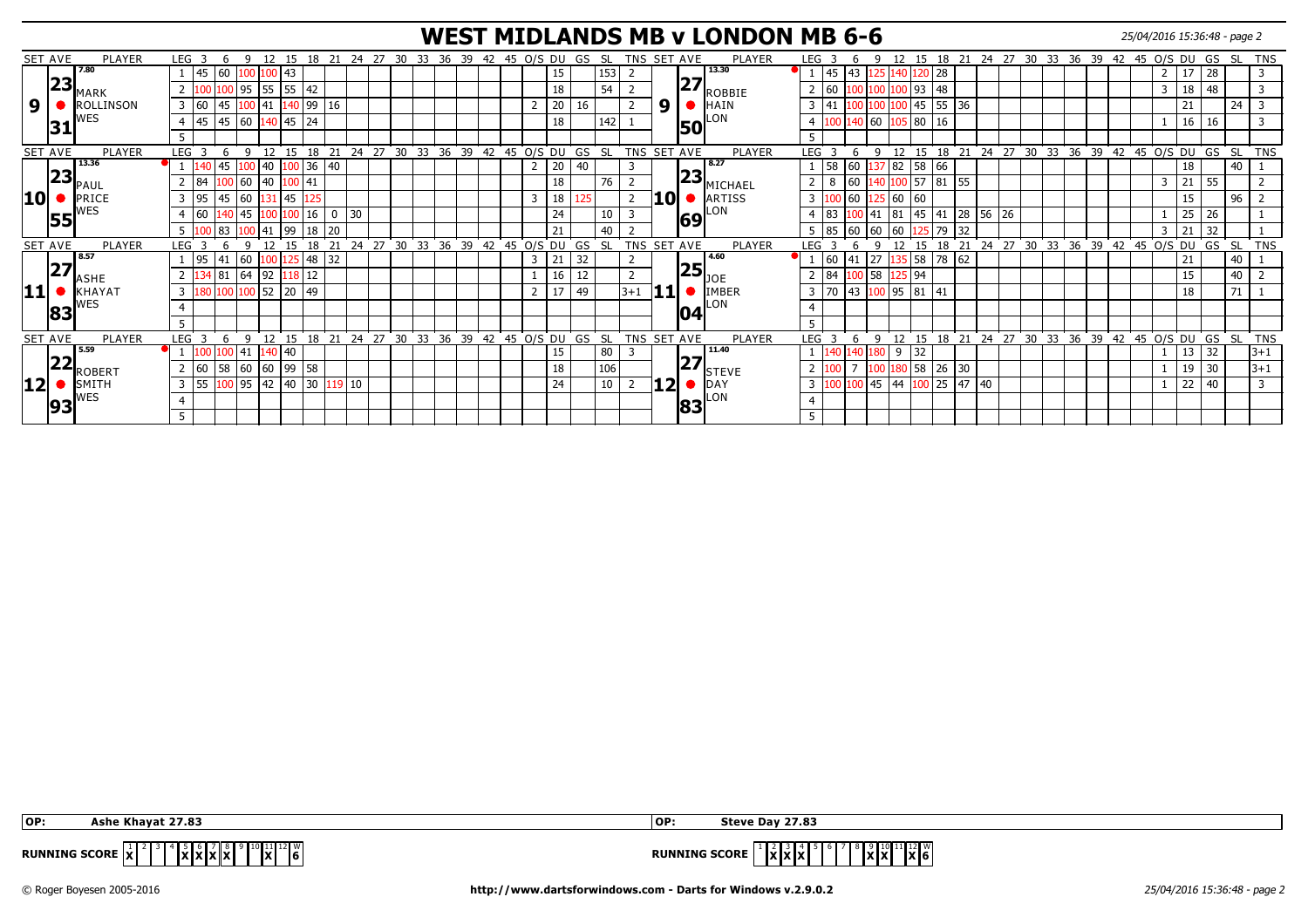#### **WEST MIDLANDS MB v LONDON MB 6-6** 25/04/2016 15:36:48 - page 2

|                           | SET AVE | PLAYER                 | LEG <sub>3</sub>     |                | q            | 12<br>15            |          | 18 21 24 27 30 |        |    |                                | 33 36 39 42 45 O/S DU GS SL |    |              |   |    |    |           | TNS SET AVE |          |    |    | PLAYER               | LEG <sub>3</sub> |                   |                 |                       |                    |           |                                           |         |    | 12 15 18 21 24 27 30 33 36 39 42 45 0/S DU |    |    |    |              |    | GS        | -SL       | . TNS      |
|---------------------------|---------|------------------------|----------------------|----------------|--------------|---------------------|----------|----------------|--------|----|--------------------------------|-----------------------------|----|--------------|---|----|----|-----------|-------------|----------|----|----|----------------------|------------------|-------------------|-----------------|-----------------------|--------------------|-----------|-------------------------------------------|---------|----|--------------------------------------------|----|----|----|--------------|----|-----------|-----------|------------|
|                           |         | 7.80                   | 45                   | 60 100         |              | 43<br>100           |          |                |        |    |                                |                             |    |              |   | 15 |    | 153       |             |          |    |    | 13.30                |                  | 1   45   43   125 |                 | $\leq 140$            |                    | 20 28     |                                           |         |    |                                            |    |    |    |              | 17 | 28        |           |            |
|                           | 23      | MARK                   |                      |                |              | 100 95 55 55 42     |          |                |        |    |                                |                             |    |              |   | 18 |    | 54        |             |          | 27 |    | ROBBIE               | 60               |                   |                 | 00 100 100 93 48      |                    |           |                                           |         |    |                                            |    |    |    | 3            | 18 | 48        |           |            |
| 9                         |         | ROLLINSON              | 3<br>60              | 45             |              | 41                  | 40 99    | 16             |        |    |                                |                             |    |              |   | 20 | 16 |           |             | 9        |    |    | HAIN                 | $3 \mid 41$      |                   |                 |                       | 45   55   36       |           |                                           |         |    |                                            |    |    |    |              | 21 |           | 24        |            |
|                           |         | <b>NES</b>             | 45<br>$\overline{4}$ | 45 60          |              | 140                 | 45 24    |                |        |    |                                |                             |    |              |   | 18 |    | 142       |             |          |    |    | LON                  | $\overline{4}$   |                   | 140   60        |                       | 80                 | 16        |                                           |         |    |                                            |    |    |    |              | 16 | 16        |           |            |
|                           | 31      |                        |                      |                |              |                     |          |                |        |    |                                |                             |    |              |   |    |    |           |             |          | 50 |    |                      |                  |                   |                 |                       |                    |           |                                           |         |    |                                            |    |    |    |              |    |           |           |            |
|                           | SET AVE | PLAYER                 | <b>LEG</b>           |                | q            | 12                  | 15       | 18 21          |        |    | 24 27 30 33 36 39 42 45 O/S DU |                             |    |              |   |    | GS | - SL      | TNS SET AVE |          |    |    | PLAYER               | <b>LEG</b>       |                   |                 | 12                    |                    |           |                                           |         |    | 15 18 21 24 27 30 33 36 39 42 45 0/S DU    |    |    |    |              |    | GS        | SL TNS    |            |
|                           |         | 13.36                  |                      |                |              | 140                 | $100$ 36 | 40             |        |    |                                |                             |    |              |   | 20 | 40 |           | 3           |          |    |    | $\sqrt{8.27}$        |                  | 60<br>58          |                 | 82                    | 58                 | 66        |                                           |         |    |                                            |    |    |    |              | 18 |           | 40        |            |
|                           | 23      |                        | 84                   | 0 <sup>0</sup> |              | 40                  | 00 41    |                |        |    |                                |                             |    |              |   | 18 |    | 76        |             |          | 23 |    |                      |                  | 8                 | 60              |                       | 157 181            |           | 155                                       |         |    |                                            |    |    |    | 3            | 21 | 55        |           |            |
|                           |         | PAUI                   |                      |                |              |                     |          |                |        |    |                                |                             |    |              |   |    |    |           |             |          |    |    | MICHAEL              |                  |                   |                 |                       |                    |           |                                           |         |    |                                            |    |    |    |              |    |           |           |            |
| 10                        |         | PRICE<br><b>NES</b>    | 95<br>3              | 45             | 60           |                     | 45 125   |                |        |    |                                |                             |    |              | 3 | 18 |    |           |             | 10       |    |    | <b>ARTISS</b><br>LON | 3                |                   | $\overline{60}$ | 125 60                | 60                 |           |                                           |         |    |                                            |    |    |    |              | 15 |           | 96        |            |
|                           | 55      |                        | l 60                 |                | 45           |                     | 16       | 0              | 30     |    |                                |                             |    |              |   | 24 |    |           |             |          | 69 |    |                      | $\overline{4}$   | 83                |                 | 81                    | $145$ <sup>1</sup> | 41        | $\begin{array}{c} \boxed{28} \end{array}$ | $56$ 26 |    |                                            |    |    |    |              | 25 | 26        |           |            |
|                           |         |                        |                      | 83             |              | 141<br>$ 99\rangle$ | 18       | 20             |        |    |                                |                             |    |              |   | 21 |    | 40        |             |          |    |    |                      | $5$ 85           | 160               |                 | l 60<br> 60           |                    | 25   79   | $\begin{array}{c} 32 \end{array}$         |         |    |                                            |    |    |    | 3            | 21 | 32        |           |            |
|                           | SET AVE | PLAYER                 | <b>LEG</b>           |                |              |                     | 18       |                | 24     | 27 | 33<br>30                       | 36                          | 39 | 42 45 0/S DU |   |    | GS | <b>SL</b> | TNS SET AVE |          |    |    | <b>PLAYER</b>        | <b>LEG</b>       |                   |                 |                       |                    |           | 21                                        | 24      | 27 | 30<br>33                                   | 36 | 39 |    | 42 45 0/S DU |    | <b>GS</b> | <b>SL</b> | <b>TNS</b> |
|                           |         | 8.57                   | 95                   |                | 60           |                     | 25 48    | $ 32$          |        |    |                                |                             |    |              | 3 | 21 | 32 |           |             |          |    |    | 4.60                 |                  | 60                |                 | 27                    | 58                 | 78 62     |                                           |         |    |                                            |    |    |    |              | 21 |           | 40        |            |
|                           | 27      | ASHE                   |                      | 181            | 64           | $ 92\rangle$        | 118 12   |                |        |    |                                |                             |    |              |   | 16 | 12 |           |             |          |    | 25 |                      | $2 \mid 84$      |                   | 100   58        | 125                   | 5.94               |           |                                           |         |    |                                            |    |    |    |              | 15 |           | 40        |            |
| $\vert\mathbf{11}\vert$ : |         | <b>KHAYAT</b>          | 3 <sup>1</sup>       | 100 100 52     |              |                     | 49<br>20 |                |        |    |                                |                             |    |              |   | 17 | 49 |           | $3 + 1$     |          |    |    | $\blacksquare$ IMBER | $\overline{3}$   | 70                |                 | 43 100 95 81 41       |                    |           |                                           |         |    |                                            |    |    |    |              | 18 |           | 71        |            |
|                           |         | <b>NES</b>             |                      |                |              |                     |          |                |        |    |                                |                             |    |              |   |    |    |           |             |          |    |    | <b>I</b> LON         |                  |                   |                 |                       |                    |           |                                           |         |    |                                            |    |    |    |              |    |           |           |            |
|                           | 83      |                        |                      |                |              |                     |          |                |        |    |                                |                             |    |              |   |    |    |           |             |          | 04 |    |                      | $5^{\circ}$      |                   |                 |                       |                    |           |                                           |         |    |                                            |    |    |    |              |    |           |           |            |
|                           | SET AVE | PLAYER                 | <b>LEG</b>           |                | $\mathbf{q}$ | 12                  | 18<br>15 | 21             | 24     | 27 | $30^{\circ}$                   | 33 <sup>°</sup><br>36       | 39 | 42 45 0/S DU |   |    | GS | <b>SL</b> | TNS SET AVE |          |    |    | PLAYER               | LEG              |                   |                 | 12<br>$\mathbf{q}$    | 15                 | 18 21     |                                           | 24      | 27 | $30^{\circ}$<br>33 <sup>°</sup>            | 36 | 39 | 42 | 45 O/S DU    |    | GS        | <b>SL</b> | <b>TNS</b> |
|                           |         | 5.59                   |                      | 100 41         |              | $140$ 40            |          |                |        |    |                                |                             |    |              |   | 15 |    | 80        | 3           |          |    |    | 11.40                |                  |                   |                 | 9                     | 32                 |           |                                           |         |    |                                            |    |    |    |              | 13 | 32        |           | $13 + 1$   |
|                           | רכו     |                        | 60                   | 58             | 60           | 60                  | 99 58    |                |        |    |                                |                             |    |              |   | 18 |    | 106       |             |          | 27 |    |                      |                  |                   |                 | 180                   | 58                 | 26 30     |                                           |         |    |                                            |    |    |    |              | 19 | 30        |           | $ 3+1 $    |
| 12 <sup>1</sup>           |         | <b>ROBERT</b><br>SMITH | 3<br>55              | 100 95         |              | <b>42</b>           | 40 30    |                | 119 10 |    |                                |                             |    |              |   | 24 |    | 10        |             | <b>2</b> |    |    | <b>STEVE</b><br>DAY  | $\overline{3}$   |                   |                 | l <b>00   45   44</b> |                    | 100 25 47 |                                           | 40      |    |                                            |    |    |    |              | 22 | 40        |           | 3          |
|                           |         |                        |                      |                |              |                     |          |                |        |    |                                |                             |    |              |   |    |    |           |             |          |    |    | LO۱                  |                  |                   |                 |                       |                    |           |                                           |         |    |                                            |    |    |    |              |    |           |           |            |
|                           | 93      |                        | $\overline{4}$       |                |              |                     |          |                |        |    |                                |                             |    |              |   |    |    |           |             |          | 83 |    |                      | $\overline{4}$   |                   |                 |                       |                    |           |                                           |         |    |                                            |    |    |    |              |    |           |           |            |
|                           |         |                        |                      |                |              |                     |          |                |        |    |                                |                             |    |              |   |    |    |           |             |          |    |    |                      | 5                |                   |                 |                       |                    |           |                                           |         |    |                                            |    |    |    |              |    |           |           |            |

| OP:            | t 27.83<br>(hava<br>мэнч                                                             | IOP.                 | Steve Day 27.83                                                                                                                                  |
|----------------|--------------------------------------------------------------------------------------|----------------------|--------------------------------------------------------------------------------------------------------------------------------------------------|
| <b>RUNNING</b> | ï " ŏ∣<br>`lxl<br>$\mathbb{C}^n$ SCORE $ x_1 $<br><u>Ivityivi</u> vi<br>$\cdot$  ^ ^ | <b>RUNNING SCORE</b> | $\mathbf{R}^{8}$ $\mathbf{X}^{10}$ $\mathbf{X}^{11}$ $\mathbf{X}^{12}$ $\mathbf{W}$<br><u>ivivivi</u><br>$\  \mathbf{v} \ $ a $\  \mathbf{v} \ $ |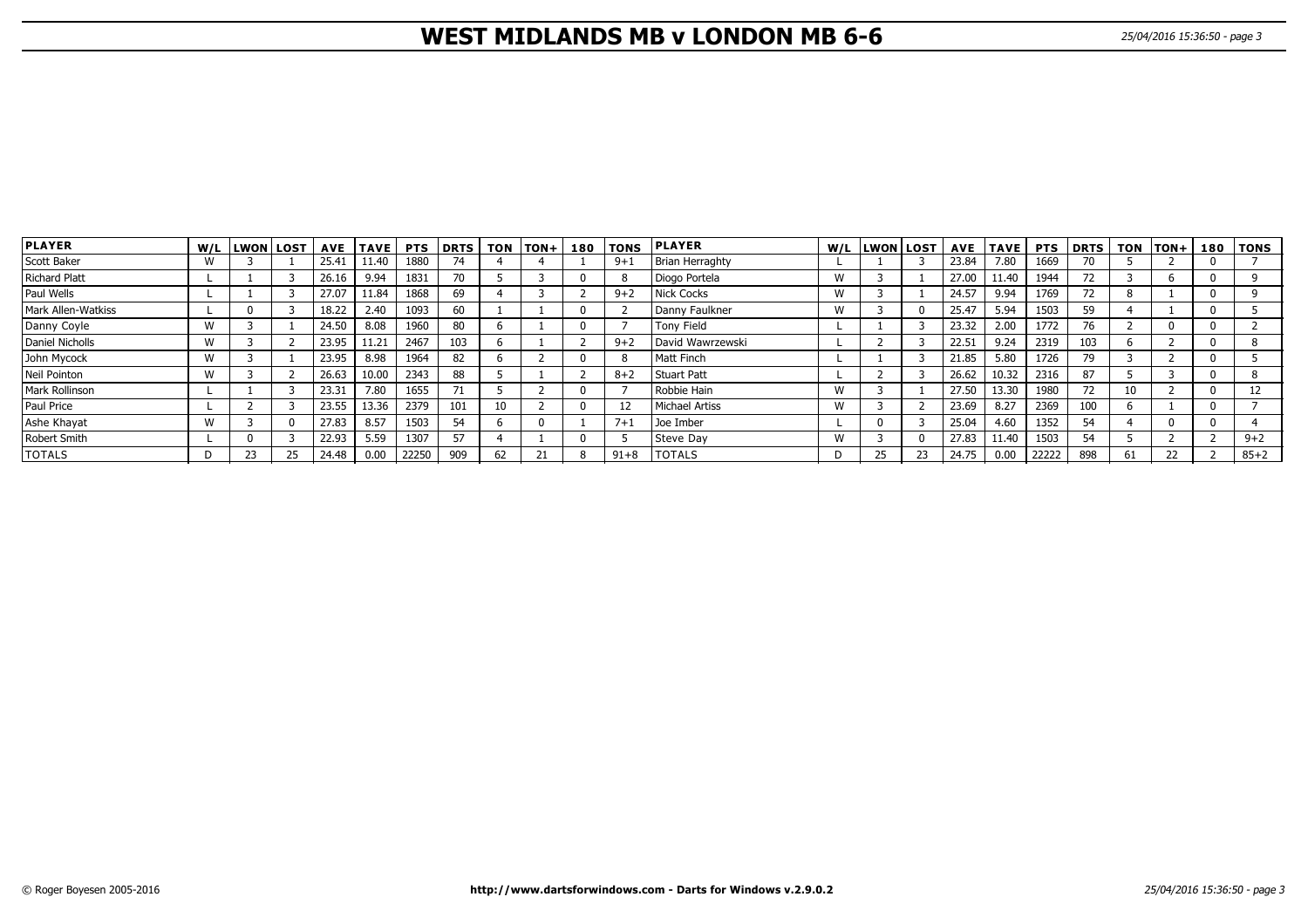# **WEST MIDLANDS MB v LONDON MB 6-6** 25/04/2016 15:36:50 - page 3

| <b>PLAYER</b>             |   | W/L LWON LOST |    |       | AVE  TAVE | <b>PTS</b> | DRTS | <b>TON</b> | $ TON+ $ | 180 | <b>TONS</b> | <b>PLAYER</b>    |   | W/L LWON LOST |          |       | <b>AVE TAVE</b> | <b>PTS</b> | <b>DRTS</b> | <b>TON</b> | $ TON+$ | 180 | TONS     |
|---------------------------|---|---------------|----|-------|-----------|------------|------|------------|----------|-----|-------------|------------------|---|---------------|----------|-------|-----------------|------------|-------------|------------|---------|-----|----------|
| Scott Baker               | W |               |    | 25.41 | 11.40     | 1880       | 74   |            |          |     | $9 + 1$     | Brian Herraghty  |   |               |          | 23.84 | 7.80            | 1669       | 70          |            |         |     |          |
| Richard Platt             |   |               |    | 26.16 | 9.94      | 1831       | 70   |            |          |     |             | Diogo Portela    | W |               |          | 27.00 | 11.40           | 1944       | 72          |            |         |     |          |
| Paul Wells                |   |               |    | 27.07 | 11.84     | 1868       | 69   |            |          |     | $9 + 2$     | Nick Cocks       | W |               |          | 24.57 | 9.94            | 1769       | 72          |            |         |     |          |
| <b>Mark Allen-Watkiss</b> |   |               |    | 18.22 | 2.40      | 1093       | 60   |            |          |     |             | Danny Faulkner   | W |               | $\Omega$ | 25.47 | 5.94            | 1503       | 59          |            |         |     |          |
| Danny Coyle               | W |               |    | 24.50 | 8.08      | 1960       | 80   |            |          |     |             | Tony Field       |   |               |          | 23.32 | 2.00            | 1772       | 76          |            |         |     |          |
| Daniel Nicholls           | W |               |    | 23.95 | 11.21     | 2467       | 103  |            |          |     | $9 + 2$     | David Wawrzewski |   |               |          | 22.51 | 9.24            | 2319       | 103         |            |         |     |          |
| John Mycock               | W |               |    | 23.95 | 8.98      | 1964       | 82   |            |          |     |             | l Matt Finch     |   |               |          | 21.85 | 5.80            | 1726       | 79          |            |         |     |          |
| Neil Pointon              | W |               |    | 26.63 | 10.00     | 2343       | 88   |            |          |     | $8 + 2$     | Stuart Patt      |   |               |          | 26.62 | 10.32           | 2316       | 87          |            |         |     |          |
| <b>Mark Rollinson</b>     |   |               |    | 23.31 | 7.80      | 1655       |      |            |          |     |             | Robbie Hain      | W |               |          | 27.50 | 13.30           | 1980       | 72          |            |         |     |          |
| Paul Price                |   |               |    | 23.55 | 13.36     | 2379       | 101  | 10         |          |     |             | Michael Artiss   | W |               |          | 23.69 | 8.27            | 2369       | 100         |            |         |     |          |
| Ashe Khayat               | W |               |    | 27.83 | 8.57      | 1503       | 54   |            |          |     | $7+1$       | Joe Imber        |   |               |          | 25.04 | 4.60            | 1352       | 54          |            |         |     |          |
| Robert Smith              |   |               |    | 22.93 | 5.59      | 1307       | 57   |            |          |     |             | Steve Day        | W |               | 0        | 27.83 | 11.40           | 1503       | 54          |            |         |     | $9 + 2$  |
| <b>TOTALS</b>             |   | 23            | 25 | 24.48 | 0.00      | 22250      | 909  | 62         |          | R   | $91 + 8$    | <b>TOTALS</b>    | D | 25            | 23       | 24.75 | 0.00            | 22222      | 898         | 61         | 22      |     | $85 + 2$ |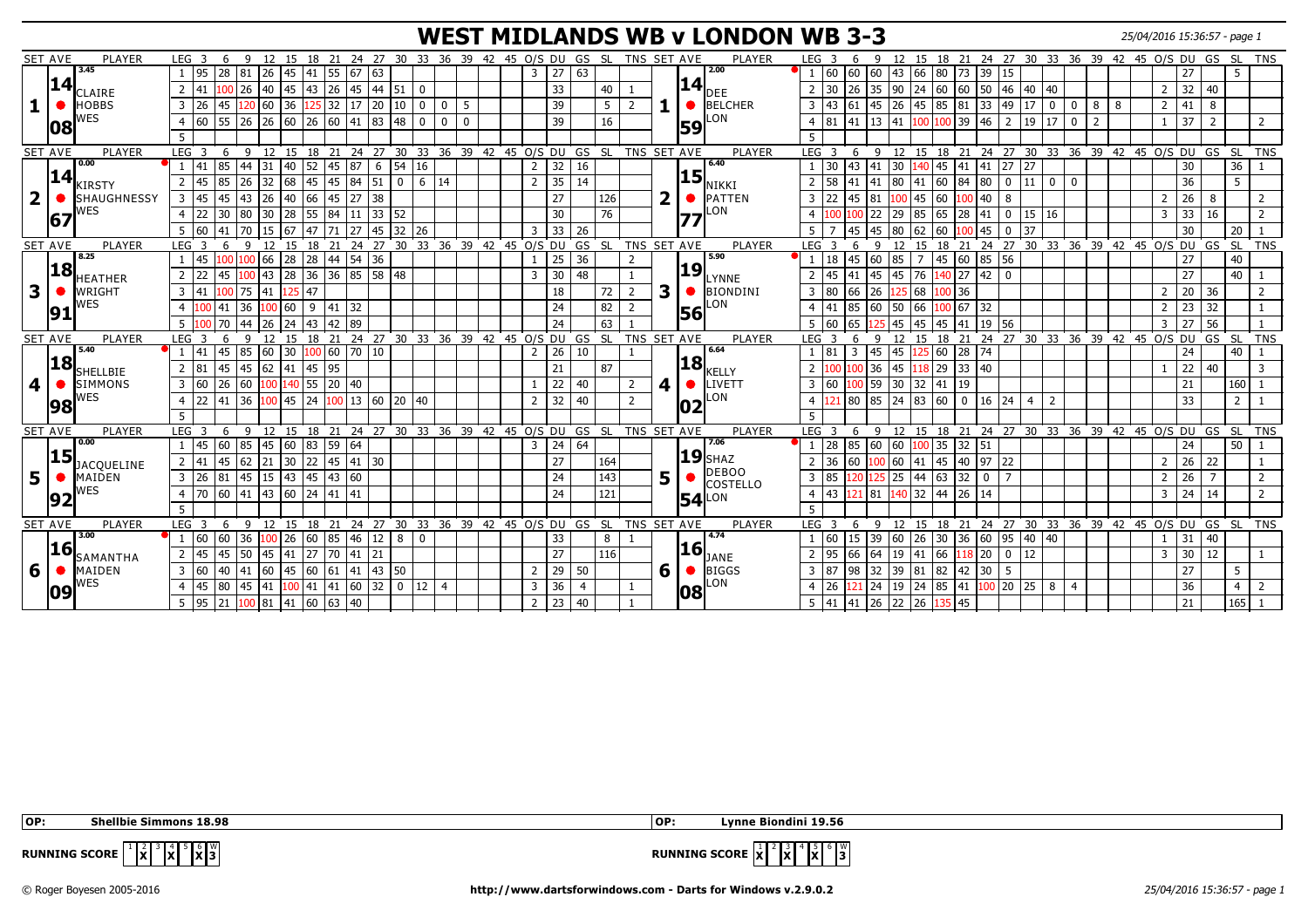#### **WEST MIDLANDS WB v LONDON WB 3-3** 25/04/2016 15:36:57 - page 1

|   | <b>SET AVE</b> | PLAYER                      | LEG 3<br>6                                 | - 9                                                                                                                  | 12 15 18 21                                                  |                     |                 | 24 27 30 33 36 39 42 45 O/S DU GS SL TNS SET AVE             |                |              |                                  |                       |                      |                |   | <b>PLAYER</b>                   | LEG <sub>3</sub><br>q                                                                                            | 12 15 18 21 24 27 30 33 36 39 42 45 O/S DU GS SL |             |                            |        |                |                |                |              |                       | TNS             |
|---|----------------|-----------------------------|--------------------------------------------|----------------------------------------------------------------------------------------------------------------------|--------------------------------------------------------------|---------------------|-----------------|--------------------------------------------------------------|----------------|--------------|----------------------------------|-----------------------|----------------------|----------------|---|---------------------------------|------------------------------------------------------------------------------------------------------------------|--------------------------------------------------|-------------|----------------------------|--------|----------------|----------------|----------------|--------------|-----------------------|-----------------|
|   |                | 3.45                        | 28<br>l 95                                 | 81<br>45<br>26                                                                                                       | 41                                                           | 55<br>67            | 63              |                                                              |                |              | 3                                | 27                    | 63                   |                |   | 2.00                            | 60<br>60<br>60<br> 43<br>66                                                                                      | 80  <br> 73                                      | 39          | 15                         |        |                |                |                | 27           |                       |                 |
|   | 14             |                             | $\overline{2}$<br> 41                      | 26<br>40 45                                                                                                          | 43                                                           | 26 45               | 44 51           | l o                                                          |                |              |                                  | 33                    | 40                   |                |   | $\mathbf{14}\vert_{\text{DEE}}$ | 30<br>35<br>26<br>90                                                                                             | 24   60   60   50   46                           |             |                            | 40  40 |                |                | $\overline{2}$ | 32 40        |                       |                 |
|   |                | CLAIRE                      |                                            |                                                                                                                      |                                                              |                     |                 |                                                              |                |              |                                  |                       |                      |                |   |                                 |                                                                                                                  |                                                  |             |                            |        |                |                |                |              |                       |                 |
|   |                | <b>HOBBS</b>                | 3 26<br>45                                 | 120 60 36                                                                                                            |                                                              | $125$ 32 17         | 20 10           | $\overline{0}$                                               | 0 <sup>1</sup> | 5            |                                  | 39                    | 5                    | $\overline{2}$ |   | $\bigcirc$ BELCHER              | 43 61 45 26 45 85 81 33 49 17 0                                                                                  |                                                  |             |                            |        | $\mathbf 0$    | 88             | $\overline{2}$ | $41 \quad 8$ |                       |                 |
|   | 108            | WES                         | 4 60 55 26 26 60 26 60 41 83 48            |                                                                                                                      |                                                              |                     |                 | l o                                                          | $\overline{0}$ | $\mathbf{0}$ |                                  | 39                    | 16                   |                |   | LON<br>59                       | 4 81<br>$\boxed{41}$ $\boxed{13}$ $\boxed{41}$ $\boxed{100}$ $\boxed{100}$ $\boxed{39}$ $\boxed{46}$ $\boxed{2}$ |                                                  |             |                            | 19 17  | $\overline{0}$ | $\overline{2}$ |                | 37           | $\overline{2}$        | 2               |
|   |                |                             | 5                                          |                                                                                                                      |                                                              |                     |                 |                                                              |                |              |                                  |                       |                      |                |   |                                 |                                                                                                                  |                                                  |             |                            |        |                |                |                |              |                       |                 |
|   | <b>SET AVE</b> | PLAYER                      | LEG <sub>3</sub>                           | 6 9 12 15 18 21 24 27 30 33 36 39 42 45 O/S DU GS SL TNS SET AVE                                                     |                                                              |                     |                 |                                                              |                |              |                                  |                       |                      |                |   | PLAYER                          | 6 9 12 15 18 21 24 27 30 33 36 39 42 45 O/S DU GS SL TNS<br>LEG <sub>3</sub>                                     |                                                  |             |                            |        |                |                |                |              |                       |                 |
|   |                | 0.00                        | 85<br> 41                                  | $31$ 40 52 45 87<br>44                                                                                               |                                                              |                     |                 | $6 \mid 54 \mid 16$                                          |                |              | $\overline{2}$                   | 32                    | 16                   |                |   | 6.40                            | $30$ 43 41 30 140 45 41 41 27 27                                                                                 |                                                  |             |                            |        |                |                |                | 30           |                       | $36$   1        |
|   | 14             | <b>KIRSTY</b>               | 85<br>145<br>$\overline{2}$                | 26<br>32 68 45                                                                                                       |                                                              | 45 84               | $51$ 0          |                                                              | 6   14         |              | 2                                | 35                    | 14                   |                |   | <b>15</b><br>NIKKI              | 58<br> 41  80  41  60  84  80   0<br>41<br>$\overline{2}$                                                        |                                                  |             |                            | $11$ 0 | $\mathbf{0}$   |                |                | 36           | 5                     |                 |
| 2 |                | <b>SHAUGHNESSY</b>          | 3<br>145<br>45                             | <b>43</b><br> 26  40                                                                                                 | 66 45 27                                                     |                     | 38              |                                                              |                |              |                                  | 27                    | 126                  |                | ר | PATTEN                          | 100 45 60<br>22<br>$\overline{3}$<br>145<br>81                                                                   |                                                  | $100$ 40    | $\frac{1}{8}$              |        |                |                | 2              | 26           | - 8                   | 2               |
|   |                | <b>NES</b>                  | 22<br>30<br>$\overline{4}$                 | 80<br>30   28                                                                                                        | 55                                                           | 84 <br>11           | 33 52           |                                                              |                |              |                                  | 30                    | 76                   |                |   | LON                             | 22<br>29<br>85                                                                                                   | 65<br>l 28                                       | 41          | $\overline{\phantom{0}}$ 0 | 15 16  |                |                | 3              | 33           | 16                    | 2               |
|   | 167            |                             |                                            |                                                                                                                      |                                                              |                     |                 |                                                              |                |              |                                  |                       |                      |                |   |                                 |                                                                                                                  |                                                  |             |                            |        |                |                |                |              |                       |                 |
|   |                |                             | 160<br>5<br>41                             | 15 67<br>70                                                                                                          | 47 71 27                                                     |                     | $45 \mid 32$    | 126                                                          |                |              | $\overline{3}$                   | $\overline{33}$       | 26                   |                |   |                                 | 45<br>180<br>$5^{\circ}$<br>45                                                                                   | 62   60<br>00                                    | 45          | $\overline{0}$<br>37       |        |                |                |                | 30           | 20                    | $\perp$ 1       |
|   | <b>SET AVE</b> | PLAYER<br>8.25              | LEG <sub>3</sub><br>6                      | $\mathbf{q}$                                                                                                         |                                                              |                     |                 | 12 15 18 21 24 27 30 33 36 39 42 45 0/S DU GS SL             |                |              |                                  |                       |                      | TNS SET AVE    |   | PLAYER<br>5.90                  | LEG <sub>3</sub><br>$\mathbf{q}$<br>6                                                                            | 12 15 18 21 24 27 30 33 36 39 42 45 O/S DU GS    |             |                            |        |                |                |                |              |                       | SL TNS          |
|   | 18             |                             | 45<br>100                                  | 66 28<br>100                                                                                                         | 28 44 54 36                                                  |                     |                 |                                                              |                |              |                                  | 25                    | 36                   |                |   | <b>19</b>                       | 45 60<br>85<br>18<br>$\overline{7}$                                                                              | 45 60                                            | 85 56       |                            |        |                |                |                | 27           | 40                    |                 |
|   |                | HEATHER                     | l 22<br>$\overline{2}$<br>45               | 43  28<br>100                                                                                                        | $36 \mid 36 \mid 85$                                         |                     | $\boxed{58}$ 48 |                                                              |                |              | $\overline{3}$                   | 30                    | 48                   |                |   | LYNNE                           | 45<br>$-41$<br>145<br>76<br>45                                                                                   | 140 27                                           | $42$ 0      |                            |        |                |                |                | 27           | 40 <sup>1</sup>       |                 |
| 3 |                | WRIGHT                      | 3 41                                       | $\overline{75}$<br>41                                                                                                | 47                                                           |                     |                 |                                                              |                |              |                                  | 18                    | 72                   | $\overline{2}$ | 3 | BIONDINI                        | 80<br>66<br>$\overline{3}$<br>26<br>125 68                                                                       | 100 36                                           |             |                            |        |                |                | $\overline{2}$ | 20 36        |                       | $\overline{2}$  |
|   | 91             | <b>NES</b>                  | $\overline{4}$<br>100 41                   | 36<br>100 60                                                                                                         |                                                              | $9 \mid 41 \mid 32$ |                 |                                                              |                |              |                                  | 24                    | 82                   |                |   | LON<br>56                       | 85<br> 60   50   66<br>41<br>$\overline{4}$                                                                      | 100 67 32                                        |             |                            |        |                |                | $\overline{2}$ | $23 \mid 32$ |                       |                 |
|   |                |                             | $5 \vert 100 \vert 70$                     | 44                                                                                                                   | 26  24  43  42  89                                           |                     |                 |                                                              |                |              |                                  | 24                    | 63                   |                |   |                                 | $5\,$ 60<br>65<br>125 45                                                                                         | 45 45 41 19 56                                   |             |                            |        |                |                | $\overline{3}$ | 56<br>27     |                       |                 |
|   | <b>SET AVE</b> | PLAYER                      | LEG <sub>3</sub><br>6                      | $\mathsf{q}$                                                                                                         |                                                              |                     |                 | 12 15 18 21 24 27 30 33 36 39 42 45 O/S DU GS SL TNS SET AVE |                |              |                                  |                       |                      |                |   | PLAYER                          | LEG <sub>3</sub><br>6<br>$\mathsf{Q}$                                                                            | 12 15 18 21 24 27 30 33 36 39 42 45 0/S DU GS SL |             |                            |        |                |                |                |              |                       | <b>TNS</b>      |
|   |                | 5.40                        | 45<br>l 41<br>1                            | 85                                                                                                                   | $\begin{bmatrix} 60 & 30 & 100 & 60 & 70 & 10 \end{bmatrix}$ |                     |                 |                                                              |                |              | $\overline{2}$                   | 26                    | 10                   |                |   | 6.64                            | 81<br>$\overline{3}$<br>45<br>45                                                                                 | 125 60 28 74                                     |             |                            |        |                |                |                | 24           | 40                    |                 |
|   | 18             |                             | 2 81                                       | $\boxed{45}$ $\boxed{45}$ $\boxed{62}$ $\boxed{41}$ $\boxed{45}$ $\boxed{95}$                                        |                                                              |                     |                 |                                                              |                |              |                                  | 21                    | 87                   |                |   | <b>18</b>                       | 00 36 45 118 29 33 40                                                                                            |                                                  |             |                            |        |                |                |                | $22 \mid 40$ |                       | $\overline{3}$  |
| 4 |                |                             |                                            |                                                                                                                      |                                                              |                     |                 |                                                              |                |              |                                  |                       |                      |                |   | <b>KELLY</b>                    |                                                                                                                  |                                                  |             |                            |        |                |                |                |              |                       |                 |
|   |                | <b>SHELLBIE</b>             |                                            |                                                                                                                      |                                                              |                     |                 |                                                              |                |              |                                  |                       |                      |                |   |                                 |                                                                                                                  |                                                  |             |                            |        |                |                |                |              |                       |                 |
|   |                | <b>SIMMONS</b>              | $26$ 60<br>3 60                            |                                                                                                                      | 100 140 55 20 40                                             |                     |                 |                                                              |                |              |                                  | 22                    | 40                   | $\overline{2}$ | 4 | <b>ILIVETT</b><br>$\bullet$     | 60<br>LOO   59<br>$30$ 32 41<br>$\overline{3}$                                                                   | $ 19\rangle$                                     |             |                            |        |                |                |                | 21           | $160$   1             |                 |
|   | 98             | NES                         | 22<br>41<br>$\overline{4}$                 | 36                                                                                                                   |                                                              |                     |                 | 100 45 24 100 13 60 20 40                                    |                |              | 2                                | 32                    | 40                   | $\overline{2}$ |   | LON                             | 80<br>85<br>$\overline{4}$                                                                                       |                                                  |             | 4                          | 2      |                |                |                | 33           | $\overline{2}$        |                 |
|   |                |                             | 5                                          |                                                                                                                      |                                                              |                     |                 |                                                              |                |              |                                  |                       |                      |                |   |                                 | 5                                                                                                                |                                                  |             |                            |        |                |                |                |              |                       |                 |
|   | <b>SET AVE</b> | PLAYER                      | LEG <sub>3</sub><br>6                      | - 9                                                                                                                  |                                                              |                     |                 | 12 15 18 21 24 27 30 33 36 39 42 45 O/S DU GS SL TNS SET AVE |                |              |                                  |                       |                      |                |   | PLAYER                          | 9 12 15 18 21 24 27 30 33 36 39 42 45 0/S DU GS<br>LEG <sub>3</sub><br>- 6                                       |                                                  |             |                            |        |                |                |                |              | ` SL                  | TN <sub>S</sub> |
|   |                | 0.00                        | 145<br>60<br>$\mathbf{1}$                  | 85                                                                                                                   | $\boxed{45}$ 60 83 59                                        | 164                 |                 |                                                              |                |              | 3                                | 24                    | 64                   |                |   | 7.06                            | 28<br>85<br> 60  60 <mark> 100</mark>  35  32  51                                                                |                                                  |             |                            |        |                |                |                | 24           | 50 <sub>1</sub>       |                 |
|   | 15             |                             | 45<br>2 41                                 | 62<br>21 30 22                                                                                                       |                                                              | 45 41 30            |                 |                                                              |                |              |                                  | 27                    | 164                  |                |   | $19$ SHAZ                       | 100 60 41<br>36<br>60                                                                                            | $\sqrt{45}$ $\sqrt{40}$ $\sqrt{97}$ $\sqrt{22}$  |             |                            |        |                |                | 2              | $26$ 22      |                       |                 |
|   |                | <b>JACQUELINE</b><br>MAIDEN | 3 26<br>81                                 | $\sqrt{45}$<br>$15$ 43 45 43 60                                                                                      |                                                              |                     |                 |                                                              |                |              |                                  | 24                    | 143                  |                |   | DEBOO                           | 85<br>$\overline{3}$                                                                                             | $25 \mid 44 \mid 63 \mid 32 \mid$                | $\mathbf 0$ | 17                         |        |                |                | $\overline{2}$ | 26           | $\overline{7}$        | 2               |
|   |                | NES                         | $\overline{4}$                             |                                                                                                                      |                                                              |                     |                 |                                                              |                |              |                                  | 24                    | 121                  |                | 5 | <b>COSTELLO</b>                 | $\overline{4}$                                                                                                   |                                                  |             |                            |        |                |                | $\overline{3}$ | $24 \mid 14$ |                       | 2               |
|   | 92             |                             |                                            |                                                                                                                      |                                                              |                     |                 |                                                              |                |              |                                  |                       |                      |                |   | <b>54</b> LON                   | 43<br><mark>121</mark> 81 140 32 44 26 14<br>$-5$                                                                |                                                  |             |                            |        |                |                |                |              |                       |                 |
|   |                |                             | 5                                          |                                                                                                                      |                                                              |                     |                 |                                                              |                |              |                                  |                       |                      |                |   |                                 |                                                                                                                  |                                                  |             |                            |        |                |                |                |              |                       |                 |
|   | <b>SET AVE</b> | PLAYER<br>3.00              | LEG <sub>3</sub><br>160                    | 6 9 12 15 18 21 24 27 30 33 36 39 42 45 0/S DU GS SL TNS SET AVE                                                     |                                                              |                     |                 | $\overline{0}$                                               |                |              |                                  |                       | 8                    |                |   | PLAYER<br>4.74                  | .<br>9 12 15 18 21 24 27 30 33 36 39 42 45 O/S DU GS SL TNS<br>LEG $3\quad 6$                                    |                                                  |             |                            |        |                |                |                |              |                       |                 |
|   | <b>16</b>      |                             | $60 \ 36$                                  |                                                                                                                      | $100$ 26 60 85 46                                            |                     | $12 \mid 8$     |                                                              |                |              |                                  | 33                    |                      |                |   | <u> 16</u>                      | 60<br>$115 +$<br> 39  60  26  30  36  60  95  40  40                                                             |                                                  |             |                            |        |                |                |                | 31           | 40                    |                 |
|   |                | SAMANTHA                    | 145<br>45<br>$\overline{2}$                | 50<br> 45 41                                                                                                         | 27                                                           | 70 41               | 21              |                                                              |                |              |                                  | 27                    | 116                  |                |   | JANE                            | 95<br>66<br>64<br>$ 19\rangle$<br>41                                                                             | $66$ 118 20 0                                    |             | 12                         |        |                |                | $\overline{3}$ | $30 \mid 12$ |                       |                 |
| 6 |                | MAIDEN                      | 3 60                                       | $\boxed{40}$ $\boxed{41}$ $\boxed{60}$ $\boxed{45}$ $\boxed{60}$ $\boxed{61}$ $\boxed{41}$ $\boxed{43}$ $\boxed{50}$ |                                                              |                     |                 |                                                              |                |              | 2                                | 29                    | 50                   |                | 6 | $\bigcirc$ BIGGS                | 98 32 39 81 82 42 30 5<br>3 87                                                                                   |                                                  |             |                            |        |                |                |                | 27           | 5                     |                 |
|   | 109            | WES                         | 145<br>80<br>$\overline{4}$<br>5   95   21 | 45<br>$100$ 81 41 60 63 40                                                                                           | 41 100 41 41 60                                              |                     | $32$ 0          | 12                                                           | $\overline{4}$ |              | $\overline{3}$<br>$\overline{2}$ | $\overline{36}$<br>23 | $\overline{4}$<br>40 |                |   | LON<br><b>08</b>                | 26<br>$ 24\rangle$<br>21<br>5 41 41 26 22 26                                                                     | 135 45                                           |             |                            |        | $\overline{4}$ |                |                | 36<br>21     | $\overline{4}$<br>165 | $\overline{2}$  |

 **OP: Shellbie Simmons 18.98 OP: Lynne Biondini 19.56**